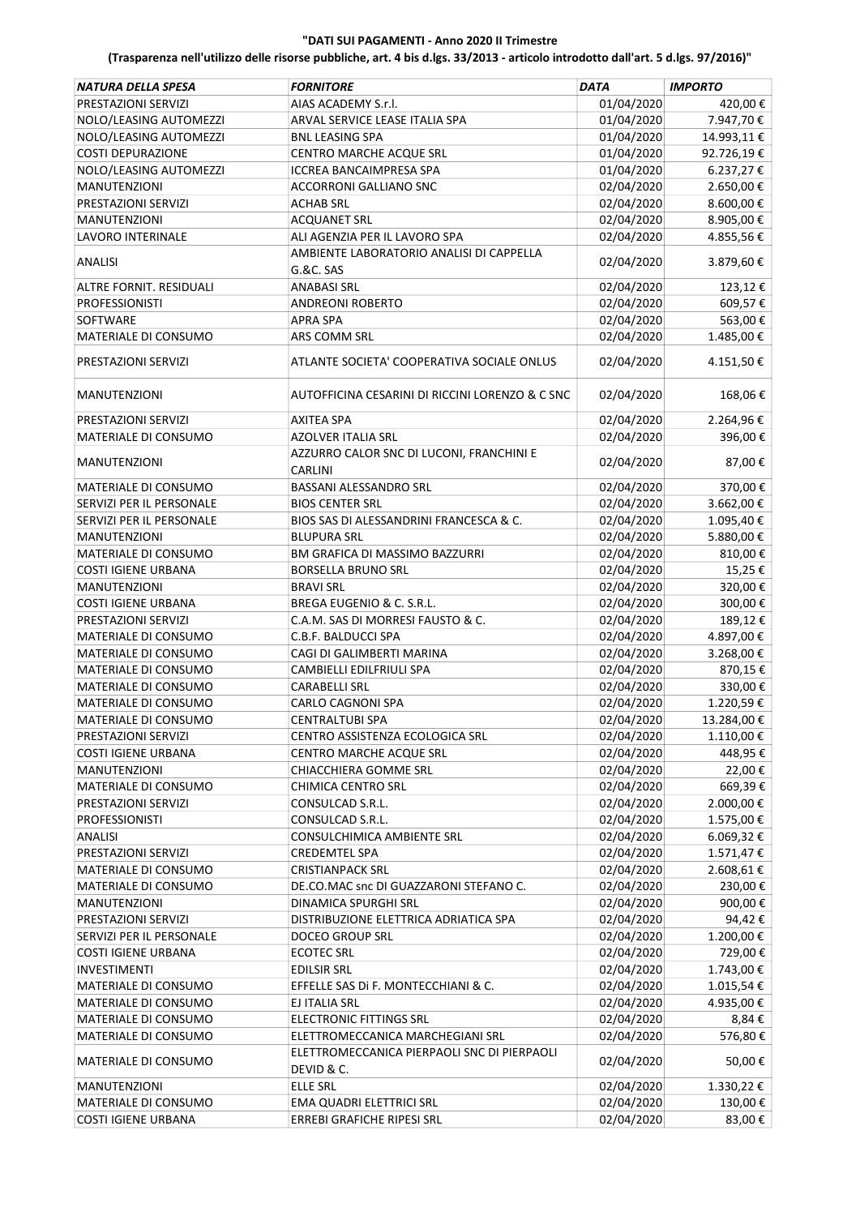| NATURA DELLA SPESA          | <b>FORNITORE</b>                                          | <b>DATA</b> | <b>IMPORTO</b> |
|-----------------------------|-----------------------------------------------------------|-------------|----------------|
| PRESTAZIONI SERVIZI         | AIAS ACADEMY S.r.l.                                       | 01/04/2020  | 420,00€        |
| NOLO/LEASING AUTOMEZZI      | ARVAL SERVICE LEASE ITALIA SPA                            | 01/04/2020  | 7.947,70€      |
| NOLO/LEASING AUTOMEZZI      | <b>BNL LEASING SPA</b>                                    | 01/04/2020  | 14.993,11€     |
| <b>COSTI DEPURAZIONE</b>    | CENTRO MARCHE ACQUE SRL                                   | 01/04/2020  | 92.726,19€     |
| NOLO/LEASING AUTOMEZZI      | <b>ICCREA BANCAIMPRESA SPA</b>                            | 01/04/2020  | 6.237,27 €     |
| MANUTENZIONI                | ACCORRONI GALLIANO SNC                                    | 02/04/2020  | 2.650,00€      |
| PRESTAZIONI SERVIZI         | <b>ACHAB SRL</b>                                          | 02/04/2020  | 8.600,00€      |
| <b>MANUTENZIONI</b>         | <b>ACQUANET SRL</b>                                       | 02/04/2020  | 8.905,00€      |
| LAVORO INTERINALE           | ALI AGENZIA PER IL LAVORO SPA                             | 02/04/2020  | 4.855,56€      |
|                             | AMBIENTE LABORATORIO ANALISI DI CAPPELLA                  |             |                |
| <b>ANALISI</b>              | G.&C. SAS                                                 | 02/04/2020  | 3.879,60€      |
| ALTRE FORNIT. RESIDUALI     | <b>ANABASI SRL</b>                                        | 02/04/2020  | 123,12€        |
| <b>PROFESSIONISTI</b>       | ANDREONI ROBERTO                                          | 02/04/2020  | 609,57€        |
| SOFTWARE                    | <b>APRA SPA</b>                                           | 02/04/2020  | 563,00€        |
| MATERIALE DI CONSUMO        | ARS COMM SRL                                              | 02/04/2020  | 1.485,00 €     |
|                             |                                                           |             |                |
| PRESTAZIONI SERVIZI         | ATLANTE SOCIETA' COOPERATIVA SOCIALE ONLUS                | 02/04/2020  | 4.151,50€      |
| <b>MANUTENZIONI</b>         | AUTOFFICINA CESARINI DI RICCINI LORENZO & C SNC           | 02/04/2020  | 168,06€        |
| PRESTAZIONI SERVIZI         | <b>AXITEA SPA</b>                                         | 02/04/2020  | 2.264,96€      |
| MATERIALE DI CONSUMO        | AZOLVER ITALIA SRL                                        | 02/04/2020  | 396,00€        |
| <b>MANUTENZIONI</b>         | AZZURRO CALOR SNC DI LUCONI, FRANCHINI E                  | 02/04/2020  | 87,00€         |
|                             | <b>CARLINI</b>                                            |             |                |
| <b>MATERIALE DI CONSUMO</b> | BASSANI ALESSANDRO SRL                                    | 02/04/2020  | 370,00€        |
| SERVIZI PER IL PERSONALE    | <b>BIOS CENTER SRL</b>                                    | 02/04/2020  | 3.662,00 €     |
| SERVIZI PER IL PERSONALE    | BIOS SAS DI ALESSANDRINI FRANCESCA & C.                   | 02/04/2020  | 1.095,40€      |
| MANUTENZIONI                | <b>BLUPURA SRL</b>                                        | 02/04/2020  | 5.880,00 €     |
| MATERIALE DI CONSUMO        | BM GRAFICA DI MASSIMO BAZZURRI                            | 02/04/2020  | 810,00€        |
| <b>COSTI IGIENE URBANA</b>  | <b>BORSELLA BRUNO SRL</b>                                 | 02/04/2020  | 15,25€         |
| <b>MANUTENZIONI</b>         | <b>BRAVI SRL</b>                                          | 02/04/2020  | 320,00€        |
| <b>COSTI IGIENE URBANA</b>  | BREGA EUGENIO & C. S.R.L.                                 | 02/04/2020  | 300,00€        |
| PRESTAZIONI SERVIZI         | C.A.M. SAS DI MORRESI FAUSTO & C.                         | 02/04/2020  | 189,12€        |
| MATERIALE DI CONSUMO        | C.B.F. BALDUCCI SPA                                       | 02/04/2020  | 4.897,00€      |
| MATERIALE DI CONSUMO        | CAGI DI GALIMBERTI MARINA                                 | 02/04/2020  | 3.268,00€      |
| MATERIALE DI CONSUMO        | CAMBIELLI EDILFRIULI SPA                                  | 02/04/2020  | 870,15€        |
| MATERIALE DI CONSUMO        | <b>CARABELLI SRL</b>                                      | 02/04/2020  | 330,00€        |
| <b>MATERIALE DI CONSUMO</b> | <b>CARLO CAGNONI SPA</b>                                  | 02/04/2020  | 1.220,59€      |
| MATERIALE DI CONSUMO        | CENTRALTUBI SPA                                           | 02/04/2020  | 13.284,00€     |
| PRESTAZIONI SERVIZI         | CENTRO ASSISTENZA ECOLOGICA SRL                           | 02/04/2020  | 1.110,00€      |
| <b>COSTI IGIENE URBANA</b>  | CENTRO MARCHE ACQUE SRL                                   | 02/04/2020  | 448,95 €       |
| <b>MANUTENZIONI</b>         | CHIACCHIERA GOMME SRL                                     | 02/04/2020  | 22,00€         |
| MATERIALE DI CONSUMO        | CHIMICA CENTRO SRL                                        | 02/04/2020  | 669,39€        |
| PRESTAZIONI SERVIZI         | CONSULCAD S.R.L.                                          | 02/04/2020  | 2.000,00 €     |
| <b>PROFESSIONISTI</b>       | CONSULCAD S.R.L.                                          | 02/04/2020  | 1.575,00€      |
| <b>ANALISI</b>              | CONSULCHIMICA AMBIENTE SRL                                | 02/04/2020  | 6.069,32€      |
| PRESTAZIONI SERVIZI         | <b>CREDEMTEL SPA</b>                                      | 02/04/2020  | 1.571,47€      |
| MATERIALE DI CONSUMO        | <b>CRISTIANPACK SRL</b>                                   | 02/04/2020  | 2.608,61€      |
| MATERIALE DI CONSUMO        | DE.CO.MAC snc DI GUAZZARONI STEFANO C.                    | 02/04/2020  | 230,00€        |
| <b>MANUTENZIONI</b>         | DINAMICA SPURGHI SRL                                      | 02/04/2020  | 900,00€        |
| PRESTAZIONI SERVIZI         | DISTRIBUZIONE ELETTRICA ADRIATICA SPA                     | 02/04/2020  | 94,42€         |
| SERVIZI PER IL PERSONALE    | <b>DOCEO GROUP SRL</b>                                    | 02/04/2020  | 1.200,00€      |
| <b>COSTI IGIENE URBANA</b>  | <b>ECOTEC SRL</b>                                         | 02/04/2020  | 729,00€        |
| <b>INVESTIMENTI</b>         | <b>EDILSIR SRL</b>                                        | 02/04/2020  | 1.743,00 €     |
| MATERIALE DI CONSUMO        | EFFELLE SAS Di F. MONTECCHIANI & C.                       | 02/04/2020  | 1.015,54€      |
| MATERIALE DI CONSUMO        | EJ ITALIA SRL                                             | 02/04/2020  | 4.935,00€      |
| MATERIALE DI CONSUMO        | <b>ELECTRONIC FITTINGS SRL</b>                            | 02/04/2020  | 8,84 €         |
| MATERIALE DI CONSUMO        | ELETTROMECCANICA MARCHEGIANI SRL                          | 02/04/2020  | 576,80€        |
| MATERIALE DI CONSUMO        | ELETTROMECCANICA PIERPAOLI SNC DI PIERPAOLI<br>DEVID & C. | 02/04/2020  | 50,00€         |
| MANUTENZIONI                | <b>ELLE SRL</b>                                           | 02/04/2020  | 1.330,22€      |
| MATERIALE DI CONSUMO        | EMA QUADRI ELETTRICI SRL                                  | 02/04/2020  | 130,00€        |
| <b>COSTI IGIENE URBANA</b>  | ERREBI GRAFICHE RIPESI SRL                                | 02/04/2020  | 83,00€         |
|                             |                                                           |             |                |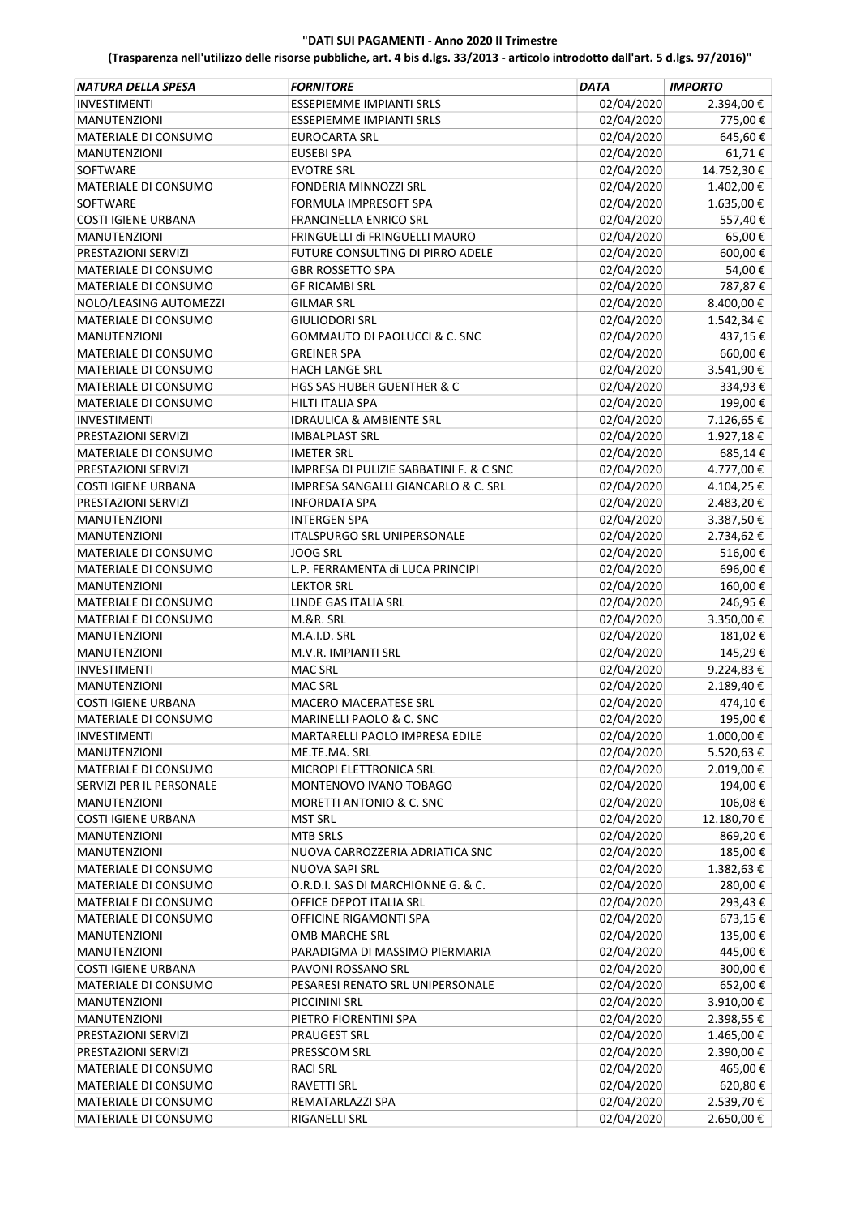| NATURA DELLA SPESA          | <b>FORNITORE</b>                        | <b>DATA</b> | <b>IMPORTO</b>     |
|-----------------------------|-----------------------------------------|-------------|--------------------|
| <b>INVESTIMENTI</b>         | <b>ESSEPIEMME IMPIANTI SRLS</b>         | 02/04/2020  | 2.394,00€          |
| <b>MANUTENZIONI</b>         | <b>ESSEPIEMME IMPIANTI SRLS</b>         | 02/04/2020  | 775,00€            |
| MATERIALE DI CONSUMO        | <b>EUROCARTA SRL</b>                    | 02/04/2020  | 645,60€            |
| <b>MANUTENZIONI</b>         | <b>EUSEBI SPA</b>                       | 02/04/2020  | 61,71€             |
| SOFTWARE                    | <b>EVOTRE SRL</b>                       | 02/04/2020  | 14.752,30€         |
| <b>MATERIALE DI CONSUMO</b> | FONDERIA MINNOZZI SRL                   | 02/04/2020  | 1.402,00€          |
| <b>SOFTWARE</b>             | FORMULA IMPRESOFT SPA                   | 02/04/2020  | 1.635,00€          |
| <b>COSTI IGIENE URBANA</b>  | <b>FRANCINELLA ENRICO SRL</b>           | 02/04/2020  | 557,40€            |
| <b>MANUTENZIONI</b>         | FRINGUELLI di FRINGUELLI MAURO          | 02/04/2020  | 65,00€             |
| PRESTAZIONI SERVIZI         | FUTURE CONSULTING DI PIRRO ADELE        | 02/04/2020  | 600,00€            |
| MATERIALE DI CONSUMO        | <b>GBR ROSSETTO SPA</b>                 | 02/04/2020  | 54,00€             |
| MATERIALE DI CONSUMO        | <b>GF RICAMBI SRL</b>                   | 02/04/2020  | 787,87€            |
| NOLO/LEASING AUTOMEZZI      | <b>GILMAR SRL</b>                       | 02/04/2020  | 8.400,00€          |
| MATERIALE DI CONSUMO        | <b>GIULIODORI SRL</b>                   | 02/04/2020  | 1.542,34 €         |
| <b>MANUTENZIONI</b>         | GOMMAUTO DI PAOLUCCI & C. SNC           | 02/04/2020  | 437,15€            |
| MATERIALE DI CONSUMO        | <b>GREINER SPA</b>                      | 02/04/2020  | 660,00€            |
| MATERIALE DI CONSUMO        | <b>HACH LANGE SRL</b>                   | 02/04/2020  | 3.541,90€          |
| <b>MATERIALE DI CONSUMO</b> | <b>HGS SAS HUBER GUENTHER &amp; C</b>   | 02/04/2020  | 334,93€            |
| MATERIALE DI CONSUMO        | <b>HILTI ITALIA SPA</b>                 | 02/04/2020  | 199,00€            |
| <b>INVESTIMENTI</b>         | <b>IDRAULICA &amp; AMBIENTE SRL</b>     | 02/04/2020  | 7.126,65€          |
| PRESTAZIONI SERVIZI         | <b>IMBALPLAST SRL</b>                   | 02/04/2020  | 1.927,18€          |
| <b>MATERIALE DI CONSUMO</b> | <b>IMETER SRL</b>                       | 02/04/2020  | 685,14€            |
| PRESTAZIONI SERVIZI         | IMPRESA DI PULIZIE SABBATINI F. & C SNC | 02/04/2020  | 4.777,00€          |
| <b>COSTI IGIENE URBANA</b>  | IMPRESA SANGALLI GIANCARLO & C. SRL     | 02/04/2020  | 4.104,25€          |
| PRESTAZIONI SERVIZI         | <b>INFORDATA SPA</b>                    | 02/04/2020  | 2.483,20€          |
| MANUTENZIONI                | <b>INTERGEN SPA</b>                     | 02/04/2020  | 3.387,50€          |
| <b>MANUTENZIONI</b>         | ITALSPURGO SRL UNIPERSONALE             | 02/04/2020  | 2.734,62€          |
| MATERIALE DI CONSUMO        | <b>JOOG SRL</b>                         | 02/04/2020  | 516,00€            |
| MATERIALE DI CONSUMO        | L.P. FERRAMENTA di LUCA PRINCIPI        | 02/04/2020  | 696,00€            |
| <b>MANUTENZIONI</b>         | <b>LEKTOR SRL</b>                       | 02/04/2020  | 160,00€            |
| MATERIALE DI CONSUMO        | LINDE GAS ITALIA SRL                    | 02/04/2020  | 246,95€            |
| MATERIALE DI CONSUMO        | M.&R. SRL                               | 02/04/2020  | 3.350,00€          |
| <b>MANUTENZIONI</b>         | M.A.I.D. SRL                            | 02/04/2020  | 181,02€            |
| <b>MANUTENZIONI</b>         | M.V.R. IMPIANTI SRL                     | 02/04/2020  | 145,29€            |
| <b>INVESTIMENTI</b>         | <b>MAC SRL</b>                          | 02/04/2020  | 9.224,83€          |
| <b>MANUTENZIONI</b>         | <b>MAC SRL</b>                          | 02/04/2020  | 2.189,40€          |
| <b>COSTI IGIENE URBANA</b>  | MACERO MACERATESE SRL                   | 02/04/2020  | 474,10€            |
| MATERIALE DI CONSUMO        | MARINELLI PAOLO & C. SNC                | 02/04/2020  | 195,00€            |
| INVESTIMENTI                | MARTARELLI PAOLO IMPRESA EDILE          | 02/04/2020  | 1.000,00€          |
| <b>MANUTENZIONI</b>         | ME.TE.MA. SRL                           | 02/04/2020  | 5.520,63€          |
| MATERIALE DI CONSUMO        | MICROPI ELETTRONICA SRL                 | 02/04/2020  | 2.019,00€          |
| SERVIZI PER IL PERSONALE    | MONTENOVO IVANO TOBAGO                  | 02/04/2020  | 194,00€            |
| <b>MANUTENZIONI</b>         | MORETTI ANTONIO & C. SNC                | 02/04/2020  | 106,08€            |
| <b>COSTI IGIENE URBANA</b>  | <b>MST SRL</b>                          | 02/04/2020  | 12.180,70€         |
| MANUTENZIONI                | <b>MTB SRLS</b>                         | 02/04/2020  | 869,20€            |
| MANUTENZIONI                | NUOVA CARROZZERIA ADRIATICA SNC         | 02/04/2020  | 185,00€            |
| MATERIALE DI CONSUMO        | NUOVA SAPI SRL                          | 02/04/2020  | 1.382,63€          |
| MATERIALE DI CONSUMO        | O.R.D.I. SAS DI MARCHIONNE G. & C.      | 02/04/2020  | 280,00€            |
|                             | OFFICE DEPOT ITALIA SRL                 | 02/04/2020  | 293,43€            |
| MATERIALE DI CONSUMO        |                                         | 02/04/2020  |                    |
| MATERIALE DI CONSUMO        | OFFICINE RIGAMONTI SPA                  |             | 673,15€<br>135,00€ |
| MANUTENZIONI                | OMB MARCHE SRL                          | 02/04/2020  |                    |
| <b>MANUTENZIONI</b>         | PARADIGMA DI MASSIMO PIERMARIA          | 02/04/2020  | 445,00€            |
| <b>COSTI IGIENE URBANA</b>  | PAVONI ROSSANO SRL                      | 02/04/2020  | 300,00€            |
| MATERIALE DI CONSUMO        | PESARESI RENATO SRL UNIPERSONALE        | 02/04/2020  | 652,00€            |
| MANUTENZIONI                | PICCININI SRL                           | 02/04/2020  | 3.910,00 €         |
| <b>MANUTENZIONI</b>         | PIETRO FIORENTINI SPA                   | 02/04/2020  | 2.398,55 €         |
| PRESTAZIONI SERVIZI         | PRAUGEST SRL                            | 02/04/2020  | 1.465,00 €         |
| PRESTAZIONI SERVIZI         | PRESSCOM SRL                            | 02/04/2020  | 2.390,00€          |
| MATERIALE DI CONSUMO        | <b>RACI SRL</b>                         | 02/04/2020  | 465,00€            |
| MATERIALE DI CONSUMO        | RAVETTI SRL                             | 02/04/2020  | 620,80€            |
| MATERIALE DI CONSUMO        | REMATARLAZZI SPA                        | 02/04/2020  | 2.539,70€          |
| MATERIALE DI CONSUMO        | RIGANELLI SRL                           | 02/04/2020  | 2.650,00€          |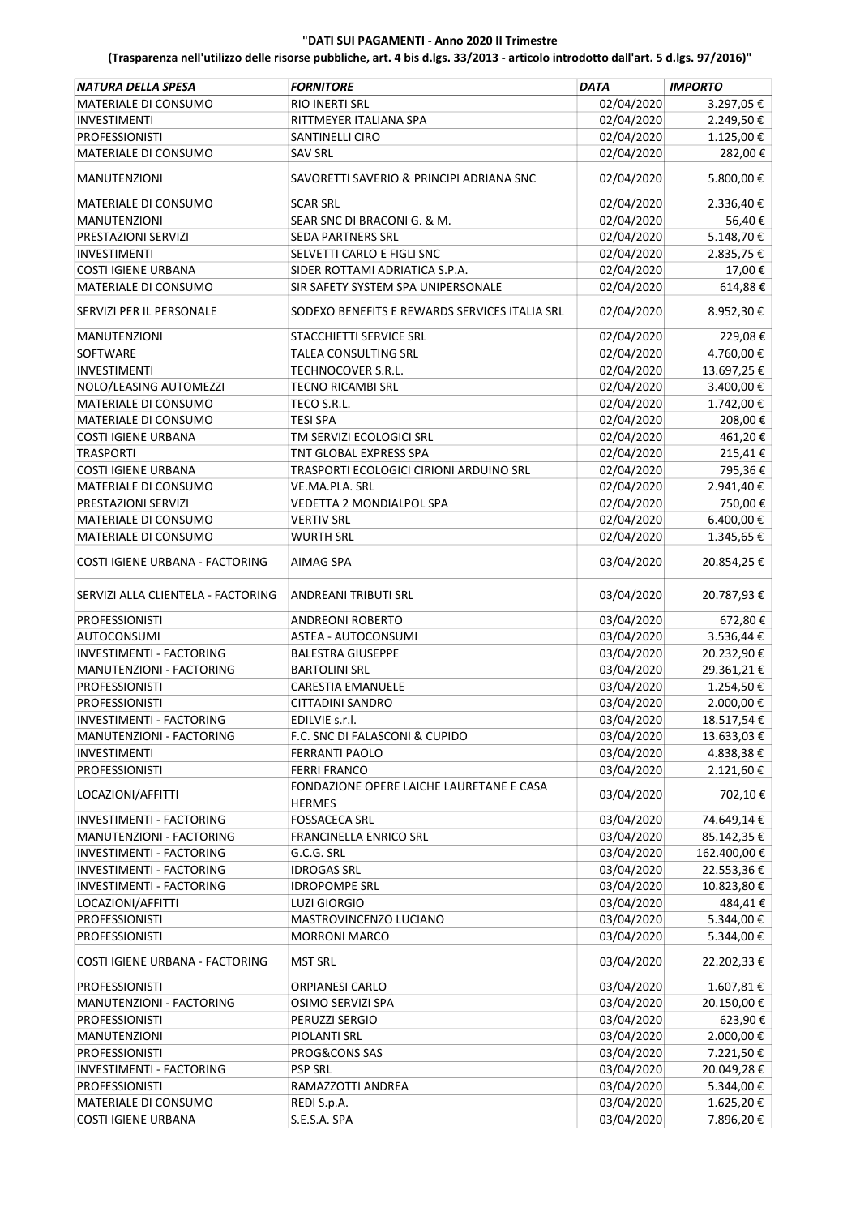| NATURA DELLA SPESA                                          | <b>FORNITORE</b>                              | <b>DATA</b>              | <b>IMPORTO</b>           |
|-------------------------------------------------------------|-----------------------------------------------|--------------------------|--------------------------|
| MATERIALE DI CONSUMO                                        | RIO INERTI SRL                                | 02/04/2020               | 3.297,05€                |
| <b>INVESTIMENTI</b>                                         | RITTMEYER ITALIANA SPA                        | 02/04/2020               | 2.249,50€                |
| <b>PROFESSIONISTI</b>                                       | SANTINELLI CIRO                               | 02/04/2020               | 1.125,00€                |
| MATERIALE DI CONSUMO                                        | <b>SAV SRL</b>                                | 02/04/2020               | 282,00€                  |
| <b>MANUTENZIONI</b>                                         | SAVORETTI SAVERIO & PRINCIPI ADRIANA SNC      | 02/04/2020               | 5.800,00€                |
| MATERIALE DI CONSUMO                                        | <b>SCAR SRL</b>                               | 02/04/2020               | 2.336,40€                |
| <b>MANUTENZIONI</b>                                         | SEAR SNC DI BRACONI G. & M.                   | 02/04/2020               | 56,40€                   |
| PRESTAZIONI SERVIZI                                         | <b>SEDA PARTNERS SRL</b>                      | 02/04/2020               | 5.148,70€                |
| <b>INVESTIMENTI</b>                                         | SELVETTI CARLO E FIGLI SNC                    | 02/04/2020               | 2.835,75€                |
| <b>COSTI IGIENE URBANA</b>                                  | SIDER ROTTAMI ADRIATICA S.P.A.                | 02/04/2020               | 17,00€                   |
| MATERIALE DI CONSUMO                                        | SIR SAFETY SYSTEM SPA UNIPERSONALE            | 02/04/2020               | 614,88€                  |
| SERVIZI PER IL PERSONALE                                    | SODEXO BENEFITS E REWARDS SERVICES ITALIA SRL | 02/04/2020               | 8.952,30€                |
| <b>MANUTENZIONI</b>                                         | STACCHIETTI SERVICE SRL                       | 02/04/2020               | 229,08€                  |
| SOFTWARE                                                    | TALEA CONSULTING SRL                          | 02/04/2020               | 4.760,00€                |
| <b>INVESTIMENTI</b>                                         | <b>TECHNOCOVER S.R.L.</b>                     | 02/04/2020               | 13.697,25€               |
| NOLO/LEASING AUTOMEZZI                                      | <b>TECNO RICAMBI SRL</b>                      | 02/04/2020               | 3.400,00 €               |
| MATERIALE DI CONSUMO                                        | TECO S.R.L.                                   | 02/04/2020               | 1.742,00€                |
| MATERIALE DI CONSUMO                                        | TESI SPA                                      | 02/04/2020               | 208,00€                  |
| <b>COSTI IGIENE URBANA</b>                                  | TM SERVIZI ECOLOGICI SRL                      | 02/04/2020               | 461,20€                  |
| <b>TRASPORTI</b>                                            | TNT GLOBAL EXPRESS SPA                        | 02/04/2020               | 215,41€                  |
| <b>COSTI IGIENE URBANA</b>                                  | TRASPORTI ECOLOGICI CIRIONI ARDUINO SRL       | 02/04/2020               | 795,36€                  |
| <b>MATERIALE DI CONSUMO</b>                                 | VE.MA.PLA. SRL                                | 02/04/2020               | 2.941,40€                |
| PRESTAZIONI SERVIZI                                         | VEDETTA 2 MONDIALPOL SPA                      | 02/04/2020               | 750,00€                  |
| MATERIALE DI CONSUMO                                        | <b>VERTIV SRL</b>                             | 02/04/2020               | 6.400,00 €               |
| MATERIALE DI CONSUMO                                        | <b>WURTH SRL</b>                              | 02/04/2020               | 1.345,65€                |
| COSTI IGIENE URBANA - FACTORING                             | AIMAG SPA                                     | 03/04/2020               | 20.854,25€               |
| SERVIZI ALLA CLIENTELA - FACTORING                          | ANDREANI TRIBUTI SRL                          | 03/04/2020               | 20.787,93€               |
| <b>PROFESSIONISTI</b>                                       | ANDREONI ROBERTO                              | 03/04/2020               | 672,80€                  |
| <b>AUTOCONSUMI</b>                                          | ASTEA - AUTOCONSUMI                           | 03/04/2020               | 3.536,44 €               |
| INVESTIMENTI - FACTORING                                    | <b>BALESTRA GIUSEPPE</b>                      | 03/04/2020               | 20.232,90€               |
| MANUTENZIONI - FACTORING                                    | <b>BARTOLINI SRL</b>                          | 03/04/2020               | 29.361,21€               |
| <b>PROFESSIONISTI</b>                                       | <b>CARESTIA EMANUELE</b>                      | 03/04/2020               | 1.254,50€                |
| <b>PROFESSIONISTI</b>                                       | CITTADINI SANDRO                              | 03/04/2020               | 2.000,00 €               |
| INVESTIMENTI - FACTORING                                    | EDILVIE s.r.l.                                | 03/04/2020               | 18.517,54€               |
| MANUTENZIONI - FACTORING                                    | F.C. SNC DI FALASCONI & CUPIDO                | 03/04/2020               | 13.633,03 €              |
| <b>INVESTIMENTI</b>                                         | <b>FERRANTI PAOLO</b>                         | 03/04/2020               | 4.838,38€                |
| <b>PROFESSIONISTI</b>                                       | <b>FERRI FRANCO</b>                           | 03/04/2020               | 2.121,60€                |
| LOCAZIONI/AFFITTI                                           | FONDAZIONE OPERE LAICHE LAURETANE E CASA      | 03/04/2020               | 702,10€                  |
| INVESTIMENTI - FACTORING                                    | <b>HERMES</b><br><b>FOSSACECA SRL</b>         | 03/04/2020               | 74.649,14€               |
| MANUTENZIONI - FACTORING                                    | FRANCINELLA ENRICO SRL                        | 03/04/2020               |                          |
|                                                             |                                               |                          | 85.142,35 €              |
| INVESTIMENTI - FACTORING                                    | G.C.G. SRL                                    | 03/04/2020               | 162.400,00 €             |
| INVESTIMENTI - FACTORING<br><b>INVESTIMENTI - FACTORING</b> | <b>IDROGAS SRL</b>                            | 03/04/2020               | 22.553,36€               |
|                                                             | <b>IDROPOMPE SRL</b>                          | 03/04/2020               | 10.823,80€               |
| LOCAZIONI/AFFITTI                                           | <b>LUZI GIORGIO</b>                           | 03/04/2020               | 484,41€                  |
| <b>PROFESSIONISTI</b>                                       | MASTROVINCENZO LUCIANO                        | 03/04/2020               | 5.344,00 €               |
| <b>PROFESSIONISTI</b><br>COSTI IGIENE URBANA - FACTORING    | <b>MORRONI MARCO</b><br><b>MST SRL</b>        | 03/04/2020<br>03/04/2020 | 5.344,00 €<br>22.202,33€ |
| <b>PROFESSIONISTI</b>                                       | ORPIANESI CARLO                               | 03/04/2020               | 1.607,81€                |
| MANUTENZIONI - FACTORING                                    | OSIMO SERVIZI SPA                             | 03/04/2020               | 20.150,00€               |
|                                                             |                                               |                          |                          |
| <b>PROFESSIONISTI</b>                                       | PERUZZI SERGIO                                | 03/04/2020               | 623,90€                  |
| <b>MANUTENZIONI</b>                                         | PIOLANTI SRL                                  | 03/04/2020               | 2.000,00 €               |
| <b>PROFESSIONISTI</b>                                       | PROG&CONS SAS                                 | 03/04/2020               | 7.221,50 €               |
| INVESTIMENTI - FACTORING                                    | <b>PSP SRL</b>                                | 03/04/2020               | 20.049,28€               |
| <b>PROFESSIONISTI</b>                                       | RAMAZZOTTI ANDREA                             | 03/04/2020               | 5.344,00 €               |
| MATERIALE DI CONSUMO                                        | REDI S.p.A.                                   | 03/04/2020               | 1.625,20€                |
| <b>COSTI IGIENE URBANA</b>                                  | S.E.S.A. SPA                                  | 03/04/2020               | 7.896,20€                |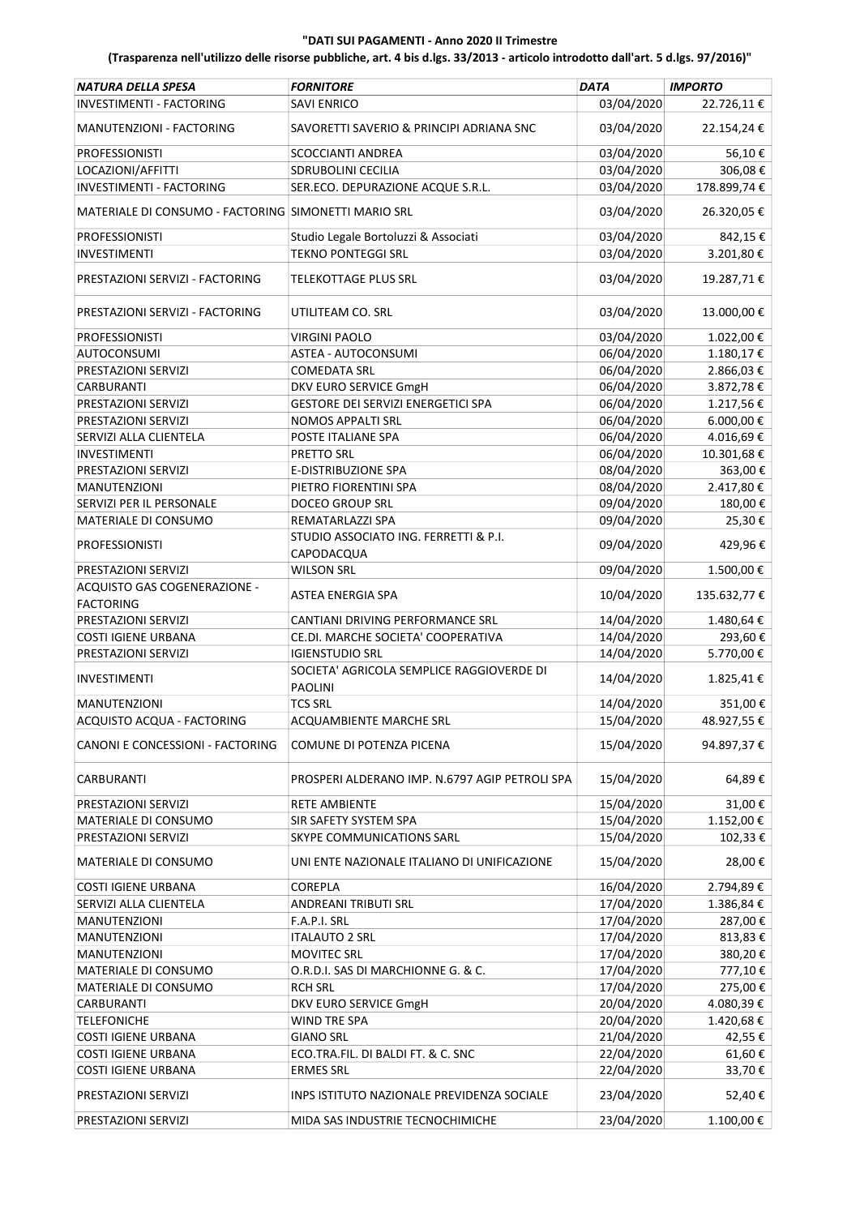| 03/04/2020<br>INVESTIMENTI - FACTORING<br>22.726,11€<br><b>SAVI ENRICO</b><br>MANUTENZIONI - FACTORING<br>SAVORETTI SAVERIO & PRINCIPI ADRIANA SNC<br>03/04/2020<br>22.154,24€<br>03/04/2020<br>56,10€<br><b>PROFESSIONISTI</b><br>SCOCCIANTI ANDREA<br>03/04/2020<br>306,08€<br>LOCAZIONI/AFFITTI<br><b>SDRUBOLINI CECILIA</b><br><b>INVESTIMENTI - FACTORING</b><br>03/04/2020<br>178.899,74€<br>SER.ECO. DEPURAZIONE ACQUE S.R.L.<br>03/04/2020<br>26.320,05€<br>MATERIALE DI CONSUMO - FACTORING SIMONETTI MARIO SRL<br>03/04/2020<br>842,15€<br><b>PROFESSIONISTI</b><br>Studio Legale Bortoluzzi & Associati<br>03/04/2020<br>3.201,80€<br><b>TEKNO PONTEGGI SRL</b><br><b>INVESTIMENTI</b><br>19.287,71€<br>03/04/2020<br>PRESTAZIONI SERVIZI - FACTORING<br><b>TELEKOTTAGE PLUS SRL</b><br>03/04/2020<br>13.000,00€<br>PRESTAZIONI SERVIZI - FACTORING<br>UTILITEAM CO. SRL<br>1.022,00€<br><b>PROFESSIONISTI</b><br><b>VIRGINI PAOLO</b><br>03/04/2020<br>06/04/2020<br>1.180,17€<br>AUTOCONSUMI<br>ASTEA - AUTOCONSUMI<br>06/04/2020<br>2.866,03€<br>PRESTAZIONI SERVIZI<br><b>COMEDATA SRL</b><br>DKV EURO SERVICE GmgH<br>06/04/2020<br>3.872,78€<br><b>CARBURANTI</b><br>06/04/2020<br>1.217,56€<br>PRESTAZIONI SERVIZI<br>GESTORE DEI SERVIZI ENERGETICI SPA<br>06/04/2020<br>6.000,00€<br>PRESTAZIONI SERVIZI<br><b>NOMOS APPALTI SRL</b><br>06/04/2020<br>4.016,69€<br>SERVIZI ALLA CLIENTELA<br>POSTE ITALIANE SPA<br>06/04/2020<br>10.301,68€<br>PRETTO SRL<br><b>INVESTIMENTI</b><br>08/04/2020<br>E-DISTRIBUZIONE SPA<br>363,00€<br>PRESTAZIONI SERVIZI<br>08/04/2020<br>2.417,80€<br><b>MANUTENZIONI</b><br>PIETRO FIORENTINI SPA<br>09/04/2020<br>180,00€<br>SERVIZI PER IL PERSONALE<br><b>DOCEO GROUP SRL</b><br>09/04/2020<br>25,30€<br>REMATARLAZZI SPA<br>MATERIALE DI CONSUMO<br>STUDIO ASSOCIATO ING. FERRETTI & P.I.<br>09/04/2020<br>429,96€<br><b>PROFESSIONISTI</b><br>CAPODACQUA<br>09/04/2020<br>1.500,00€<br><b>WILSON SRL</b><br>PRESTAZIONI SERVIZI<br>ACQUISTO GAS COGENERAZIONE -<br>10/04/2020<br>135.632,77€<br>ASTEA ENERGIA SPA<br><b>FACTORING</b><br>PRESTAZIONI SERVIZI<br>14/04/2020<br>1.480,64€<br>CANTIANI DRIVING PERFORMANCE SRL<br>14/04/2020<br>293,60€<br><b>COSTI IGIENE URBANA</b><br>CE.DI. MARCHE SOCIETA' COOPERATIVA<br>14/04/2020<br>5.770,00€<br>PRESTAZIONI SERVIZI<br><b>IGIENSTUDIO SRL</b><br>SOCIETA' AGRICOLA SEMPLICE RAGGIOVERDE DI<br>14/04/2020<br>1.825,41€<br><b>INVESTIMENTI</b><br><b>PAOLINI</b><br>351,00€<br><b>TCS SRL</b><br>14/04/2020<br><b>MANUTENZIONI</b><br>48.927,55€<br>ACQUAMBIENTE MARCHE SRL<br>15/04/2020<br>ACQUISTO ACQUA - FACTORING<br>15/04/2020<br>94.897,37€<br>CANONI E CONCESSIONI - FACTORING<br>COMUNE DI POTENZA PICENA<br>15/04/2020<br>64,89€<br>CARBURANTI<br>PROSPERI ALDERANO IMP. N.6797 AGIP PETROLI SPA<br>15/04/2020<br>31,00€<br>PRESTAZIONI SERVIZI<br><b>RETE AMBIENTE</b><br>SIR SAFETY SYSTEM SPA<br>15/04/2020<br>1.152,00€<br>MATERIALE DI CONSUMO<br>PRESTAZIONI SERVIZI<br>SKYPE COMMUNICATIONS SARL<br>15/04/2020<br>102,33€<br>15/04/2020<br>28,00€<br><b>MATERIALE DI CONSUMO</b><br>UNI ENTE NAZIONALE ITALIANO DI UNIFICAZIONE<br><b>COREPLA</b><br>16/04/2020<br>2.794,89€<br><b>COSTI IGIENE URBANA</b><br>17/04/2020<br>1.386,84€<br>SERVIZI ALLA CLIENTELA<br>ANDREANI TRIBUTI SRL<br>17/04/2020<br>287,00€<br><b>MANUTENZIONI</b><br>F.A.P.I. SRL<br>17/04/2020<br>813,83€<br>MANUTENZIONI<br><b>ITALAUTO 2 SRL</b><br><b>MOVITEC SRL</b><br>17/04/2020<br>380,20€<br><b>MANUTENZIONI</b><br>17/04/2020<br>777,10€<br>O.R.D.I. SAS DI MARCHIONNE G. & C.<br>MATERIALE DI CONSUMO<br>17/04/2020<br>275,00€<br><b>RCH SRL</b><br>MATERIALE DI CONSUMO<br>20/04/2020<br>4.080,39€<br>DKV EURO SERVICE GmgH<br>CARBURANTI<br>20/04/2020<br>1.420,68€<br>WIND TRE SPA<br><b>TELEFONICHE</b><br>42,55€<br><b>GIANO SRL</b><br>21/04/2020<br><b>COSTI IGIENE URBANA</b><br>COSTI IGIENE URBANA<br>22/04/2020<br>61,60€<br>ECO.TRA.FIL. DI BALDI FT. & C. SNC<br><b>ERMES SRL</b><br>22/04/2020<br>33,70€<br><b>COSTI IGIENE URBANA</b><br>23/04/2020<br>52,40€<br>PRESTAZIONI SERVIZI<br>INPS ISTITUTO NAZIONALE PREVIDENZA SOCIALE<br>1.100,00 €<br>23/04/2020<br>PRESTAZIONI SERVIZI<br>MIDA SAS INDUSTRIE TECNOCHIMICHE | <b>NATURA DELLA SPESA</b> | <b>FORNITORE</b> | <b>DATA</b> | <b>IMPORTO</b> |
|------------------------------------------------------------------------------------------------------------------------------------------------------------------------------------------------------------------------------------------------------------------------------------------------------------------------------------------------------------------------------------------------------------------------------------------------------------------------------------------------------------------------------------------------------------------------------------------------------------------------------------------------------------------------------------------------------------------------------------------------------------------------------------------------------------------------------------------------------------------------------------------------------------------------------------------------------------------------------------------------------------------------------------------------------------------------------------------------------------------------------------------------------------------------------------------------------------------------------------------------------------------------------------------------------------------------------------------------------------------------------------------------------------------------------------------------------------------------------------------------------------------------------------------------------------------------------------------------------------------------------------------------------------------------------------------------------------------------------------------------------------------------------------------------------------------------------------------------------------------------------------------------------------------------------------------------------------------------------------------------------------------------------------------------------------------------------------------------------------------------------------------------------------------------------------------------------------------------------------------------------------------------------------------------------------------------------------------------------------------------------------------------------------------------------------------------------------------------------------------------------------------------------------------------------------------------------------------------------------------------------------------------------------------------------------------------------------------------------------------------------------------------------------------------------------------------------------------------------------------------------------------------------------------------------------------------------------------------------------------------------------------------------------------------------------------------------------------------------------------------------------------------------------------------------------------------------------------------------------------------------------------------------------------------------------------------------------------------------------------------------------------------------------------------------------------------------------------------------------------------------------------------------------------------------------------------------------------------------------------------------------------------------------------------------------------------------------------------------------------------------------------------------------------------------------------------------------------------------------------------------------------------------------------------------------------------------------------------------------------------------------------------------------------------------------------------------------------------------------------------------------------------------------------------------------------------------------------------------------------------------------|---------------------------|------------------|-------------|----------------|
|                                                                                                                                                                                                                                                                                                                                                                                                                                                                                                                                                                                                                                                                                                                                                                                                                                                                                                                                                                                                                                                                                                                                                                                                                                                                                                                                                                                                                                                                                                                                                                                                                                                                                                                                                                                                                                                                                                                                                                                                                                                                                                                                                                                                                                                                                                                                                                                                                                                                                                                                                                                                                                                                                                                                                                                                                                                                                                                                                                                                                                                                                                                                                                                                                                                                                                                                                                                                                                                                                                                                                                                                                                                                                                                                                                                                                                                                                                                                                                                                                                                                                                                                                                                                                                                            |                           |                  |             |                |
|                                                                                                                                                                                                                                                                                                                                                                                                                                                                                                                                                                                                                                                                                                                                                                                                                                                                                                                                                                                                                                                                                                                                                                                                                                                                                                                                                                                                                                                                                                                                                                                                                                                                                                                                                                                                                                                                                                                                                                                                                                                                                                                                                                                                                                                                                                                                                                                                                                                                                                                                                                                                                                                                                                                                                                                                                                                                                                                                                                                                                                                                                                                                                                                                                                                                                                                                                                                                                                                                                                                                                                                                                                                                                                                                                                                                                                                                                                                                                                                                                                                                                                                                                                                                                                                            |                           |                  |             |                |
|                                                                                                                                                                                                                                                                                                                                                                                                                                                                                                                                                                                                                                                                                                                                                                                                                                                                                                                                                                                                                                                                                                                                                                                                                                                                                                                                                                                                                                                                                                                                                                                                                                                                                                                                                                                                                                                                                                                                                                                                                                                                                                                                                                                                                                                                                                                                                                                                                                                                                                                                                                                                                                                                                                                                                                                                                                                                                                                                                                                                                                                                                                                                                                                                                                                                                                                                                                                                                                                                                                                                                                                                                                                                                                                                                                                                                                                                                                                                                                                                                                                                                                                                                                                                                                                            |                           |                  |             |                |
|                                                                                                                                                                                                                                                                                                                                                                                                                                                                                                                                                                                                                                                                                                                                                                                                                                                                                                                                                                                                                                                                                                                                                                                                                                                                                                                                                                                                                                                                                                                                                                                                                                                                                                                                                                                                                                                                                                                                                                                                                                                                                                                                                                                                                                                                                                                                                                                                                                                                                                                                                                                                                                                                                                                                                                                                                                                                                                                                                                                                                                                                                                                                                                                                                                                                                                                                                                                                                                                                                                                                                                                                                                                                                                                                                                                                                                                                                                                                                                                                                                                                                                                                                                                                                                                            |                           |                  |             |                |
|                                                                                                                                                                                                                                                                                                                                                                                                                                                                                                                                                                                                                                                                                                                                                                                                                                                                                                                                                                                                                                                                                                                                                                                                                                                                                                                                                                                                                                                                                                                                                                                                                                                                                                                                                                                                                                                                                                                                                                                                                                                                                                                                                                                                                                                                                                                                                                                                                                                                                                                                                                                                                                                                                                                                                                                                                                                                                                                                                                                                                                                                                                                                                                                                                                                                                                                                                                                                                                                                                                                                                                                                                                                                                                                                                                                                                                                                                                                                                                                                                                                                                                                                                                                                                                                            |                           |                  |             |                |
|                                                                                                                                                                                                                                                                                                                                                                                                                                                                                                                                                                                                                                                                                                                                                                                                                                                                                                                                                                                                                                                                                                                                                                                                                                                                                                                                                                                                                                                                                                                                                                                                                                                                                                                                                                                                                                                                                                                                                                                                                                                                                                                                                                                                                                                                                                                                                                                                                                                                                                                                                                                                                                                                                                                                                                                                                                                                                                                                                                                                                                                                                                                                                                                                                                                                                                                                                                                                                                                                                                                                                                                                                                                                                                                                                                                                                                                                                                                                                                                                                                                                                                                                                                                                                                                            |                           |                  |             |                |
|                                                                                                                                                                                                                                                                                                                                                                                                                                                                                                                                                                                                                                                                                                                                                                                                                                                                                                                                                                                                                                                                                                                                                                                                                                                                                                                                                                                                                                                                                                                                                                                                                                                                                                                                                                                                                                                                                                                                                                                                                                                                                                                                                                                                                                                                                                                                                                                                                                                                                                                                                                                                                                                                                                                                                                                                                                                                                                                                                                                                                                                                                                                                                                                                                                                                                                                                                                                                                                                                                                                                                                                                                                                                                                                                                                                                                                                                                                                                                                                                                                                                                                                                                                                                                                                            |                           |                  |             |                |
|                                                                                                                                                                                                                                                                                                                                                                                                                                                                                                                                                                                                                                                                                                                                                                                                                                                                                                                                                                                                                                                                                                                                                                                                                                                                                                                                                                                                                                                                                                                                                                                                                                                                                                                                                                                                                                                                                                                                                                                                                                                                                                                                                                                                                                                                                                                                                                                                                                                                                                                                                                                                                                                                                                                                                                                                                                                                                                                                                                                                                                                                                                                                                                                                                                                                                                                                                                                                                                                                                                                                                                                                                                                                                                                                                                                                                                                                                                                                                                                                                                                                                                                                                                                                                                                            |                           |                  |             |                |
|                                                                                                                                                                                                                                                                                                                                                                                                                                                                                                                                                                                                                                                                                                                                                                                                                                                                                                                                                                                                                                                                                                                                                                                                                                                                                                                                                                                                                                                                                                                                                                                                                                                                                                                                                                                                                                                                                                                                                                                                                                                                                                                                                                                                                                                                                                                                                                                                                                                                                                                                                                                                                                                                                                                                                                                                                                                                                                                                                                                                                                                                                                                                                                                                                                                                                                                                                                                                                                                                                                                                                                                                                                                                                                                                                                                                                                                                                                                                                                                                                                                                                                                                                                                                                                                            |                           |                  |             |                |
|                                                                                                                                                                                                                                                                                                                                                                                                                                                                                                                                                                                                                                                                                                                                                                                                                                                                                                                                                                                                                                                                                                                                                                                                                                                                                                                                                                                                                                                                                                                                                                                                                                                                                                                                                                                                                                                                                                                                                                                                                                                                                                                                                                                                                                                                                                                                                                                                                                                                                                                                                                                                                                                                                                                                                                                                                                                                                                                                                                                                                                                                                                                                                                                                                                                                                                                                                                                                                                                                                                                                                                                                                                                                                                                                                                                                                                                                                                                                                                                                                                                                                                                                                                                                                                                            |                           |                  |             |                |
|                                                                                                                                                                                                                                                                                                                                                                                                                                                                                                                                                                                                                                                                                                                                                                                                                                                                                                                                                                                                                                                                                                                                                                                                                                                                                                                                                                                                                                                                                                                                                                                                                                                                                                                                                                                                                                                                                                                                                                                                                                                                                                                                                                                                                                                                                                                                                                                                                                                                                                                                                                                                                                                                                                                                                                                                                                                                                                                                                                                                                                                                                                                                                                                                                                                                                                                                                                                                                                                                                                                                                                                                                                                                                                                                                                                                                                                                                                                                                                                                                                                                                                                                                                                                                                                            |                           |                  |             |                |
|                                                                                                                                                                                                                                                                                                                                                                                                                                                                                                                                                                                                                                                                                                                                                                                                                                                                                                                                                                                                                                                                                                                                                                                                                                                                                                                                                                                                                                                                                                                                                                                                                                                                                                                                                                                                                                                                                                                                                                                                                                                                                                                                                                                                                                                                                                                                                                                                                                                                                                                                                                                                                                                                                                                                                                                                                                                                                                                                                                                                                                                                                                                                                                                                                                                                                                                                                                                                                                                                                                                                                                                                                                                                                                                                                                                                                                                                                                                                                                                                                                                                                                                                                                                                                                                            |                           |                  |             |                |
|                                                                                                                                                                                                                                                                                                                                                                                                                                                                                                                                                                                                                                                                                                                                                                                                                                                                                                                                                                                                                                                                                                                                                                                                                                                                                                                                                                                                                                                                                                                                                                                                                                                                                                                                                                                                                                                                                                                                                                                                                                                                                                                                                                                                                                                                                                                                                                                                                                                                                                                                                                                                                                                                                                                                                                                                                                                                                                                                                                                                                                                                                                                                                                                                                                                                                                                                                                                                                                                                                                                                                                                                                                                                                                                                                                                                                                                                                                                                                                                                                                                                                                                                                                                                                                                            |                           |                  |             |                |
|                                                                                                                                                                                                                                                                                                                                                                                                                                                                                                                                                                                                                                                                                                                                                                                                                                                                                                                                                                                                                                                                                                                                                                                                                                                                                                                                                                                                                                                                                                                                                                                                                                                                                                                                                                                                                                                                                                                                                                                                                                                                                                                                                                                                                                                                                                                                                                                                                                                                                                                                                                                                                                                                                                                                                                                                                                                                                                                                                                                                                                                                                                                                                                                                                                                                                                                                                                                                                                                                                                                                                                                                                                                                                                                                                                                                                                                                                                                                                                                                                                                                                                                                                                                                                                                            |                           |                  |             |                |
|                                                                                                                                                                                                                                                                                                                                                                                                                                                                                                                                                                                                                                                                                                                                                                                                                                                                                                                                                                                                                                                                                                                                                                                                                                                                                                                                                                                                                                                                                                                                                                                                                                                                                                                                                                                                                                                                                                                                                                                                                                                                                                                                                                                                                                                                                                                                                                                                                                                                                                                                                                                                                                                                                                                                                                                                                                                                                                                                                                                                                                                                                                                                                                                                                                                                                                                                                                                                                                                                                                                                                                                                                                                                                                                                                                                                                                                                                                                                                                                                                                                                                                                                                                                                                                                            |                           |                  |             |                |
|                                                                                                                                                                                                                                                                                                                                                                                                                                                                                                                                                                                                                                                                                                                                                                                                                                                                                                                                                                                                                                                                                                                                                                                                                                                                                                                                                                                                                                                                                                                                                                                                                                                                                                                                                                                                                                                                                                                                                                                                                                                                                                                                                                                                                                                                                                                                                                                                                                                                                                                                                                                                                                                                                                                                                                                                                                                                                                                                                                                                                                                                                                                                                                                                                                                                                                                                                                                                                                                                                                                                                                                                                                                                                                                                                                                                                                                                                                                                                                                                                                                                                                                                                                                                                                                            |                           |                  |             |                |
|                                                                                                                                                                                                                                                                                                                                                                                                                                                                                                                                                                                                                                                                                                                                                                                                                                                                                                                                                                                                                                                                                                                                                                                                                                                                                                                                                                                                                                                                                                                                                                                                                                                                                                                                                                                                                                                                                                                                                                                                                                                                                                                                                                                                                                                                                                                                                                                                                                                                                                                                                                                                                                                                                                                                                                                                                                                                                                                                                                                                                                                                                                                                                                                                                                                                                                                                                                                                                                                                                                                                                                                                                                                                                                                                                                                                                                                                                                                                                                                                                                                                                                                                                                                                                                                            |                           |                  |             |                |
|                                                                                                                                                                                                                                                                                                                                                                                                                                                                                                                                                                                                                                                                                                                                                                                                                                                                                                                                                                                                                                                                                                                                                                                                                                                                                                                                                                                                                                                                                                                                                                                                                                                                                                                                                                                                                                                                                                                                                                                                                                                                                                                                                                                                                                                                                                                                                                                                                                                                                                                                                                                                                                                                                                                                                                                                                                                                                                                                                                                                                                                                                                                                                                                                                                                                                                                                                                                                                                                                                                                                                                                                                                                                                                                                                                                                                                                                                                                                                                                                                                                                                                                                                                                                                                                            |                           |                  |             |                |
|                                                                                                                                                                                                                                                                                                                                                                                                                                                                                                                                                                                                                                                                                                                                                                                                                                                                                                                                                                                                                                                                                                                                                                                                                                                                                                                                                                                                                                                                                                                                                                                                                                                                                                                                                                                                                                                                                                                                                                                                                                                                                                                                                                                                                                                                                                                                                                                                                                                                                                                                                                                                                                                                                                                                                                                                                                                                                                                                                                                                                                                                                                                                                                                                                                                                                                                                                                                                                                                                                                                                                                                                                                                                                                                                                                                                                                                                                                                                                                                                                                                                                                                                                                                                                                                            |                           |                  |             |                |
|                                                                                                                                                                                                                                                                                                                                                                                                                                                                                                                                                                                                                                                                                                                                                                                                                                                                                                                                                                                                                                                                                                                                                                                                                                                                                                                                                                                                                                                                                                                                                                                                                                                                                                                                                                                                                                                                                                                                                                                                                                                                                                                                                                                                                                                                                                                                                                                                                                                                                                                                                                                                                                                                                                                                                                                                                                                                                                                                                                                                                                                                                                                                                                                                                                                                                                                                                                                                                                                                                                                                                                                                                                                                                                                                                                                                                                                                                                                                                                                                                                                                                                                                                                                                                                                            |                           |                  |             |                |
|                                                                                                                                                                                                                                                                                                                                                                                                                                                                                                                                                                                                                                                                                                                                                                                                                                                                                                                                                                                                                                                                                                                                                                                                                                                                                                                                                                                                                                                                                                                                                                                                                                                                                                                                                                                                                                                                                                                                                                                                                                                                                                                                                                                                                                                                                                                                                                                                                                                                                                                                                                                                                                                                                                                                                                                                                                                                                                                                                                                                                                                                                                                                                                                                                                                                                                                                                                                                                                                                                                                                                                                                                                                                                                                                                                                                                                                                                                                                                                                                                                                                                                                                                                                                                                                            |                           |                  |             |                |
|                                                                                                                                                                                                                                                                                                                                                                                                                                                                                                                                                                                                                                                                                                                                                                                                                                                                                                                                                                                                                                                                                                                                                                                                                                                                                                                                                                                                                                                                                                                                                                                                                                                                                                                                                                                                                                                                                                                                                                                                                                                                                                                                                                                                                                                                                                                                                                                                                                                                                                                                                                                                                                                                                                                                                                                                                                                                                                                                                                                                                                                                                                                                                                                                                                                                                                                                                                                                                                                                                                                                                                                                                                                                                                                                                                                                                                                                                                                                                                                                                                                                                                                                                                                                                                                            |                           |                  |             |                |
|                                                                                                                                                                                                                                                                                                                                                                                                                                                                                                                                                                                                                                                                                                                                                                                                                                                                                                                                                                                                                                                                                                                                                                                                                                                                                                                                                                                                                                                                                                                                                                                                                                                                                                                                                                                                                                                                                                                                                                                                                                                                                                                                                                                                                                                                                                                                                                                                                                                                                                                                                                                                                                                                                                                                                                                                                                                                                                                                                                                                                                                                                                                                                                                                                                                                                                                                                                                                                                                                                                                                                                                                                                                                                                                                                                                                                                                                                                                                                                                                                                                                                                                                                                                                                                                            |                           |                  |             |                |
|                                                                                                                                                                                                                                                                                                                                                                                                                                                                                                                                                                                                                                                                                                                                                                                                                                                                                                                                                                                                                                                                                                                                                                                                                                                                                                                                                                                                                                                                                                                                                                                                                                                                                                                                                                                                                                                                                                                                                                                                                                                                                                                                                                                                                                                                                                                                                                                                                                                                                                                                                                                                                                                                                                                                                                                                                                                                                                                                                                                                                                                                                                                                                                                                                                                                                                                                                                                                                                                                                                                                                                                                                                                                                                                                                                                                                                                                                                                                                                                                                                                                                                                                                                                                                                                            |                           |                  |             |                |
|                                                                                                                                                                                                                                                                                                                                                                                                                                                                                                                                                                                                                                                                                                                                                                                                                                                                                                                                                                                                                                                                                                                                                                                                                                                                                                                                                                                                                                                                                                                                                                                                                                                                                                                                                                                                                                                                                                                                                                                                                                                                                                                                                                                                                                                                                                                                                                                                                                                                                                                                                                                                                                                                                                                                                                                                                                                                                                                                                                                                                                                                                                                                                                                                                                                                                                                                                                                                                                                                                                                                                                                                                                                                                                                                                                                                                                                                                                                                                                                                                                                                                                                                                                                                                                                            |                           |                  |             |                |
|                                                                                                                                                                                                                                                                                                                                                                                                                                                                                                                                                                                                                                                                                                                                                                                                                                                                                                                                                                                                                                                                                                                                                                                                                                                                                                                                                                                                                                                                                                                                                                                                                                                                                                                                                                                                                                                                                                                                                                                                                                                                                                                                                                                                                                                                                                                                                                                                                                                                                                                                                                                                                                                                                                                                                                                                                                                                                                                                                                                                                                                                                                                                                                                                                                                                                                                                                                                                                                                                                                                                                                                                                                                                                                                                                                                                                                                                                                                                                                                                                                                                                                                                                                                                                                                            |                           |                  |             |                |
|                                                                                                                                                                                                                                                                                                                                                                                                                                                                                                                                                                                                                                                                                                                                                                                                                                                                                                                                                                                                                                                                                                                                                                                                                                                                                                                                                                                                                                                                                                                                                                                                                                                                                                                                                                                                                                                                                                                                                                                                                                                                                                                                                                                                                                                                                                                                                                                                                                                                                                                                                                                                                                                                                                                                                                                                                                                                                                                                                                                                                                                                                                                                                                                                                                                                                                                                                                                                                                                                                                                                                                                                                                                                                                                                                                                                                                                                                                                                                                                                                                                                                                                                                                                                                                                            |                           |                  |             |                |
|                                                                                                                                                                                                                                                                                                                                                                                                                                                                                                                                                                                                                                                                                                                                                                                                                                                                                                                                                                                                                                                                                                                                                                                                                                                                                                                                                                                                                                                                                                                                                                                                                                                                                                                                                                                                                                                                                                                                                                                                                                                                                                                                                                                                                                                                                                                                                                                                                                                                                                                                                                                                                                                                                                                                                                                                                                                                                                                                                                                                                                                                                                                                                                                                                                                                                                                                                                                                                                                                                                                                                                                                                                                                                                                                                                                                                                                                                                                                                                                                                                                                                                                                                                                                                                                            |                           |                  |             |                |
|                                                                                                                                                                                                                                                                                                                                                                                                                                                                                                                                                                                                                                                                                                                                                                                                                                                                                                                                                                                                                                                                                                                                                                                                                                                                                                                                                                                                                                                                                                                                                                                                                                                                                                                                                                                                                                                                                                                                                                                                                                                                                                                                                                                                                                                                                                                                                                                                                                                                                                                                                                                                                                                                                                                                                                                                                                                                                                                                                                                                                                                                                                                                                                                                                                                                                                                                                                                                                                                                                                                                                                                                                                                                                                                                                                                                                                                                                                                                                                                                                                                                                                                                                                                                                                                            |                           |                  |             |                |
|                                                                                                                                                                                                                                                                                                                                                                                                                                                                                                                                                                                                                                                                                                                                                                                                                                                                                                                                                                                                                                                                                                                                                                                                                                                                                                                                                                                                                                                                                                                                                                                                                                                                                                                                                                                                                                                                                                                                                                                                                                                                                                                                                                                                                                                                                                                                                                                                                                                                                                                                                                                                                                                                                                                                                                                                                                                                                                                                                                                                                                                                                                                                                                                                                                                                                                                                                                                                                                                                                                                                                                                                                                                                                                                                                                                                                                                                                                                                                                                                                                                                                                                                                                                                                                                            |                           |                  |             |                |
|                                                                                                                                                                                                                                                                                                                                                                                                                                                                                                                                                                                                                                                                                                                                                                                                                                                                                                                                                                                                                                                                                                                                                                                                                                                                                                                                                                                                                                                                                                                                                                                                                                                                                                                                                                                                                                                                                                                                                                                                                                                                                                                                                                                                                                                                                                                                                                                                                                                                                                                                                                                                                                                                                                                                                                                                                                                                                                                                                                                                                                                                                                                                                                                                                                                                                                                                                                                                                                                                                                                                                                                                                                                                                                                                                                                                                                                                                                                                                                                                                                                                                                                                                                                                                                                            |                           |                  |             |                |
|                                                                                                                                                                                                                                                                                                                                                                                                                                                                                                                                                                                                                                                                                                                                                                                                                                                                                                                                                                                                                                                                                                                                                                                                                                                                                                                                                                                                                                                                                                                                                                                                                                                                                                                                                                                                                                                                                                                                                                                                                                                                                                                                                                                                                                                                                                                                                                                                                                                                                                                                                                                                                                                                                                                                                                                                                                                                                                                                                                                                                                                                                                                                                                                                                                                                                                                                                                                                                                                                                                                                                                                                                                                                                                                                                                                                                                                                                                                                                                                                                                                                                                                                                                                                                                                            |                           |                  |             |                |
|                                                                                                                                                                                                                                                                                                                                                                                                                                                                                                                                                                                                                                                                                                                                                                                                                                                                                                                                                                                                                                                                                                                                                                                                                                                                                                                                                                                                                                                                                                                                                                                                                                                                                                                                                                                                                                                                                                                                                                                                                                                                                                                                                                                                                                                                                                                                                                                                                                                                                                                                                                                                                                                                                                                                                                                                                                                                                                                                                                                                                                                                                                                                                                                                                                                                                                                                                                                                                                                                                                                                                                                                                                                                                                                                                                                                                                                                                                                                                                                                                                                                                                                                                                                                                                                            |                           |                  |             |                |
|                                                                                                                                                                                                                                                                                                                                                                                                                                                                                                                                                                                                                                                                                                                                                                                                                                                                                                                                                                                                                                                                                                                                                                                                                                                                                                                                                                                                                                                                                                                                                                                                                                                                                                                                                                                                                                                                                                                                                                                                                                                                                                                                                                                                                                                                                                                                                                                                                                                                                                                                                                                                                                                                                                                                                                                                                                                                                                                                                                                                                                                                                                                                                                                                                                                                                                                                                                                                                                                                                                                                                                                                                                                                                                                                                                                                                                                                                                                                                                                                                                                                                                                                                                                                                                                            |                           |                  |             |                |
|                                                                                                                                                                                                                                                                                                                                                                                                                                                                                                                                                                                                                                                                                                                                                                                                                                                                                                                                                                                                                                                                                                                                                                                                                                                                                                                                                                                                                                                                                                                                                                                                                                                                                                                                                                                                                                                                                                                                                                                                                                                                                                                                                                                                                                                                                                                                                                                                                                                                                                                                                                                                                                                                                                                                                                                                                                                                                                                                                                                                                                                                                                                                                                                                                                                                                                                                                                                                                                                                                                                                                                                                                                                                                                                                                                                                                                                                                                                                                                                                                                                                                                                                                                                                                                                            |                           |                  |             |                |
|                                                                                                                                                                                                                                                                                                                                                                                                                                                                                                                                                                                                                                                                                                                                                                                                                                                                                                                                                                                                                                                                                                                                                                                                                                                                                                                                                                                                                                                                                                                                                                                                                                                                                                                                                                                                                                                                                                                                                                                                                                                                                                                                                                                                                                                                                                                                                                                                                                                                                                                                                                                                                                                                                                                                                                                                                                                                                                                                                                                                                                                                                                                                                                                                                                                                                                                                                                                                                                                                                                                                                                                                                                                                                                                                                                                                                                                                                                                                                                                                                                                                                                                                                                                                                                                            |                           |                  |             |                |
|                                                                                                                                                                                                                                                                                                                                                                                                                                                                                                                                                                                                                                                                                                                                                                                                                                                                                                                                                                                                                                                                                                                                                                                                                                                                                                                                                                                                                                                                                                                                                                                                                                                                                                                                                                                                                                                                                                                                                                                                                                                                                                                                                                                                                                                                                                                                                                                                                                                                                                                                                                                                                                                                                                                                                                                                                                                                                                                                                                                                                                                                                                                                                                                                                                                                                                                                                                                                                                                                                                                                                                                                                                                                                                                                                                                                                                                                                                                                                                                                                                                                                                                                                                                                                                                            |                           |                  |             |                |
|                                                                                                                                                                                                                                                                                                                                                                                                                                                                                                                                                                                                                                                                                                                                                                                                                                                                                                                                                                                                                                                                                                                                                                                                                                                                                                                                                                                                                                                                                                                                                                                                                                                                                                                                                                                                                                                                                                                                                                                                                                                                                                                                                                                                                                                                                                                                                                                                                                                                                                                                                                                                                                                                                                                                                                                                                                                                                                                                                                                                                                                                                                                                                                                                                                                                                                                                                                                                                                                                                                                                                                                                                                                                                                                                                                                                                                                                                                                                                                                                                                                                                                                                                                                                                                                            |                           |                  |             |                |
|                                                                                                                                                                                                                                                                                                                                                                                                                                                                                                                                                                                                                                                                                                                                                                                                                                                                                                                                                                                                                                                                                                                                                                                                                                                                                                                                                                                                                                                                                                                                                                                                                                                                                                                                                                                                                                                                                                                                                                                                                                                                                                                                                                                                                                                                                                                                                                                                                                                                                                                                                                                                                                                                                                                                                                                                                                                                                                                                                                                                                                                                                                                                                                                                                                                                                                                                                                                                                                                                                                                                                                                                                                                                                                                                                                                                                                                                                                                                                                                                                                                                                                                                                                                                                                                            |                           |                  |             |                |
|                                                                                                                                                                                                                                                                                                                                                                                                                                                                                                                                                                                                                                                                                                                                                                                                                                                                                                                                                                                                                                                                                                                                                                                                                                                                                                                                                                                                                                                                                                                                                                                                                                                                                                                                                                                                                                                                                                                                                                                                                                                                                                                                                                                                                                                                                                                                                                                                                                                                                                                                                                                                                                                                                                                                                                                                                                                                                                                                                                                                                                                                                                                                                                                                                                                                                                                                                                                                                                                                                                                                                                                                                                                                                                                                                                                                                                                                                                                                                                                                                                                                                                                                                                                                                                                            |                           |                  |             |                |
|                                                                                                                                                                                                                                                                                                                                                                                                                                                                                                                                                                                                                                                                                                                                                                                                                                                                                                                                                                                                                                                                                                                                                                                                                                                                                                                                                                                                                                                                                                                                                                                                                                                                                                                                                                                                                                                                                                                                                                                                                                                                                                                                                                                                                                                                                                                                                                                                                                                                                                                                                                                                                                                                                                                                                                                                                                                                                                                                                                                                                                                                                                                                                                                                                                                                                                                                                                                                                                                                                                                                                                                                                                                                                                                                                                                                                                                                                                                                                                                                                                                                                                                                                                                                                                                            |                           |                  |             |                |
|                                                                                                                                                                                                                                                                                                                                                                                                                                                                                                                                                                                                                                                                                                                                                                                                                                                                                                                                                                                                                                                                                                                                                                                                                                                                                                                                                                                                                                                                                                                                                                                                                                                                                                                                                                                                                                                                                                                                                                                                                                                                                                                                                                                                                                                                                                                                                                                                                                                                                                                                                                                                                                                                                                                                                                                                                                                                                                                                                                                                                                                                                                                                                                                                                                                                                                                                                                                                                                                                                                                                                                                                                                                                                                                                                                                                                                                                                                                                                                                                                                                                                                                                                                                                                                                            |                           |                  |             |                |
|                                                                                                                                                                                                                                                                                                                                                                                                                                                                                                                                                                                                                                                                                                                                                                                                                                                                                                                                                                                                                                                                                                                                                                                                                                                                                                                                                                                                                                                                                                                                                                                                                                                                                                                                                                                                                                                                                                                                                                                                                                                                                                                                                                                                                                                                                                                                                                                                                                                                                                                                                                                                                                                                                                                                                                                                                                                                                                                                                                                                                                                                                                                                                                                                                                                                                                                                                                                                                                                                                                                                                                                                                                                                                                                                                                                                                                                                                                                                                                                                                                                                                                                                                                                                                                                            |                           |                  |             |                |
|                                                                                                                                                                                                                                                                                                                                                                                                                                                                                                                                                                                                                                                                                                                                                                                                                                                                                                                                                                                                                                                                                                                                                                                                                                                                                                                                                                                                                                                                                                                                                                                                                                                                                                                                                                                                                                                                                                                                                                                                                                                                                                                                                                                                                                                                                                                                                                                                                                                                                                                                                                                                                                                                                                                                                                                                                                                                                                                                                                                                                                                                                                                                                                                                                                                                                                                                                                                                                                                                                                                                                                                                                                                                                                                                                                                                                                                                                                                                                                                                                                                                                                                                                                                                                                                            |                           |                  |             |                |
|                                                                                                                                                                                                                                                                                                                                                                                                                                                                                                                                                                                                                                                                                                                                                                                                                                                                                                                                                                                                                                                                                                                                                                                                                                                                                                                                                                                                                                                                                                                                                                                                                                                                                                                                                                                                                                                                                                                                                                                                                                                                                                                                                                                                                                                                                                                                                                                                                                                                                                                                                                                                                                                                                                                                                                                                                                                                                                                                                                                                                                                                                                                                                                                                                                                                                                                                                                                                                                                                                                                                                                                                                                                                                                                                                                                                                                                                                                                                                                                                                                                                                                                                                                                                                                                            |                           |                  |             |                |
|                                                                                                                                                                                                                                                                                                                                                                                                                                                                                                                                                                                                                                                                                                                                                                                                                                                                                                                                                                                                                                                                                                                                                                                                                                                                                                                                                                                                                                                                                                                                                                                                                                                                                                                                                                                                                                                                                                                                                                                                                                                                                                                                                                                                                                                                                                                                                                                                                                                                                                                                                                                                                                                                                                                                                                                                                                                                                                                                                                                                                                                                                                                                                                                                                                                                                                                                                                                                                                                                                                                                                                                                                                                                                                                                                                                                                                                                                                                                                                                                                                                                                                                                                                                                                                                            |                           |                  |             |                |
|                                                                                                                                                                                                                                                                                                                                                                                                                                                                                                                                                                                                                                                                                                                                                                                                                                                                                                                                                                                                                                                                                                                                                                                                                                                                                                                                                                                                                                                                                                                                                                                                                                                                                                                                                                                                                                                                                                                                                                                                                                                                                                                                                                                                                                                                                                                                                                                                                                                                                                                                                                                                                                                                                                                                                                                                                                                                                                                                                                                                                                                                                                                                                                                                                                                                                                                                                                                                                                                                                                                                                                                                                                                                                                                                                                                                                                                                                                                                                                                                                                                                                                                                                                                                                                                            |                           |                  |             |                |
|                                                                                                                                                                                                                                                                                                                                                                                                                                                                                                                                                                                                                                                                                                                                                                                                                                                                                                                                                                                                                                                                                                                                                                                                                                                                                                                                                                                                                                                                                                                                                                                                                                                                                                                                                                                                                                                                                                                                                                                                                                                                                                                                                                                                                                                                                                                                                                                                                                                                                                                                                                                                                                                                                                                                                                                                                                                                                                                                                                                                                                                                                                                                                                                                                                                                                                                                                                                                                                                                                                                                                                                                                                                                                                                                                                                                                                                                                                                                                                                                                                                                                                                                                                                                                                                            |                           |                  |             |                |
|                                                                                                                                                                                                                                                                                                                                                                                                                                                                                                                                                                                                                                                                                                                                                                                                                                                                                                                                                                                                                                                                                                                                                                                                                                                                                                                                                                                                                                                                                                                                                                                                                                                                                                                                                                                                                                                                                                                                                                                                                                                                                                                                                                                                                                                                                                                                                                                                                                                                                                                                                                                                                                                                                                                                                                                                                                                                                                                                                                                                                                                                                                                                                                                                                                                                                                                                                                                                                                                                                                                                                                                                                                                                                                                                                                                                                                                                                                                                                                                                                                                                                                                                                                                                                                                            |                           |                  |             |                |
|                                                                                                                                                                                                                                                                                                                                                                                                                                                                                                                                                                                                                                                                                                                                                                                                                                                                                                                                                                                                                                                                                                                                                                                                                                                                                                                                                                                                                                                                                                                                                                                                                                                                                                                                                                                                                                                                                                                                                                                                                                                                                                                                                                                                                                                                                                                                                                                                                                                                                                                                                                                                                                                                                                                                                                                                                                                                                                                                                                                                                                                                                                                                                                                                                                                                                                                                                                                                                                                                                                                                                                                                                                                                                                                                                                                                                                                                                                                                                                                                                                                                                                                                                                                                                                                            |                           |                  |             |                |
|                                                                                                                                                                                                                                                                                                                                                                                                                                                                                                                                                                                                                                                                                                                                                                                                                                                                                                                                                                                                                                                                                                                                                                                                                                                                                                                                                                                                                                                                                                                                                                                                                                                                                                                                                                                                                                                                                                                                                                                                                                                                                                                                                                                                                                                                                                                                                                                                                                                                                                                                                                                                                                                                                                                                                                                                                                                                                                                                                                                                                                                                                                                                                                                                                                                                                                                                                                                                                                                                                                                                                                                                                                                                                                                                                                                                                                                                                                                                                                                                                                                                                                                                                                                                                                                            |                           |                  |             |                |
|                                                                                                                                                                                                                                                                                                                                                                                                                                                                                                                                                                                                                                                                                                                                                                                                                                                                                                                                                                                                                                                                                                                                                                                                                                                                                                                                                                                                                                                                                                                                                                                                                                                                                                                                                                                                                                                                                                                                                                                                                                                                                                                                                                                                                                                                                                                                                                                                                                                                                                                                                                                                                                                                                                                                                                                                                                                                                                                                                                                                                                                                                                                                                                                                                                                                                                                                                                                                                                                                                                                                                                                                                                                                                                                                                                                                                                                                                                                                                                                                                                                                                                                                                                                                                                                            |                           |                  |             |                |
|                                                                                                                                                                                                                                                                                                                                                                                                                                                                                                                                                                                                                                                                                                                                                                                                                                                                                                                                                                                                                                                                                                                                                                                                                                                                                                                                                                                                                                                                                                                                                                                                                                                                                                                                                                                                                                                                                                                                                                                                                                                                                                                                                                                                                                                                                                                                                                                                                                                                                                                                                                                                                                                                                                                                                                                                                                                                                                                                                                                                                                                                                                                                                                                                                                                                                                                                                                                                                                                                                                                                                                                                                                                                                                                                                                                                                                                                                                                                                                                                                                                                                                                                                                                                                                                            |                           |                  |             |                |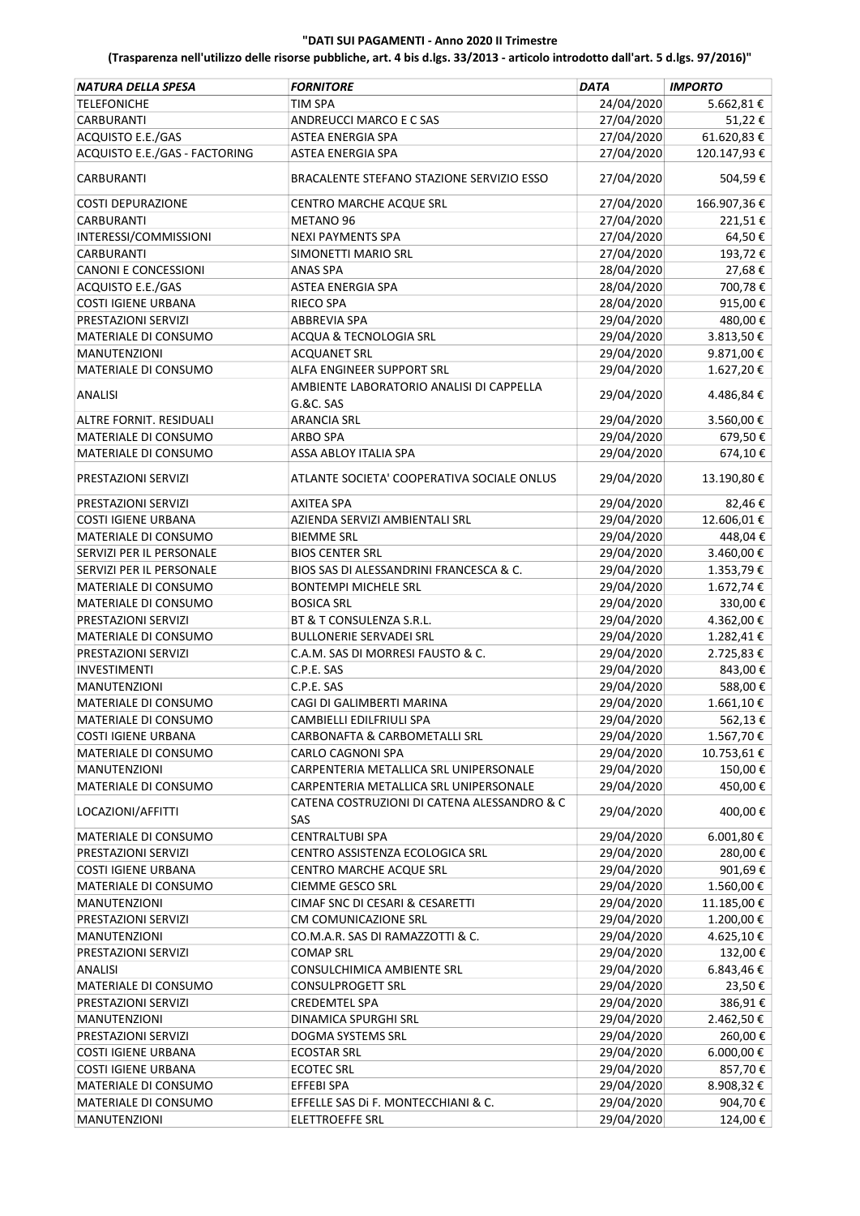| NATURA DELLA SPESA            | <b>FORNITORE</b>                            | <b>DATA</b> | <b>IMPORTO</b> |
|-------------------------------|---------------------------------------------|-------------|----------------|
| <b>TELEFONICHE</b>            | TIM SPA                                     | 24/04/2020  | 5.662,81 €     |
| CARBURANTI                    | ANDREUCCI MARCO E C SAS                     | 27/04/2020  | 51,22€         |
| ACQUISTO E.E./GAS             | ASTEA ENERGIA SPA                           | 27/04/2020  | 61.620,83€     |
| ACQUISTO E.E./GAS - FACTORING | ASTEA ENERGIA SPA                           | 27/04/2020  | 120.147,93€    |
| CARBURANTI                    | BRACALENTE STEFANO STAZIONE SERVIZIO ESSO   | 27/04/2020  | 504,59€        |
| <b>COSTI DEPURAZIONE</b>      | CENTRO MARCHE ACQUE SRL                     | 27/04/2020  | 166.907,36€    |
| CARBURANTI                    | METANO 96                                   | 27/04/2020  | 221,51€        |
| INTERESSI/COMMISSIONI         | <b>NEXI PAYMENTS SPA</b>                    | 27/04/2020  | 64,50€         |
| <b>CARBURANTI</b>             | SIMONETTI MARIO SRL                         | 27/04/2020  | 193,72€        |
| <b>CANONI E CONCESSIONI</b>   | <b>ANAS SPA</b>                             | 28/04/2020  | 27,68€         |
| ACQUISTO E.E./GAS             | ASTEA ENERGIA SPA                           | 28/04/2020  | 700,78€        |
| <b>COSTI IGIENE URBANA</b>    | <b>RIECO SPA</b>                            | 28/04/2020  | 915,00€        |
| PRESTAZIONI SERVIZI           | <b>ABBREVIA SPA</b>                         | 29/04/2020  | 480,00€        |
| MATERIALE DI CONSUMO          | ACQUA & TECNOLOGIA SRL                      | 29/04/2020  | 3.813,50€      |
| <b>MANUTENZIONI</b>           | <b>ACQUANET SRL</b>                         | 29/04/2020  | 9.871,00€      |
| MATERIALE DI CONSUMO          | ALFA ENGINEER SUPPORT SRL                   | 29/04/2020  | 1.627,20€      |
|                               | AMBIENTE LABORATORIO ANALISI DI CAPPELLA    |             |                |
| <b>ANALISI</b>                | <b>G.&amp;C. SAS</b>                        | 29/04/2020  | 4.486,84€      |
| ALTRE FORNIT. RESIDUALI       | <b>ARANCIA SRL</b>                          | 29/04/2020  | 3.560,00€      |
| MATERIALE DI CONSUMO          | <b>ARBO SPA</b>                             | 29/04/2020  | 679,50€        |
| MATERIALE DI CONSUMO          | ASSA ABLOY ITALIA SPA                       | 29/04/2020  | 674,10€        |
| PRESTAZIONI SERVIZI           | ATLANTE SOCIETA' COOPERATIVA SOCIALE ONLUS  | 29/04/2020  | 13.190,80€     |
| PRESTAZIONI SERVIZI           | AXITEA SPA                                  | 29/04/2020  | 82,46€         |
| <b>COSTI IGIENE URBANA</b>    | AZIENDA SERVIZI AMBIENTALI SRL              | 29/04/2020  | 12.606,01€     |
| MATERIALE DI CONSUMO          | <b>BIEMME SRL</b>                           | 29/04/2020  | 448,04 €       |
| SERVIZI PER IL PERSONALE      | <b>BIOS CENTER SRL</b>                      | 29/04/2020  | 3.460,00 €     |
| SERVIZI PER IL PERSONALE      | BIOS SAS DI ALESSANDRINI FRANCESCA & C.     | 29/04/2020  | 1.353,79€      |
| MATERIALE DI CONSUMO          | <b>BONTEMPI MICHELE SRL</b>                 | 29/04/2020  | 1.672,74€      |
| MATERIALE DI CONSUMO          | <b>BOSICA SRL</b>                           | 29/04/2020  | 330,00€        |
| PRESTAZIONI SERVIZI           | BT & T CONSULENZA S.R.L.                    | 29/04/2020  | 4.362,00€      |
| MATERIALE DI CONSUMO          | <b>BULLONERIE SERVADEI SRL</b>              | 29/04/2020  | 1.282,41€      |
| PRESTAZIONI SERVIZI           | C.A.M. SAS DI MORRESI FAUSTO & C.           | 29/04/2020  | 2.725,83€      |
| <b>INVESTIMENTI</b>           | C.P.E. SAS                                  | 29/04/2020  | 843,00€        |
| <b>MANUTENZIONI</b>           | C.P.E. SAS                                  | 29/04/2020  | 588,00€        |
| MATERIALE DI CONSUMO          | CAGI DI GALIMBERTI MARINA                   | 29/04/2020  | 1.661,10€      |
| <b>MATERIALE DI CONSUMO</b>   | CAMBIELLI EDILFRIULI SPA                    | 29/04/2020  | 562,13€        |
| <b>COSTI IGIENE URBANA</b>    | CARBONAFTA & CARBOMETALLI SRL               | 29/04/2020  | 1.567,70€      |
| MATERIALE DI CONSUMO          | <b>CARLO CAGNONI SPA</b>                    | 29/04/2020  | 10.753,61€     |
| MANUTENZIONI                  | CARPENTERIA METALLICA SRL UNIPERSONALE      | 29/04/2020  | 150,00€        |
| MATERIALE DI CONSUMO          | CARPENTERIA METALLICA SRL UNIPERSONALE      | 29/04/2020  | 450,00€        |
|                               | CATENA COSTRUZIONI DI CATENA ALESSANDRO & C |             |                |
| LOCAZIONI/AFFITTI             | SAS                                         | 29/04/2020  | 400,00€        |
| MATERIALE DI CONSUMO          | <b>CENTRALTUBI SPA</b>                      | 29/04/2020  | 6.001,80€      |
| PRESTAZIONI SERVIZI           | CENTRO ASSISTENZA ECOLOGICA SRL             | 29/04/2020  | 280,00€        |
| <b>COSTI IGIENE URBANA</b>    | CENTRO MARCHE ACQUE SRL                     | 29/04/2020  | 901,69€        |
| MATERIALE DI CONSUMO          | CIEMME GESCO SRL                            | 29/04/2020  | 1.560,00€      |
| MANUTENZIONI                  | CIMAF SNC DI CESARI & CESARETTI             | 29/04/2020  | 11.185,00€     |
| PRESTAZIONI SERVIZI           | CM COMUNICAZIONE SRL                        | 29/04/2020  | 1.200,00 €     |
| <b>MANUTENZIONI</b>           | CO.M.A.R. SAS DI RAMAZZOTTI & C.            | 29/04/2020  | 4.625,10€      |
| PRESTAZIONI SERVIZI           | <b>COMAP SRL</b>                            | 29/04/2020  | 132,00€        |
| <b>ANALISI</b>                | CONSULCHIMICA AMBIENTE SRL                  | 29/04/2020  | 6.843,46€      |
| MATERIALE DI CONSUMO          | CONSULPROGETT SRL                           | 29/04/2020  | 23,50€         |
| PRESTAZIONI SERVIZI           | <b>CREDEMTEL SPA</b>                        | 29/04/2020  | 386,91€        |
| MANUTENZIONI                  | DINAMICA SPURGHI SRL                        | 29/04/2020  | 2.462,50€      |
| PRESTAZIONI SERVIZI           | DOGMA SYSTEMS SRL                           | 29/04/2020  | 260,00€        |
| <b>COSTI IGIENE URBANA</b>    | <b>ECOSTAR SRL</b>                          | 29/04/2020  | 6.000,00 €     |
| <b>COSTI IGIENE URBANA</b>    | <b>ECOTEC SRL</b>                           | 29/04/2020  | 857,70€        |
| MATERIALE DI CONSUMO          | EFFEBI SPA                                  | 29/04/2020  | 8.908,32€      |
| MATERIALE DI CONSUMO          | EFFELLE SAS DI F. MONTECCHIANI & C.         | 29/04/2020  | 904,70€        |
| MANUTENZIONI                  | ELETTROEFFE SRL                             | 29/04/2020  | 124,00€        |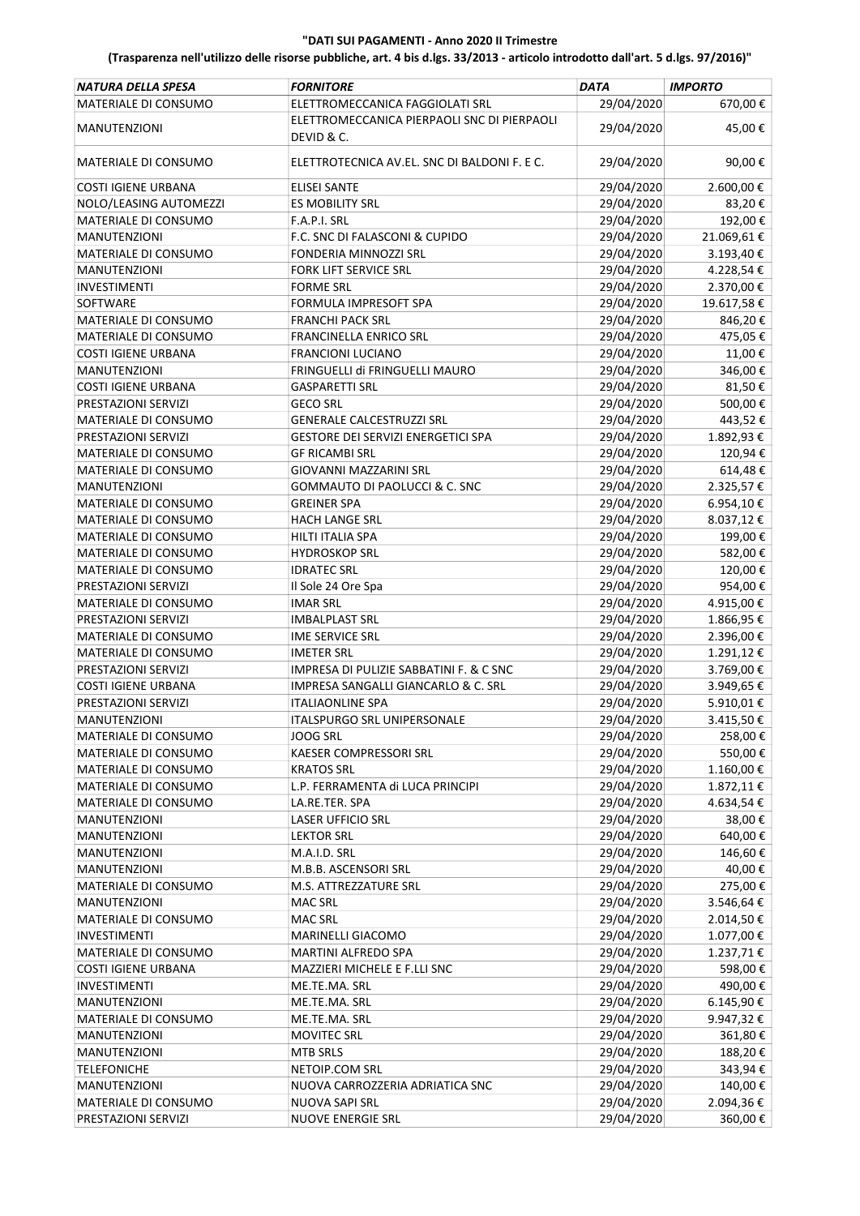| NATURA DELLA SPESA                          | <b>FORNITORE</b>                             | <b>DATA</b>              | <b>IMPORTO</b> |
|---------------------------------------------|----------------------------------------------|--------------------------|----------------|
| MATERIALE DI CONSUMO                        | ELETTROMECCANICA FAGGIOLATI SRL              | 29/04/2020               | 670,00€        |
|                                             | ELETTROMECCANICA PIERPAOLI SNC DI PIERPAOLI  |                          |                |
| <b>MANUTENZIONI</b>                         | DEVID & C.                                   | 29/04/2020               | 45,00€         |
|                                             |                                              |                          |                |
| MATERIALE DI CONSUMO                        | ELETTROTECNICA AV.EL. SNC DI BALDONI F. E C. | 29/04/2020               | 90,00€         |
| <b>COSTI IGIENE URBANA</b>                  | <b>ELISEI SANTE</b>                          | 29/04/2020               | 2.600,00€      |
| NOLO/LEASING AUTOMEZZI                      | <b>ES MOBILITY SRL</b>                       | 29/04/2020               | 83,20€         |
| MATERIALE DI CONSUMO                        | F.A.P.I. SRL                                 | 29/04/2020               | 192,00€        |
| <b>MANUTENZIONI</b>                         | F.C. SNC DI FALASCONI & CUPIDO               | 29/04/2020               | 21.069,61€     |
| MATERIALE DI CONSUMO                        | FONDERIA MINNOZZI SRL                        | 29/04/2020               | 3.193,40€      |
| <b>MANUTENZIONI</b>                         | <b>FORK LIFT SERVICE SRL</b>                 | 29/04/2020               | 4.228,54€      |
| <b>INVESTIMENTI</b>                         | <b>FORME SRL</b>                             | 29/04/2020               | 2.370,00€      |
| SOFTWARE                                    | FORMULA IMPRESOFT SPA                        | 29/04/2020               | 19.617,58€     |
| MATERIALE DI CONSUMO                        | <b>FRANCHI PACK SRL</b>                      | 29/04/2020               | 846,20€        |
| MATERIALE DI CONSUMO                        | <b>FRANCINELLA ENRICO SRL</b>                | 29/04/2020               | 475,05€        |
| <b>COSTI IGIENE URBANA</b>                  | <b>FRANCIONI LUCIANO</b>                     | 29/04/2020               | 11,00€         |
| <b>MANUTENZIONI</b>                         | FRINGUELLI di FRINGUELLI MAURO               | 29/04/2020               | 346,00€        |
| <b>COSTI IGIENE URBANA</b>                  | <b>GASPARETTI SRL</b>                        | 29/04/2020               | 81,50€         |
| PRESTAZIONI SERVIZI                         | <b>GECO SRL</b>                              | 29/04/2020               | 500,00€        |
| MATERIALE DI CONSUMO                        | <b>GENERALE CALCESTRUZZI SRL</b>             | 29/04/2020               | 443,52€        |
|                                             | GESTORE DEI SERVIZI ENERGETICI SPA           | 29/04/2020               | 1.892,93€      |
| PRESTAZIONI SERVIZI<br>MATERIALE DI CONSUMO | <b>GF RICAMBI SRL</b>                        | 29/04/2020               | 120,94€        |
|                                             | <b>GIOVANNI MAZZARINI SRL</b>                |                          |                |
| MATERIALE DI CONSUMO                        |                                              | 29/04/2020<br>29/04/2020 | 614,48€        |
| <b>MANUTENZIONI</b>                         | GOMMAUTO DI PAOLUCCI & C. SNC                |                          | 2.325,57€      |
| MATERIALE DI CONSUMO                        | <b>GREINER SPA</b>                           | 29/04/2020               | 6.954,10€      |
| MATERIALE DI CONSUMO                        | HACH LANGE SRL                               | 29/04/2020               | 8.037,12€      |
| MATERIALE DI CONSUMO                        | HILTI ITALIA SPA                             | 29/04/2020               | 199,00€        |
| MATERIALE DI CONSUMO                        | <b>HYDROSKOP SRL</b>                         | 29/04/2020               | 582,00€        |
| MATERIALE DI CONSUMO                        | <b>IDRATEC SRL</b>                           | 29/04/2020               | 120,00€        |
| PRESTAZIONI SERVIZI                         | Il Sole 24 Ore Spa                           | 29/04/2020               | 954,00€        |
| MATERIALE DI CONSUMO                        | <b>IMAR SRL</b>                              | 29/04/2020               | 4.915,00€      |
| PRESTAZIONI SERVIZI                         | <b>IMBALPLAST SRL</b>                        | 29/04/2020               | $1.866,95$ €   |
| MATERIALE DI CONSUMO                        | <b>IME SERVICE SRL</b>                       | 29/04/2020               | 2.396,00€      |
| MATERIALE DI CONSUMO                        | <b>IMETER SRL</b>                            | 29/04/2020               | 1.291,12€      |
| PRESTAZIONI SERVIZI                         | IMPRESA DI PULIZIE SABBATINI F. & C SNC      | 29/04/2020               | 3.769,00€      |
| <b>COSTI IGIENE URBANA</b>                  | IMPRESA SANGALLI GIANCARLO & C. SRL          | 29/04/2020               | 3.949,65€      |
| PRESTAZIONI SERVIZI                         | <b>ITALIAONLINE SPA</b>                      | 29/04/2020               | 5.910,01€      |
| <b>MANUTENZIONI</b>                         | <b>ITALSPURGO SRL UNIPERSONALE</b>           | 29/04/2020               | 3.415,50€      |
| MATERIALE DI CONSUMO                        | <b>JOOG SRL</b>                              | 29/04/2020               | 258,00€        |
| MATERIALE DI CONSUMO                        | KAESER COMPRESSORI SRL                       | 29/04/2020               | 550,00€        |
| MATERIALE DI CONSUMO                        | <b>KRATOS SRL</b>                            | 29/04/2020               | 1.160,00€      |
| MATERIALE DI CONSUMO                        | L.P. FERRAMENTA di LUCA PRINCIPI             | 29/04/2020               | 1.872,11€      |
| MATERIALE DI CONSUMO                        | LA.RE.TER. SPA                               | 29/04/2020               | 4.634,54€      |
| MANUTENZIONI                                | <b>LASER UFFICIO SRL</b>                     | 29/04/2020               | 38,00€         |
| <b>MANUTENZIONI</b>                         | <b>LEKTOR SRL</b>                            | 29/04/2020               | 640,00€        |
| <b>MANUTENZIONI</b>                         | M.A.I.D. SRL                                 | 29/04/2020               | 146,60€        |
| <b>MANUTENZIONI</b>                         | M.B.B. ASCENSORI SRL                         | 29/04/2020               | 40,00€         |
| MATERIALE DI CONSUMO                        | M.S. ATTREZZATURE SRL                        | 29/04/2020               | 275,00€        |
| MANUTENZIONI                                | <b>MAC SRL</b>                               | 29/04/2020               | 3.546,64€      |
| MATERIALE DI CONSUMO                        | <b>MAC SRL</b>                               | 29/04/2020               | 2.014,50€      |
| INVESTIMENTI                                | MARINELLI GIACOMO                            | 29/04/2020               | 1.077,00 €     |
| MATERIALE DI CONSUMO                        | MARTINI ALFREDO SPA                          | 29/04/2020               | 1.237,71€      |
| COSTI IGIENE URBANA                         | MAZZIERI MICHELE E F.LLI SNC                 | 29/04/2020               | 598,00€        |
| INVESTIMENTI                                | ME.TE.MA. SRL                                | 29/04/2020               | 490,00€        |
| MANUTENZIONI                                | ME.TE.MA. SRL                                | 29/04/2020               | 6.145,90€      |
| MATERIALE DI CONSUMO                        | ME.TE.MA. SRL                                | 29/04/2020               | 9.947,32€      |
| MANUTENZIONI                                | <b>MOVITEC SRL</b>                           | 29/04/2020               | 361,80€        |
| <b>MANUTENZIONI</b>                         | <b>MTB SRLS</b>                              | 29/04/2020               | 188,20€        |
| <b>TELEFONICHE</b>                          | NETOIP.COM SRL                               | 29/04/2020               | 343,94€        |
| MANUTENZIONI                                | NUOVA CARROZZERIA ADRIATICA SNC              | 29/04/2020               | 140,00€        |
| MATERIALE DI CONSUMO                        | NUOVA SAPI SRL                               | 29/04/2020               | 2.094,36€      |
| PRESTAZIONI SERVIZI                         | NUOVE ENERGIE SRL                            | 29/04/2020               | 360,00€        |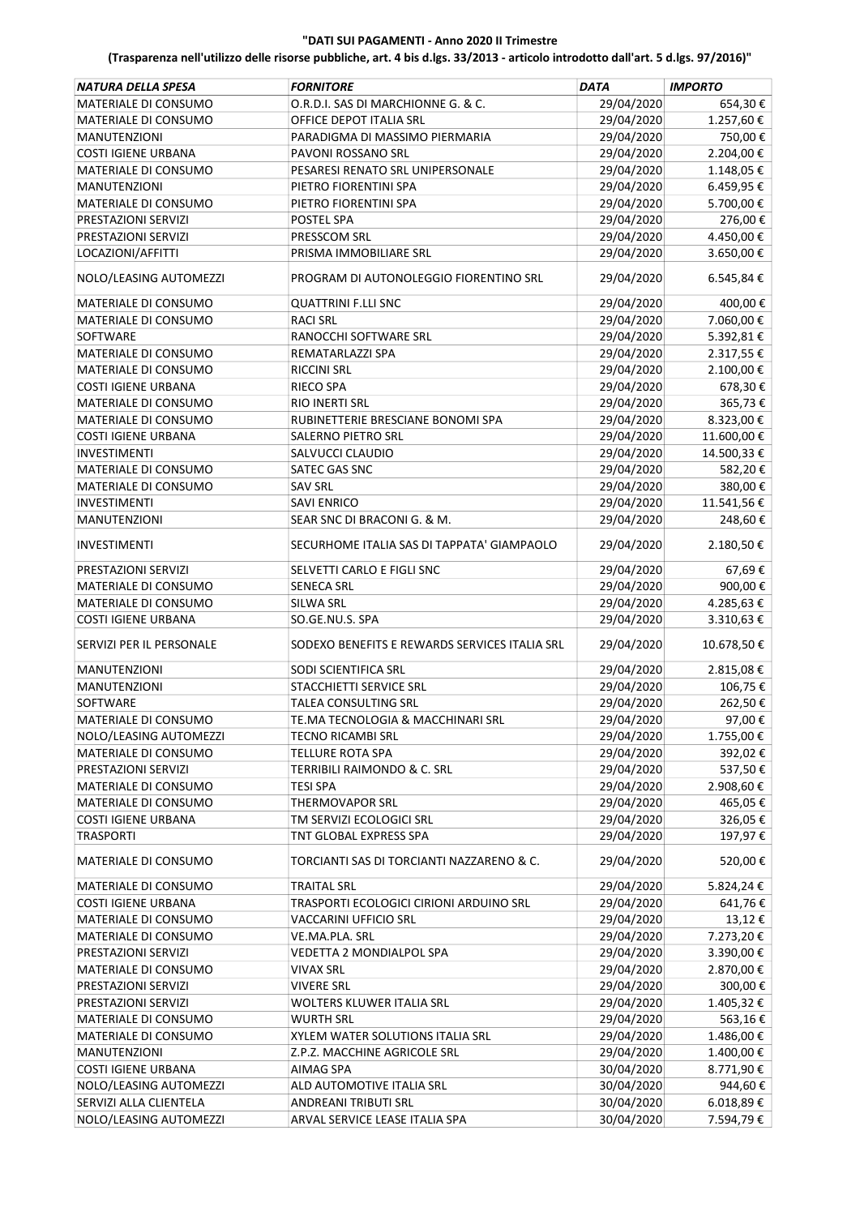| <b>NATURA DELLA SPESA</b>                    | <b>FORNITORE</b>                               | <b>DATA</b>              | <b>IMPORTO</b>       |
|----------------------------------------------|------------------------------------------------|--------------------------|----------------------|
| MATERIALE DI CONSUMO                         | O.R.D.I. SAS DI MARCHIONNE G. & C.             | 29/04/2020               | 654,30€              |
| MATERIALE DI CONSUMO                         | OFFICE DEPOT ITALIA SRL                        | 29/04/2020               | 1.257,60€            |
| MANUTENZIONI                                 | PARADIGMA DI MASSIMO PIERMARIA                 | 29/04/2020               | 750,00€              |
| <b>COSTI IGIENE URBANA</b>                   | PAVONI ROSSANO SRL                             | 29/04/2020               | 2.204,00€            |
| <b>MATERIALE DI CONSUMO</b>                  | PESARESI RENATO SRL UNIPERSONALE               | 29/04/2020               | 1.148,05€            |
| <b>MANUTENZIONI</b>                          | PIETRO FIORENTINI SPA                          | 29/04/2020               | 6.459,95€            |
| MATERIALE DI CONSUMO                         | PIETRO FIORENTINI SPA                          | 29/04/2020               | 5.700,00€            |
| PRESTAZIONI SERVIZI                          | POSTEL SPA                                     | 29/04/2020               | 276,00€              |
| PRESTAZIONI SERVIZI                          | PRESSCOM SRL                                   | 29/04/2020               | 4.450,00€            |
| LOCAZIONI/AFFITTI                            | PRISMA IMMOBILIARE SRL                         | 29/04/2020               | 3.650,00€            |
| NOLO/LEASING AUTOMEZZI                       | PROGRAM DI AUTONOLEGGIO FIORENTINO SRL         | 29/04/2020               | 6.545,84€            |
|                                              | <b>QUATTRINI F.LLI SNC</b>                     |                          |                      |
| MATERIALE DI CONSUMO<br>MATERIALE DI CONSUMO | <b>RACI SRL</b>                                | 29/04/2020<br>29/04/2020 | 400,00€<br>7.060,00€ |
| <b>SOFTWARE</b>                              | RANOCCHI SOFTWARE SRL                          |                          |                      |
|                                              |                                                | 29/04/2020               | 5.392,81€            |
| MATERIALE DI CONSUMO                         | REMATARLAZZI SPA                               | 29/04/2020               | 2.317,55€            |
| MATERIALE DI CONSUMO                         | <b>RICCINI SRL</b>                             | 29/04/2020               | 2.100,00€            |
| <b>COSTI IGIENE URBANA</b>                   | <b>RIECO SPA</b>                               | 29/04/2020               | 678,30€              |
| MATERIALE DI CONSUMO                         | RIO INERTI SRL                                 | 29/04/2020               | 365,73€              |
| MATERIALE DI CONSUMO                         | RUBINETTERIE BRESCIANE BONOMI SPA              | 29/04/2020               | 8.323,00 €           |
| <b>COSTI IGIENE URBANA</b>                   | SALERNO PIETRO SRL                             | 29/04/2020               | 11.600,00€           |
| <b>INVESTIMENTI</b>                          | SALVUCCI CLAUDIO                               | 29/04/2020               | 14.500,33 €          |
| MATERIALE DI CONSUMO                         | SATEC GAS SNC                                  | 29/04/2020               | 582,20€              |
| MATERIALE DI CONSUMO                         | <b>SAV SRL</b>                                 | 29/04/2020               | 380,00€              |
| <b>INVESTIMENTI</b>                          | <b>SAVI ENRICO</b>                             | 29/04/2020               | 11.541,56€           |
| <b>MANUTENZIONI</b>                          | SEAR SNC DI BRACONI G. & M.                    | 29/04/2020               | 248,60€              |
| <b>INVESTIMENTI</b>                          | SECURHOME ITALIA SAS DI TAPPATA' GIAMPAOLO     | 29/04/2020               | 2.180,50€            |
| PRESTAZIONI SERVIZI                          | SELVETTI CARLO E FIGLI SNC                     | 29/04/2020               | 67,69€               |
| MATERIALE DI CONSUMO                         | <b>SENECA SRL</b>                              | 29/04/2020               | 900,00€              |
| MATERIALE DI CONSUMO                         | SILWA SRL                                      | 29/04/2020               | 4.285,63€            |
| <b>COSTI IGIENE URBANA</b>                   | SO.GE.NU.S. SPA                                | 29/04/2020               | 3.310,63€            |
| SERVIZI PER IL PERSONALE                     | SODEXO BENEFITS E REWARDS SERVICES ITALIA SRL  | 29/04/2020               | 10.678,50€           |
| <b>MANUTENZIONI</b>                          | SODI SCIENTIFICA SRL                           | 29/04/2020               | 2.815,08€            |
| <b>MANUTENZIONI</b>                          | STACCHIETTI SERVICE SRL                        | 29/04/2020               | 106,75€              |
| SOFTWARE                                     | <b>TALEA CONSULTING SRL</b>                    | 29/04/2020               | 262,50€              |
| MATERIALE DI CONSUMO                         | TE.MA TECNOLOGIA & MACCHINARI SRL              | 29/04/2020               | 97,00€               |
| NOLO/LEASING AUTOMEZZI                       | TECNO RICAMBI SRL                              | 29/04/2020               | 1.755,00€            |
| MATERIALE DI CONSUMO                         | TELLURE ROTA SPA                               | 29/04/2020               | 392,02€              |
| PRESTAZIONI SERVIZI                          | TERRIBILI RAIMONDO & C. SRL                    | 29/04/2020               | 537,50€              |
| MATERIALE DI CONSUMO                         | TESI SPA                                       | 29/04/2020               | 2.908,60€            |
| MATERIALE DI CONSUMO                         | <b>THERMOVAPOR SRL</b>                         | 29/04/2020               | 465,05€              |
| <b>COSTI IGIENE URBANA</b>                   | TM SERVIZI ECOLOGICI SRL                       | 29/04/2020               | 326,05€              |
| <b>TRASPORTI</b>                             | TNT GLOBAL EXPRESS SPA                         | 29/04/2020               | 197,97€              |
| <b>MATERIALE DI CONSUMO</b>                  | TORCIANTI SAS DI TORCIANTI NAZZARENO & C.      | 29/04/2020               | 520,00€              |
| MATERIALE DI CONSUMO                         | <b>TRAITAL SRL</b>                             | 29/04/2020               | 5.824,24€            |
| <b>COSTI IGIENE URBANA</b>                   | TRASPORTI ECOLOGICI CIRIONI ARDUINO SRL        | 29/04/2020               | 641,76€              |
| MATERIALE DI CONSUMO                         | VACCARINI UFFICIO SRL                          | 29/04/2020               | 13,12€               |
| MATERIALE DI CONSUMO                         | VE.MA.PLA. SRL                                 | 29/04/2020               | 7.273,20€            |
| PRESTAZIONI SERVIZI                          | VEDETTA 2 MONDIALPOL SPA                       | 29/04/2020               | 3.390,00€            |
| MATERIALE DI CONSUMO                         | <b>VIVAX SRL</b>                               | 29/04/2020               | 2.870,00€            |
|                                              |                                                |                          |                      |
| PRESTAZIONI SERVIZI<br>PRESTAZIONI SERVIZI   | <b>VIVERE SRL</b><br>WOLTERS KLUWER ITALIA SRL | 29/04/2020<br>29/04/2020 | 300,00€<br>1.405,32€ |
|                                              |                                                |                          |                      |
| MATERIALE DI CONSUMO                         | <b>WURTH SRL</b>                               | 29/04/2020               | 563,16€              |
| MATERIALE DI CONSUMO                         | XYLEM WATER SOLUTIONS ITALIA SRL               | 29/04/2020               | 1.486,00€            |
| MANUTENZIONI                                 | Z.P.Z. MACCHINE AGRICOLE SRL                   | 29/04/2020               | 1.400,00 €           |
| <b>COSTI IGIENE URBANA</b>                   | AIMAG SPA                                      | 30/04/2020               | 8.771,90€            |
| NOLO/LEASING AUTOMEZZI                       | ALD AUTOMOTIVE ITALIA SRL                      | 30/04/2020               | 944,60€              |
| SERVIZI ALLA CLIENTELA                       | ANDREANI TRIBUTI SRL                           | 30/04/2020               | 6.018,89 €           |
| NOLO/LEASING AUTOMEZZI                       | ARVAL SERVICE LEASE ITALIA SPA                 | 30/04/2020               | 7.594,79€            |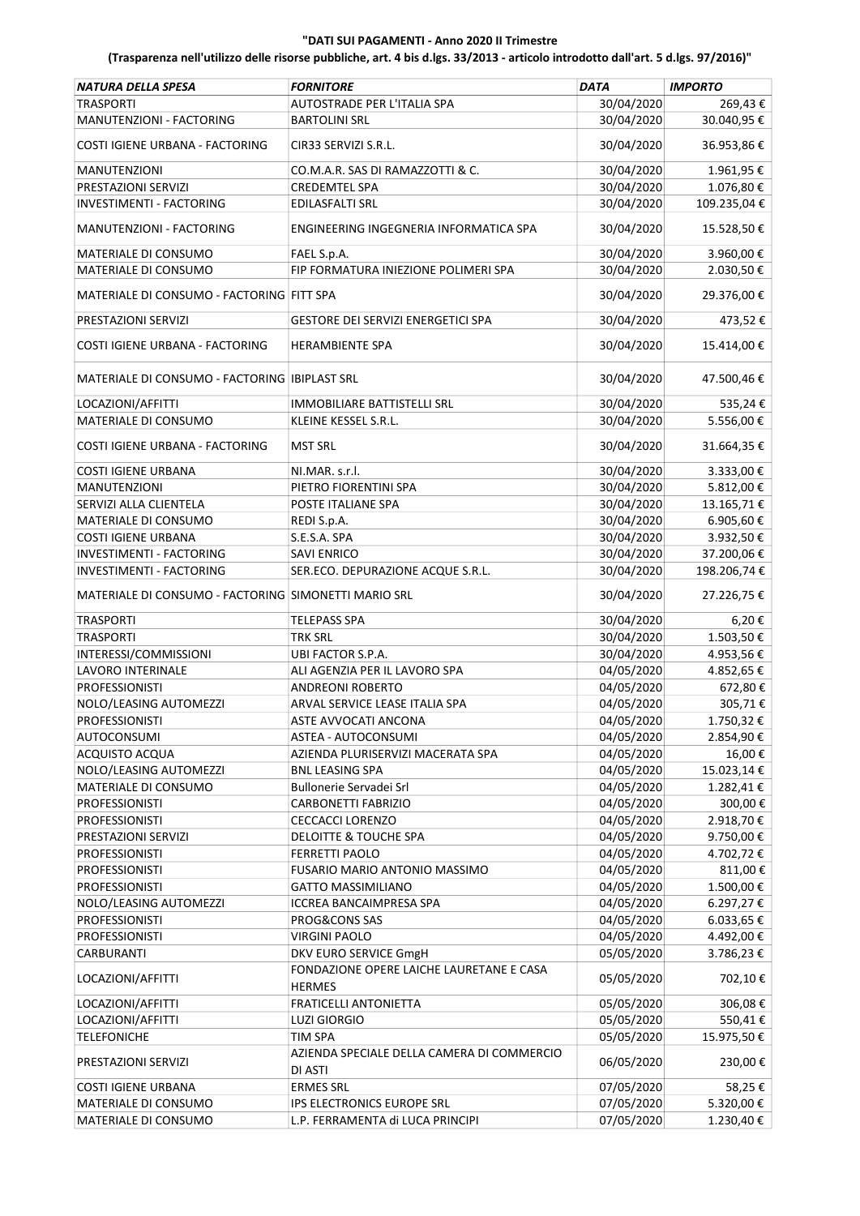| NATURA DELLA SPESA                                   | <b>FORNITORE</b>                                          | <b>DATA</b> | <b>IMPORTO</b>     |
|------------------------------------------------------|-----------------------------------------------------------|-------------|--------------------|
| <b>TRASPORTI</b>                                     | AUTOSTRADE PER L'ITALIA SPA                               | 30/04/2020  | 269,43€            |
| MANUTENZIONI - FACTORING                             | <b>BARTOLINI SRL</b>                                      | 30/04/2020  | 30.040,95€         |
|                                                      |                                                           |             |                    |
| COSTI IGIENE URBANA - FACTORING                      | CIR33 SERVIZI S.R.L.                                      | 30/04/2020  | 36.953,86€         |
| <b>MANUTENZIONI</b>                                  | CO.M.A.R. SAS DI RAMAZZOTTI & C.                          | 30/04/2020  | 1.961,95€          |
| PRESTAZIONI SERVIZI                                  | <b>CREDEMTEL SPA</b>                                      | 30/04/2020  | 1.076,80€          |
| INVESTIMENTI - FACTORING                             | EDILASFALTI SRL                                           | 30/04/2020  | 109.235,04€        |
|                                                      |                                                           |             |                    |
| MANUTENZIONI - FACTORING                             | ENGINEERING INGEGNERIA INFORMATICA SPA                    | 30/04/2020  | 15.528,50€         |
| MATERIALE DI CONSUMO                                 | FAEL S.p.A.                                               | 30/04/2020  | 3.960,00€          |
| MATERIALE DI CONSUMO                                 | FIP FORMATURA INIEZIONE POLIMERI SPA                      | 30/04/2020  | 2.030,50€          |
| MATERIALE DI CONSUMO - FACTORING FITT SPA            |                                                           | 30/04/2020  | 29.376,00€         |
| PRESTAZIONI SERVIZI                                  | GESTORE DEI SERVIZI ENERGETICI SPA                        | 30/04/2020  | 473,52€            |
|                                                      |                                                           |             |                    |
| COSTI IGIENE URBANA - FACTORING                      | <b>HERAMBIENTE SPA</b>                                    | 30/04/2020  | 15.414,00€         |
| MATERIALE DI CONSUMO - FACTORING IBIPLAST SRL        |                                                           | 30/04/2020  | 47.500,46€         |
| LOCAZIONI/AFFITTI                                    | <b>IMMOBILIARE BATTISTELLI SRL</b>                        | 30/04/2020  | 535,24€            |
| MATERIALE DI CONSUMO                                 | KLEINE KESSEL S.R.L.                                      | 30/04/2020  | 5.556,00€          |
|                                                      |                                                           |             |                    |
| COSTI IGIENE URBANA - FACTORING                      | <b>MST SRL</b>                                            | 30/04/2020  | 31.664,35€         |
| <b>COSTI IGIENE URBANA</b>                           | NI.MAR. s.r.l.                                            | 30/04/2020  | 3.333,00€          |
| MANUTENZIONI                                         | PIETRO FIORENTINI SPA                                     | 30/04/2020  | 5.812,00€          |
| SERVIZI ALLA CLIENTELA                               | POSTE ITALIANE SPA                                        | 30/04/2020  | 13.165,71€         |
| MATERIALE DI CONSUMO                                 | REDI S.p.A.                                               | 30/04/2020  | 6.905,60€          |
| <b>COSTI IGIENE URBANA</b>                           | S.E.S.A. SPA                                              | 30/04/2020  | 3.932,50€          |
| INVESTIMENTI - FACTORING                             | <b>SAVI ENRICO</b>                                        | 30/04/2020  | 37.200,06€         |
| INVESTIMENTI - FACTORING                             | SER.ECO. DEPURAZIONE ACQUE S.R.L.                         | 30/04/2020  | 198.206,74€        |
| MATERIALE DI CONSUMO - FACTORING SIMONETTI MARIO SRL |                                                           | 30/04/2020  | 27.226,75€         |
| <b>TRASPORTI</b>                                     | <b>TELEPASS SPA</b>                                       | 30/04/2020  | $6,20 \in$         |
| <b>TRASPORTI</b>                                     | TRK SRL                                                   | 30/04/2020  | 1.503,50€          |
| INTERESSI/COMMISSIONI                                | UBI FACTOR S.P.A.                                         | 30/04/2020  | 4.953,56€          |
| <b>LAVORO INTERINALE</b>                             | ALI AGENZIA PER IL LAVORO SPA                             | 04/05/2020  | 4.852,65€          |
| <b>PROFESSIONISTI</b>                                | <b>ANDREONI ROBERTO</b>                                   | 04/05/2020  |                    |
|                                                      | ARVAL SERVICE LEASE ITALIA SPA                            | 04/05/2020  | 672,80€<br>305,71€ |
| NOLO/LEASING AUTOMEZZI                               |                                                           |             |                    |
| <b>PROFESSIONISTI</b>                                | ASTE AVVOCATI ANCONA                                      | 04/05/2020  | 1.750,32€          |
| AUTOCONSUMI                                          | ASTEA - AUTOCONSUMI                                       | 04/05/2020  | 2.854,90€          |
| ACQUISTO ACQUA                                       | AZIENDA PLURISERVIZI MACERATA SPA                         | 04/05/2020  | 16,00€             |
| NOLO/LEASING AUTOMEZZI                               | <b>BNL LEASING SPA</b>                                    | 04/05/2020  | 15.023,14€         |
| MATERIALE DI CONSUMO                                 | Bullonerie Servadei Srl                                   | 04/05/2020  | 1.282,41€          |
| <b>PROFESSIONISTI</b>                                | CARBONETTI FABRIZIO                                       | 04/05/2020  | 300,00€            |
| <b>PROFESSIONISTI</b>                                | <b>CECCACCI LORENZO</b>                                   | 04/05/2020  | 2.918,70€          |
| PRESTAZIONI SERVIZI                                  | DELOITTE & TOUCHE SPA                                     | 04/05/2020  | 9.750,00€          |
| PROFESSIONISTI                                       | <b>FERRETTI PAOLO</b>                                     | 04/05/2020  | 4.702,72€          |
| <b>PROFESSIONISTI</b>                                | FUSARIO MARIO ANTONIO MASSIMO                             | 04/05/2020  | 811,00€            |
| <b>PROFESSIONISTI</b>                                | <b>GATTO MASSIMILIANO</b>                                 | 04/05/2020  | 1.500,00€          |
| NOLO/LEASING AUTOMEZZI                               | <b>ICCREA BANCAIMPRESA SPA</b>                            | 04/05/2020  | 6.297,27€          |
| <b>PROFESSIONISTI</b>                                | PROG&CONS SAS                                             | 04/05/2020  | $6.033,65 \in$     |
| <b>PROFESSIONISTI</b>                                | <b>VIRGINI PAOLO</b>                                      | 04/05/2020  | 4.492,00€          |
| CARBURANTI                                           | DKV EURO SERVICE GmgH                                     | 05/05/2020  | 3.786,23€          |
| LOCAZIONI/AFFITTI                                    | FONDAZIONE OPERE LAICHE LAURETANE E CASA<br><b>HERMES</b> | 05/05/2020  | 702,10€            |
| LOCAZIONI/AFFITTI                                    | FRATICELLI ANTONIETTA                                     | 05/05/2020  | 306,08€            |
| LOCAZIONI/AFFITTI                                    | <b>LUZI GIORGIO</b>                                       | 05/05/2020  | 550,41€            |
| <b>TELEFONICHE</b>                                   | <b>TIM SPA</b>                                            | 05/05/2020  | 15.975,50€         |
|                                                      | AZIENDA SPECIALE DELLA CAMERA DI COMMERCIO                |             |                    |
| PRESTAZIONI SERVIZI                                  | DI ASTI                                                   | 06/05/2020  | 230,00€            |
| <b>COSTI IGIENE URBANA</b>                           | <b>ERMES SRL</b>                                          | 07/05/2020  | 58,25€             |
| MATERIALE DI CONSUMO                                 | IPS ELECTRONICS EUROPE SRL                                | 07/05/2020  | 5.320,00€          |
| MATERIALE DI CONSUMO                                 | L.P. FERRAMENTA di LUCA PRINCIPI                          | 07/05/2020  | 1.230,40€          |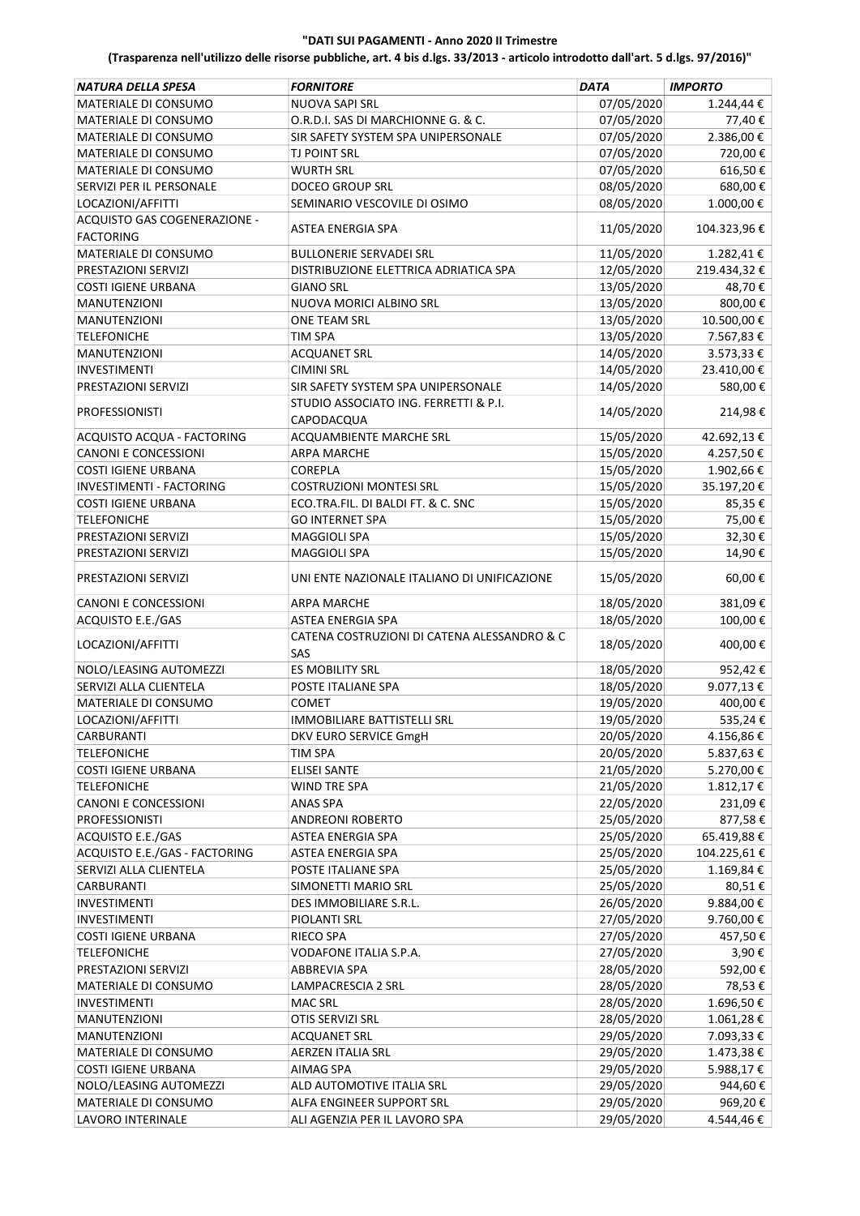| <b>NATURA DELLA SPESA</b><br><b>FORNITORE</b><br><b>DATA</b>            | <b>IMPORTO</b>        |
|-------------------------------------------------------------------------|-----------------------|
| <b>NUOVA SAPI SRL</b>                                                   | 07/05/2020            |
| MATERIALE DI CONSUMO                                                    | 1.244,44 €            |
| MATERIALE DI CONSUMO                                                    | 07/05/2020            |
| O.R.D.I. SAS DI MARCHIONNE G. & C.                                      | 77,40€                |
| MATERIALE DI CONSUMO                                                    | 2.386,00 €            |
| SIR SAFETY SYSTEM SPA UNIPERSONALE                                      | 07/05/2020            |
| MATERIALE DI CONSUMO                                                    | 07/05/2020            |
| TJ POINT SRL                                                            | 720,00€               |
| MATERIALE DI CONSUMO                                                    | 07/05/2020            |
| <b>WURTH SRL</b>                                                        | 616,50€               |
| <b>DOCEO GROUP SRL</b>                                                  | 08/05/2020            |
| SERVIZI PER IL PERSONALE                                                | 680,00€               |
| LOCAZIONI/AFFITTI                                                       | 08/05/2020            |
| SEMINARIO VESCOVILE DI OSIMO                                            | 1.000,00€             |
| ACQUISTO GAS COGENERAZIONE -                                            |                       |
| ASTEA ENERGIA SPA                                                       | 11/05/2020            |
| <b>FACTORING</b>                                                        | 104.323,96€           |
| MATERIALE DI CONSUMO                                                    | 1.282,41€             |
| <b>BULLONERIE SERVADEI SRL</b>                                          | 11/05/2020            |
| DISTRIBUZIONE ELETTRICA ADRIATICA SPA                                   | 12/05/2020            |
| PRESTAZIONI SERVIZI                                                     | 219.434,32€           |
| <b>COSTI IGIENE URBANA</b>                                              | 13/05/2020            |
| <b>GIANO SRL</b>                                                        | 48,70€                |
| NUOVA MORICI ALBINO SRL                                                 | 13/05/2020            |
| <b>MANUTENZIONI</b>                                                     | 800,00€               |
| MANUTENZIONI                                                            | 10.500,00€            |
| ONE TEAM SRL                                                            | 13/05/2020            |
| <b>TELEFONICHE</b>                                                      | 13/05/2020            |
| <b>TIM SPA</b>                                                          | 7.567,83 €            |
| <b>MANUTENZIONI</b>                                                     | 3.573,33 €            |
| <b>ACQUANET SRL</b>                                                     | 14/05/2020            |
| <b>INVESTIMENTI</b>                                                     | 14/05/2020            |
| <b>CIMINI SRL</b>                                                       | 23.410,00€            |
| SIR SAFETY SYSTEM SPA UNIPERSONALE                                      | 14/05/2020            |
| PRESTAZIONI SERVIZI                                                     | 580,00€               |
| STUDIO ASSOCIATO ING. FERRETTI & P.I.                                   |                       |
| <b>PROFESSIONISTI</b>                                                   | 14/05/2020            |
| CAPODACQUA                                                              | 214,98€               |
| ACQUISTO ACQUA - FACTORING                                              | 15/05/2020            |
| ACQUAMBIENTE MARCHE SRL                                                 | 42.692,13€            |
| CANONI E CONCESSIONI                                                    | 15/05/2020            |
| <b>ARPA MARCHE</b>                                                      | 4.257,50€             |
| <b>COSTI IGIENE URBANA</b>                                              | 15/05/2020            |
| <b>COREPLA</b>                                                          | 1.902,66€             |
| <b>INVESTIMENTI - FACTORING</b>                                         | 15/05/2020            |
| <b>COSTRUZIONI MONTESI SRL</b>                                          | 35.197,20€            |
| ECO.TRA.FIL. DI BALDI FT. & C. SNC                                      | 15/05/2020            |
| <b>COSTI IGIENE URBANA</b>                                              | 85,35€                |
| <b>TELEFONICHE</b>                                                      | 15/05/2020            |
| <b>GO INTERNET SPA</b>                                                  | 75,00€                |
| PRESTAZIONI SERVIZI                                                     | 15/05/2020            |
| <b>MAGGIOLI SPA</b>                                                     | 32,30€                |
| <b>MAGGIOLI SPA</b>                                                     | 14,90€                |
| PRESTAZIONI SERVIZI                                                     | 15/05/2020            |
|                                                                         |                       |
| PRESTAZIONI SERVIZI                                                     | 15/05/2020            |
| UNI ENTE NAZIONALE ITALIANO DI UNIFICAZIONE                             | 60,00€                |
| CANONI E CONCESSIONI                                                    | 18/05/2020            |
| <b>ARPA MARCHE</b>                                                      | 381,09€               |
| ACQUISTO E.E./GAS                                                       | 18/05/2020            |
| ASTEA ENERGIA SPA                                                       | 100,00€               |
| CATENA COSTRUZIONI DI CATENA ALESSANDRO & C<br>LOCAZIONI/AFFITTI<br>SAS | 18/05/2020<br>400,00€ |
| <b>ES MOBILITY SRL</b>                                                  | 18/05/2020            |
| NOLO/LEASING AUTOMEZZI                                                  | 952,42€               |
| SERVIZI ALLA CLIENTELA                                                  | 18/05/2020            |
| POSTE ITALIANE SPA                                                      | 9.077,13€             |
| MATERIALE DI CONSUMO                                                    | 19/05/2020            |
| <b>COMET</b>                                                            | 400,00€               |
| IMMOBILIARE BATTISTELLI SRL                                             | 19/05/2020            |
| LOCAZIONI/AFFITTI                                                       | 535,24€               |
| DKV EURO SERVICE GmgH                                                   | 20/05/2020            |
| CARBURANTI                                                              | 4.156,86€             |
| <b>TELEFONICHE</b>                                                      | 20/05/2020            |
| <b>TIM SPA</b>                                                          | 5.837,63€             |
| <b>COSTI IGIENE URBANA</b>                                              | 21/05/2020            |
| <b>ELISEI SANTE</b>                                                     | 5.270,00€             |
| <b>TELEFONICHE</b>                                                      | 21/05/2020            |
| WIND TRE SPA                                                            | 1.812,17€             |
| <b>CANONI E CONCESSIONI</b>                                             | 22/05/2020            |
| ANAS SPA                                                                | 231,09€               |
| <b>PROFESSIONISTI</b>                                                   | 25/05/2020            |
| <b>ANDREONI ROBERTO</b>                                                 | 877,58€               |
| ACQUISTO E.E./GAS                                                       | 25/05/2020            |
| <b>ASTEA ENERGIA SPA</b>                                                | 65.419,88€            |
| ACQUISTO E.E./GAS - FACTORING                                           | 25/05/2020            |
| ASTEA ENERGIA SPA                                                       | 104.225,61€           |
| SERVIZI ALLA CLIENTELA                                                  | 25/05/2020            |
| POSTE ITALIANE SPA                                                      | 1.169,84€             |
| SIMONETTI MARIO SRL                                                     | 25/05/2020            |
| CARBURANTI                                                              | 80,51€                |
| DES IMMOBILIARE S.R.L.                                                  | 26/05/2020            |
| <b>INVESTIMENTI</b>                                                     | 9.884,00€             |
| <b>INVESTIMENTI</b>                                                     | 27/05/2020            |
| PIOLANTI SRL                                                            | 9.760,00€             |
| COSTI IGIENE URBANA                                                     | 27/05/2020            |
| RIECO SPA                                                               | 457,50€               |
| VODAFONE ITALIA S.P.A.                                                  | 27/05/2020            |
| <b>TELEFONICHE</b>                                                      | 3,90€                 |
| PRESTAZIONI SERVIZI                                                     | 28/05/2020            |
| ABBREVIA SPA                                                            | 592,00€               |
| MATERIALE DI CONSUMO                                                    | 28/05/2020            |
| LAMPACRESCIA 2 SRL                                                      | 78,53€                |
| <b>MAC SRL</b>                                                          | 28/05/2020            |
| <b>INVESTIMENTI</b>                                                     | 1.696,50€             |
| MANUTENZIONI                                                            | 28/05/2020            |
| OTIS SERVIZI SRL                                                        | 1.061,28€             |
| MANUTENZIONI                                                            | 29/05/2020            |
| <b>ACQUANET SRL</b>                                                     | 7.093,33 €            |
| MATERIALE DI CONSUMO                                                    | 29/05/2020            |
| <b>AERZEN ITALIA SRL</b>                                                | 1.473,38€             |
| <b>COSTI IGIENE URBANA</b>                                              | 29/05/2020            |
| AIMAG SPA                                                               | 5.988,17€             |
| NOLO/LEASING AUTOMEZZI                                                  | 29/05/2020            |
| ALD AUTOMOTIVE ITALIA SRL                                               | 944,60€               |
| MATERIALE DI CONSUMO                                                    | 29/05/2020            |
| ALFA ENGINEER SUPPORT SRL                                               | 969,20€               |
| LAVORO INTERINALE                                                       | 29/05/2020            |
| ALI AGENZIA PER IL LAVORO SPA                                           | 4.544,46 €            |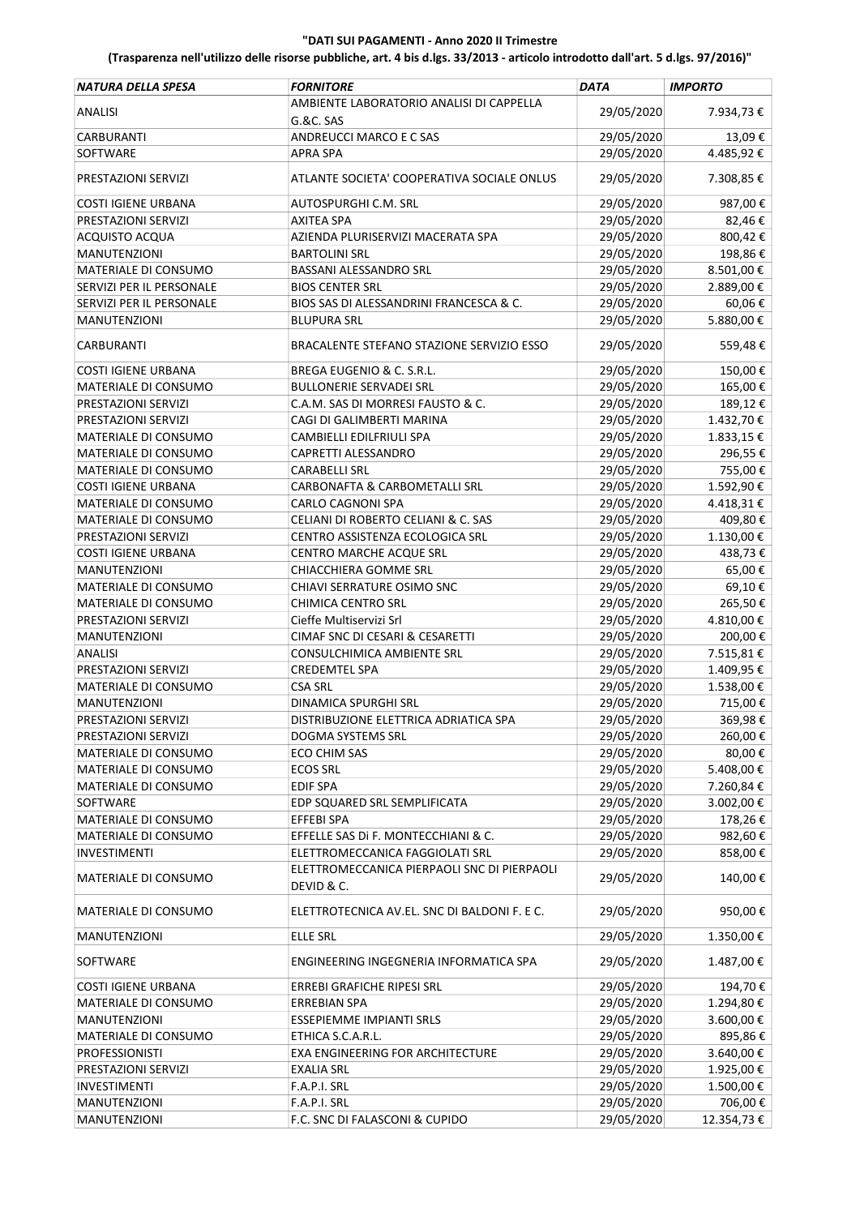| NATURA DELLA SPESA          | <b>FORNITORE</b>                                          | <b>DATA</b> | <b>IMPORTO</b> |
|-----------------------------|-----------------------------------------------------------|-------------|----------------|
| <b>ANALISI</b>              | AMBIENTE LABORATORIO ANALISI DI CAPPELLA                  | 29/05/2020  | 7.934,73€      |
|                             | G.&C. SAS                                                 |             |                |
| <b>CARBURANTI</b>           | ANDREUCCI MARCO E C SAS                                   | 29/05/2020  | 13,09€         |
| SOFTWARE                    | <b>APRA SPA</b>                                           | 29/05/2020  | 4.485,92€      |
| PRESTAZIONI SERVIZI         | ATLANTE SOCIETA' COOPERATIVA SOCIALE ONLUS                | 29/05/2020  | 7.308,85€      |
| <b>COSTI IGIENE URBANA</b>  | AUTOSPURGHI C.M. SRL                                      | 29/05/2020  | 987,00€        |
| PRESTAZIONI SERVIZI         | <b>AXITEA SPA</b>                                         | 29/05/2020  | 82,46€         |
| <b>ACQUISTO ACQUA</b>       | AZIENDA PLURISERVIZI MACERATA SPA                         | 29/05/2020  | 800,42€        |
| <b>MANUTENZIONI</b>         | <b>BARTOLINI SRL</b>                                      | 29/05/2020  | 198,86€        |
| MATERIALE DI CONSUMO        | <b>BASSANI ALESSANDRO SRL</b>                             | 29/05/2020  | 8.501,00€      |
| SERVIZI PER IL PERSONALE    | <b>BIOS CENTER SRL</b>                                    | 29/05/2020  | 2.889,00€      |
| SERVIZI PER IL PERSONALE    | BIOS SAS DI ALESSANDRINI FRANCESCA & C.                   | 29/05/2020  | 60,06€         |
| <b>MANUTENZIONI</b>         | <b>BLUPURA SRL</b>                                        | 29/05/2020  | 5.880,00€      |
| <b>CARBURANTI</b>           | BRACALENTE STEFANO STAZIONE SERVIZIO ESSO                 | 29/05/2020  | 559,48€        |
| <b>COSTI IGIENE URBANA</b>  | BREGA EUGENIO & C. S.R.L.                                 | 29/05/2020  | 150,00€        |
| MATERIALE DI CONSUMO        | <b>BULLONERIE SERVADEI SRL</b>                            | 29/05/2020  | 165,00€        |
| PRESTAZIONI SERVIZI         | C.A.M. SAS DI MORRESI FAUSTO & C.                         | 29/05/2020  | 189,12€        |
| PRESTAZIONI SERVIZI         | CAGI DI GALIMBERTI MARINA                                 | 29/05/2020  | 1.432,70€      |
| MATERIALE DI CONSUMO        | CAMBIELLI EDILFRIULI SPA                                  | 29/05/2020  | 1.833,15€      |
| MATERIALE DI CONSUMO        | CAPRETTI ALESSANDRO                                       | 29/05/2020  | 296,55€        |
| MATERIALE DI CONSUMO        | <b>CARABELLI SRL</b>                                      | 29/05/2020  | 755,00€        |
| <b>COSTI IGIENE URBANA</b>  | CARBONAFTA & CARBOMETALLI SRL                             | 29/05/2020  | 1.592,90€      |
| MATERIALE DI CONSUMO        | <b>CARLO CAGNONI SPA</b>                                  | 29/05/2020  | 4.418,31€      |
| MATERIALE DI CONSUMO        | CELIANI DI ROBERTO CELIANI & C. SAS                       | 29/05/2020  | 409,80€        |
| PRESTAZIONI SERVIZI         | CENTRO ASSISTENZA ECOLOGICA SRL                           | 29/05/2020  | 1.130,00€      |
| <b>COSTI IGIENE URBANA</b>  | CENTRO MARCHE ACQUE SRL                                   | 29/05/2020  | 438,73€        |
| <b>MANUTENZIONI</b>         | CHIACCHIERA GOMME SRL                                     | 29/05/2020  | 65,00€         |
| MATERIALE DI CONSUMO        | CHIAVI SERRATURE OSIMO SNC                                | 29/05/2020  | 69,10€         |
| MATERIALE DI CONSUMO        | <b>CHIMICA CENTRO SRL</b>                                 | 29/05/2020  | 265,50€        |
| PRESTAZIONI SERVIZI         | Cieffe Multiservizi Srl                                   | 29/05/2020  | 4.810,00€      |
| <b>MANUTENZIONI</b>         | CIMAF SNC DI CESARI & CESARETTI                           | 29/05/2020  | 200,00€        |
| <b>ANALISI</b>              | CONSULCHIMICA AMBIENTE SRL                                | 29/05/2020  | 7.515,81€      |
| PRESTAZIONI SERVIZI         | <b>CREDEMTEL SPA</b>                                      | 29/05/2020  | 1.409,95€      |
| <b>MATERIALE DI CONSUMO</b> | <b>CSA SRL</b>                                            | 29/05/2020  | 1.538,00€      |
| MANUTENZIONI                | DINAMICA SPURGHI SRL                                      | 29/05/2020  | 715,00€        |
| PRESTAZIONI SERVIZI         | DISTRIBUZIONE ELETTRICA ADRIATICA SPA                     | 29/05/2020  | 369,98€        |
| PRESTAZIONI SERVIZI         | DOGMA SYSTEMS SRL                                         | 29/05/2020  | 260,00€        |
| MATERIALE DI CONSUMO        | <b>ECO CHIM SAS</b>                                       | 29/05/2020  | 80,00€         |
| MATERIALE DI CONSUMO        | <b>ECOS SRL</b>                                           | 29/05/2020  | 5.408,00€      |
| MATERIALE DI CONSUMO        | <b>EDIF SPA</b>                                           | 29/05/2020  | 7.260,84€      |
| SOFTWARE                    | EDP SQUARED SRL SEMPLIFICATA                              | 29/05/2020  | 3.002,00 €     |
| MATERIALE DI CONSUMO        | EFFEBI SPA                                                | 29/05/2020  | 178,26€        |
| MATERIALE DI CONSUMO        | EFFELLE SAS Di F. MONTECCHIANI & C.                       | 29/05/2020  | 982,60€        |
| <b>INVESTIMENTI</b>         | ELETTROMECCANICA FAGGIOLATI SRL                           | 29/05/2020  | 858,00€        |
| MATERIALE DI CONSUMO        | ELETTROMECCANICA PIERPAOLI SNC DI PIERPAOLI<br>DEVID & C. | 29/05/2020  | 140,00€        |
| MATERIALE DI CONSUMO        | ELETTROTECNICA AV.EL. SNC DI BALDONI F. E C.              | 29/05/2020  | 950,00€        |
| <b>MANUTENZIONI</b>         | <b>ELLE SRL</b>                                           | 29/05/2020  | 1.350,00€      |
| SOFTWARE                    | ENGINEERING INGEGNERIA INFORMATICA SPA                    | 29/05/2020  | 1.487,00 €     |
| <b>COSTI IGIENE URBANA</b>  | ERREBI GRAFICHE RIPESI SRL                                | 29/05/2020  | 194,70€        |
| MATERIALE DI CONSUMO        | <b>ERREBIAN SPA</b>                                       | 29/05/2020  | 1.294,80€      |
| <b>MANUTENZIONI</b>         | ESSEPIEMME IMPIANTI SRLS                                  | 29/05/2020  | 3.600,00 €     |
| MATERIALE DI CONSUMO        | ETHICA S.C.A.R.L.                                         | 29/05/2020  | 895,86€        |
| <b>PROFESSIONISTI</b>       | EXA ENGINEERING FOR ARCHITECTURE                          | 29/05/2020  | 3.640,00 €     |
| PRESTAZIONI SERVIZI         | <b>EXALIA SRL</b>                                         | 29/05/2020  | 1.925,00€      |
| <b>INVESTIMENTI</b>         | F.A.P.I. SRL                                              | 29/05/2020  | 1.500,00€      |
| MANUTENZIONI                | F.A.P.I. SRL                                              | 29/05/2020  | 706,00€        |
| MANUTENZIONI                | F.C. SNC DI FALASCONI & CUPIDO                            | 29/05/2020  | 12.354,73€     |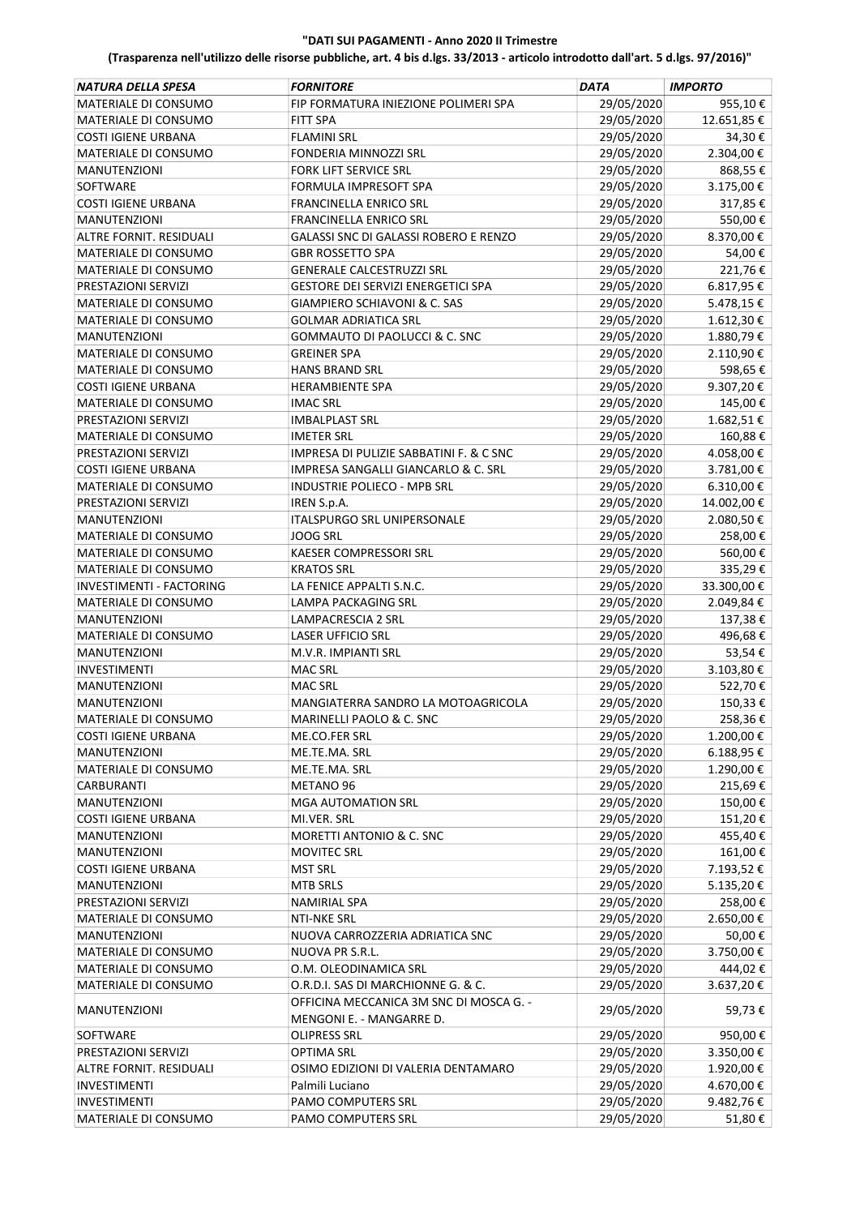| NATURA DELLA SPESA         | <b>FORNITORE</b>                                                    | <b>DATA</b> | <b>IMPORTO</b> |
|----------------------------|---------------------------------------------------------------------|-------------|----------------|
| MATERIALE DI CONSUMO       | FIP FORMATURA INIEZIONE POLIMERI SPA                                | 29/05/2020  | 955,10€        |
| MATERIALE DI CONSUMO       | <b>FITT SPA</b>                                                     | 29/05/2020  | 12.651,85€     |
| <b>COSTI IGIENE URBANA</b> | <b>FLAMINI SRL</b>                                                  | 29/05/2020  | 34,30€         |
| MATERIALE DI CONSUMO       | <b>FONDERIA MINNOZZI SRL</b>                                        | 29/05/2020  | 2.304,00 €     |
| <b>MANUTENZIONI</b>        | <b>FORK LIFT SERVICE SRL</b>                                        | 29/05/2020  | 868,55€        |
| SOFTWARE                   | FORMULA IMPRESOFT SPA                                               | 29/05/2020  | 3.175,00€      |
| <b>COSTI IGIENE URBANA</b> | <b>FRANCINELLA ENRICO SRL</b>                                       | 29/05/2020  | 317,85€        |
| MANUTENZIONI               | <b>FRANCINELLA ENRICO SRL</b>                                       | 29/05/2020  | 550,00€        |
| ALTRE FORNIT. RESIDUALI    | <b>GALASSI SNC DI GALASSI ROBERO E RENZO</b>                        | 29/05/2020  | 8.370,00€      |
| MATERIALE DI CONSUMO       | <b>GBR ROSSETTO SPA</b>                                             | 29/05/2020  | 54,00€         |
| MATERIALE DI CONSUMO       | <b>GENERALE CALCESTRUZZI SRL</b>                                    | 29/05/2020  | 221,76€        |
| PRESTAZIONI SERVIZI        | GESTORE DEI SERVIZI ENERGETICI SPA                                  | 29/05/2020  | 6.817,95€      |
| MATERIALE DI CONSUMO       | GIAMPIERO SCHIAVONI & C. SAS                                        | 29/05/2020  | 5.478,15€      |
| MATERIALE DI CONSUMO       | <b>GOLMAR ADRIATICA SRL</b>                                         | 29/05/2020  | 1.612,30€      |
| <b>MANUTENZIONI</b>        | <b>GOMMAUTO DI PAOLUCCI &amp; C. SNC</b>                            | 29/05/2020  | 1.880,79€      |
| MATERIALE DI CONSUMO       | <b>GREINER SPA</b>                                                  | 29/05/2020  | 2.110,90€      |
| MATERIALE DI CONSUMO       | <b>HANS BRAND SRL</b>                                               | 29/05/2020  | 598,65€        |
| <b>COSTI IGIENE URBANA</b> | <b>HERAMBIENTE SPA</b>                                              | 29/05/2020  | 9.307,20€      |
| MATERIALE DI CONSUMO       | <b>IMAC SRL</b>                                                     | 29/05/2020  | 145,00€        |
| PRESTAZIONI SERVIZI        | <b>IMBALPLAST SRL</b>                                               | 29/05/2020  | 1.682,51€      |
| MATERIALE DI CONSUMO       | <b>IMETER SRL</b>                                                   | 29/05/2020  | 160,88€        |
| PRESTAZIONI SERVIZI        | IMPRESA DI PULIZIE SABBATINI F. & C SNC                             | 29/05/2020  | 4.058,00 €     |
| <b>COSTI IGIENE URBANA</b> | IMPRESA SANGALLI GIANCARLO & C. SRL                                 | 29/05/2020  | 3.781,00€      |
| MATERIALE DI CONSUMO       | INDUSTRIE POLIECO - MPB SRL                                         | 29/05/2020  | 6.310,00 €     |
| PRESTAZIONI SERVIZI        | IREN S.p.A.                                                         | 29/05/2020  | 14.002,00 €    |
| <b>MANUTENZIONI</b>        | ITALSPURGO SRL UNIPERSONALE                                         | 29/05/2020  | 2.080,50€      |
| MATERIALE DI CONSUMO       | <b>JOOG SRL</b>                                                     | 29/05/2020  | 258,00€        |
| MATERIALE DI CONSUMO       | KAESER COMPRESSORI SRL                                              | 29/05/2020  | 560,00€        |
| MATERIALE DI CONSUMO       | <b>KRATOS SRL</b>                                                   | 29/05/2020  | 335,29€        |
| INVESTIMENTI - FACTORING   | LA FENICE APPALTI S.N.C.                                            | 29/05/2020  | 33.300,00 €    |
| MATERIALE DI CONSUMO       | LAMPA PACKAGING SRL                                                 | 29/05/2020  | 2.049,84€      |
| <b>MANUTENZIONI</b>        | LAMPACRESCIA 2 SRL                                                  | 29/05/2020  | 137,38€        |
| MATERIALE DI CONSUMO       | <b>LASER UFFICIO SRL</b>                                            | 29/05/2020  | 496,68€        |
| MANUTENZIONI               | M.V.R. IMPIANTI SRL                                                 | 29/05/2020  | 53,54€         |
| <b>INVESTIMENTI</b>        | <b>MAC SRL</b>                                                      | 29/05/2020  | 3.103,80€      |
| <b>MANUTENZIONI</b>        | <b>MAC SRL</b>                                                      | 29/05/2020  | 522,70€        |
| <b>MANUTENZIONI</b>        | MANGIATERRA SANDRO LA MOTOAGRICOLA                                  | 29/05/2020  | 150,33€        |
| MATERIALE DI CONSUMO       | MARINELLI PAOLO & C. SNC                                            | 29/05/2020  | 258,36€        |
| COSTI IGIENE URBANA        | ME.CO.FER SRL                                                       | 29/05/2020  | 1.200,00€      |
| <b>MANUTENZIONI</b>        | ME.TE.MA. SRL                                                       | 29/05/2020  | 6.188,95€      |
| MATERIALE DI CONSUMO       | ME.TE.MA. SRL                                                       | 29/05/2020  | 1.290,00€      |
| CARBURANTI                 | METANO 96                                                           | 29/05/2020  | 215,69€        |
| MANUTENZIONI               | <b>MGA AUTOMATION SRL</b>                                           | 29/05/2020  | 150,00€        |
| <b>COSTI IGIENE URBANA</b> | MI.VER. SRL                                                         | 29/05/2020  | 151,20€        |
| <b>MANUTENZIONI</b>        | MORETTI ANTONIO & C. SNC                                            | 29/05/2020  | 455,40€        |
| MANUTENZIONI               | <b>MOVITEC SRL</b>                                                  | 29/05/2020  | 161,00€        |
| <b>COSTI IGIENE URBANA</b> | <b>MST SRL</b>                                                      | 29/05/2020  | 7.193,52€      |
| <b>MANUTENZIONI</b>        | <b>MTB SRLS</b>                                                     | 29/05/2020  | 5.135,20€      |
| PRESTAZIONI SERVIZI        | <b>NAMIRIAL SPA</b>                                                 | 29/05/2020  | 258,00€        |
| MATERIALE DI CONSUMO       | NTI-NKE SRL                                                         | 29/05/2020  | 2.650,00€      |
| MANUTENZIONI               | NUOVA CARROZZERIA ADRIATICA SNC                                     | 29/05/2020  | 50,00€         |
| MATERIALE DI CONSUMO       | NUOVA PR S.R.L.                                                     | 29/05/2020  | 3.750,00€      |
| MATERIALE DI CONSUMO       | O.M. OLEODINAMICA SRL                                               | 29/05/2020  | 444,02€        |
| MATERIALE DI CONSUMO       | O.R.D.I. SAS DI MARCHIONNE G. & C.                                  | 29/05/2020  | 3.637,20€      |
| <b>MANUTENZIONI</b>        | OFFICINA MECCANICA 3M SNC DI MOSCA G. -<br>MENGONI E. - MANGARRE D. | 29/05/2020  | 59,73€         |
| SOFTWARE                   | <b>OLIPRESS SRL</b>                                                 | 29/05/2020  | 950,00€        |
| PRESTAZIONI SERVIZI        | <b>OPTIMA SRL</b>                                                   | 29/05/2020  | 3.350,00 €     |
| ALTRE FORNIT. RESIDUALI    | OSIMO EDIZIONI DI VALERIA DENTAMARO                                 | 29/05/2020  | 1.920,00€      |
| INVESTIMENTI               | Palmili Luciano                                                     | 29/05/2020  | 4.670,00€      |
| INVESTIMENTI               | PAMO COMPUTERS SRL                                                  | 29/05/2020  | 9.482,76€      |
| MATERIALE DI CONSUMO       | PAMO COMPUTERS SRL                                                  | 29/05/2020  | 51,80€         |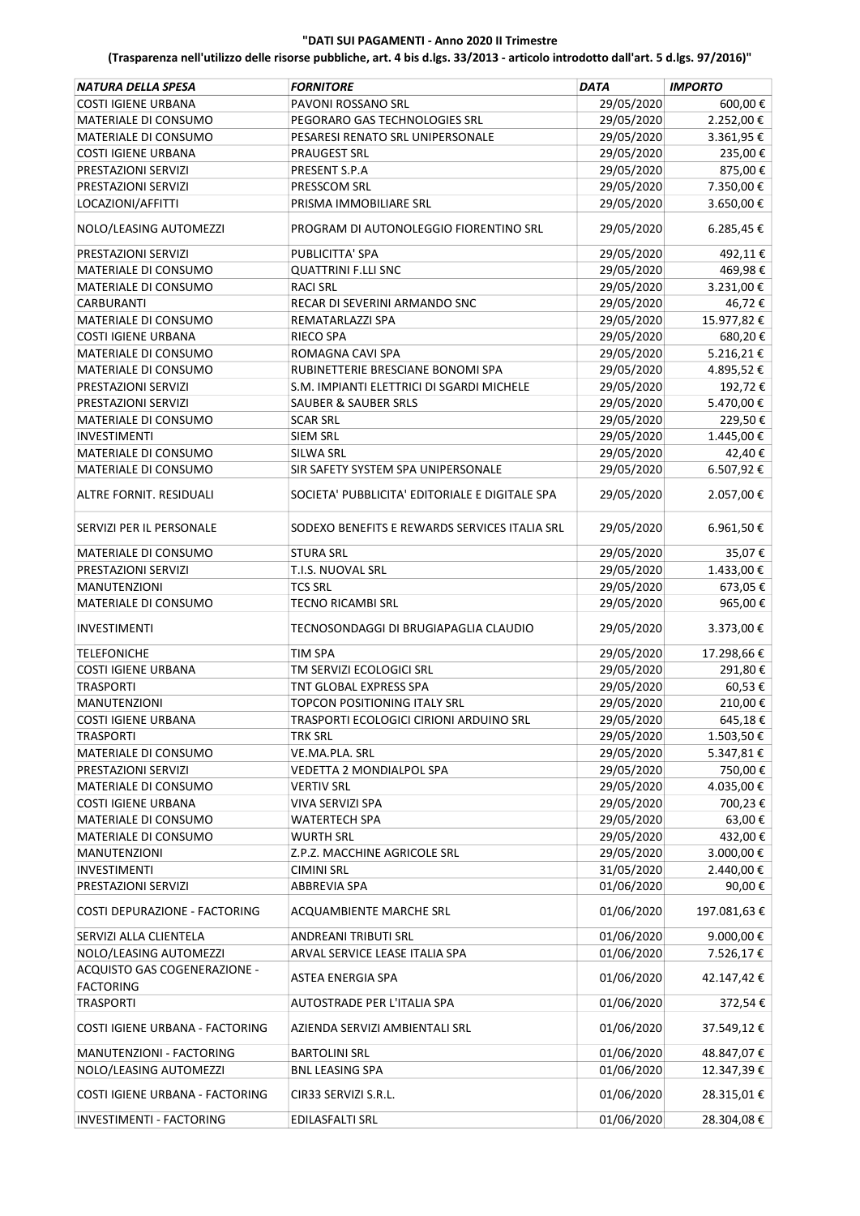| NATURA DELLA SPESA                                   | <b>FORNITORE</b>                               | <b>DATA</b>              | <b>IMPORTO</b>           |
|------------------------------------------------------|------------------------------------------------|--------------------------|--------------------------|
| <b>COSTI IGIENE URBANA</b>                           | PAVONI ROSSANO SRL                             | 29/05/2020               | 600,00€                  |
| MATERIALE DI CONSUMO                                 | PEGORARO GAS TECHNOLOGIES SRL                  | 29/05/2020               | 2.252,00€                |
| MATERIALE DI CONSUMO                                 | PESARESI RENATO SRL UNIPERSONALE               | 29/05/2020               | 3.361,95€                |
| <b>COSTI IGIENE URBANA</b>                           | <b>PRAUGEST SRL</b>                            | 29/05/2020               | 235,00€                  |
| PRESTAZIONI SERVIZI                                  | PRESENT S.P.A                                  | 29/05/2020               | 875,00€                  |
| PRESTAZIONI SERVIZI                                  | PRESSCOM SRL                                   | 29/05/2020               | 7.350,00 €               |
| LOCAZIONI/AFFITTI                                    | PRISMA IMMOBILIARE SRL                         | 29/05/2020               | 3.650,00€                |
|                                                      |                                                |                          |                          |
| NOLO/LEASING AUTOMEZZI                               | PROGRAM DI AUTONOLEGGIO FIORENTINO SRL         | 29/05/2020               | 6.285,45€                |
| PRESTAZIONI SERVIZI                                  | PUBLICITTA' SPA                                | 29/05/2020               | 492,11€                  |
| MATERIALE DI CONSUMO                                 | <b>QUATTRINI F.LLI SNC</b>                     | 29/05/2020               | 469,98€                  |
| MATERIALE DI CONSUMO                                 | <b>RACI SRL</b>                                | 29/05/2020               | 3.231,00€                |
| CARBURANTI                                           | RECAR DI SEVERINI ARMANDO SNC                  | 29/05/2020               | 46,72€                   |
| MATERIALE DI CONSUMO                                 | REMATARLAZZI SPA                               | 29/05/2020               | 15.977,82€               |
| <b>COSTI IGIENE URBANA</b>                           | <b>RIECO SPA</b>                               | 29/05/2020               | 680,20€                  |
| MATERIALE DI CONSUMO                                 | ROMAGNA CAVI SPA                               | 29/05/2020               | 5.216,21 €               |
| MATERIALE DI CONSUMO                                 | RUBINETTERIE BRESCIANE BONOMI SPA              | 29/05/2020               | 4.895,52€                |
| PRESTAZIONI SERVIZI                                  | S.M. IMPIANTI ELETTRICI DI SGARDI MICHELE      | 29/05/2020               | 192,72€                  |
| PRESTAZIONI SERVIZI                                  | <b>SAUBER &amp; SAUBER SRLS</b>                | 29/05/2020               | 5.470,00 €               |
| MATERIALE DI CONSUMO                                 | <b>SCAR SRL</b>                                | 29/05/2020               | 229,50€                  |
| <b>INVESTIMENTI</b>                                  | <b>SIEM SRL</b>                                | 29/05/2020               | 1.445,00€                |
| MATERIALE DI CONSUMO                                 | SILWA SRL                                      | 29/05/2020               | 42,40€                   |
| MATERIALE DI CONSUMO                                 | SIR SAFETY SYSTEM SPA UNIPERSONALE             | 29/05/2020               | 6.507,92€                |
| ALTRE FORNIT. RESIDUALI                              | SOCIETA' PUBBLICITA' EDITORIALE E DIGITALE SPA | 29/05/2020               | 2.057,00€                |
| SERVIZI PER IL PERSONALE                             | SODEXO BENEFITS E REWARDS SERVICES ITALIA SRL  | 29/05/2020               | 6.961,50€                |
| MATERIALE DI CONSUMO                                 | <b>STURA SRL</b>                               | 29/05/2020               | 35,07€                   |
| PRESTAZIONI SERVIZI                                  | T.I.S. NUOVAL SRL                              | 29/05/2020               | 1.433,00 €               |
| MANUTENZIONI                                         | <b>TCS SRL</b>                                 | 29/05/2020               | 673,05€                  |
| MATERIALE DI CONSUMO                                 | <b>TECNO RICAMBI SRL</b>                       | 29/05/2020               | 965,00€                  |
| <b>INVESTIMENTI</b>                                  | TECNOSONDAGGI DI BRUGIAPAGLIA CLAUDIO          | 29/05/2020               | 3.373,00 €               |
| <b>TELEFONICHE</b>                                   | TIM SPA                                        | 29/05/2020               | 17.298,66€               |
| <b>COSTI IGIENE URBANA</b>                           | TM SERVIZI ECOLOGICI SRL                       | 29/05/2020               | 291,80€                  |
| <b>TRASPORTI</b>                                     | TNT GLOBAL EXPRESS SPA                         | 29/05/2020               | 60,53€                   |
|                                                      | <b>TOPCON POSITIONING ITALY SRL</b>            | 29/05/2020               | 210,00€                  |
| <b>MANUTENZIONI</b>                                  |                                                |                          |                          |
| <b>COSTI IGIENE URBANA</b>                           | TRASPORTI ECOLOGICI CIRIONI ARDUINO SRL        | 29/05/2020               | 645,18€                  |
| <b>TRASPORTI</b>                                     | TRK SRL                                        | 29/05/2020               | 1.503,50 €               |
| MATERIALE DI CONSUMO                                 | VE.MA.PLA. SRL                                 | 29/05/2020               | 5.347,81€                |
| PRESTAZIONI SERVIZI                                  | VEDETTA 2 MONDIALPOL SPA                       | 29/05/2020               | 750,00€                  |
| MATERIALE DI CONSUMO                                 | <b>VERTIV SRL</b>                              | 29/05/2020               | 4.035,00€                |
| <b>COSTI IGIENE URBANA</b>                           | VIVA SERVIZI SPA                               | 29/05/2020               | 700,23€                  |
| MATERIALE DI CONSUMO                                 | <b>WATERTECH SPA</b>                           | 29/05/2020               | 63,00€                   |
| MATERIALE DI CONSUMO                                 | <b>WURTH SRL</b>                               | 29/05/2020               | 432,00€                  |
| MANUTENZIONI                                         | Z.P.Z. MACCHINE AGRICOLE SRL                   | 29/05/2020               | 3.000,00 €               |
| <b>INVESTIMENTI</b>                                  | <b>CIMINI SRL</b>                              | 31/05/2020               | 2.440,00 €               |
| PRESTAZIONI SERVIZI<br>COSTI DEPURAZIONE - FACTORING | <b>ABBREVIA SPA</b><br>ACQUAMBIENTE MARCHE SRL | 01/06/2020<br>01/06/2020 | 90,00€<br>197.081,63€    |
|                                                      |                                                |                          |                          |
| SERVIZI ALLA CLIENTELA                               | ANDREANI TRIBUTI SRL                           | 01/06/2020               | 9.000,00€                |
| NOLO/LEASING AUTOMEZZI                               | ARVAL SERVICE LEASE ITALIA SPA                 | 01/06/2020               | 7.526,17€                |
| ACQUISTO GAS COGENERAZIONE -<br><b>FACTORING</b>     | ASTEA ENERGIA SPA                              | 01/06/2020               | 42.147,42€               |
| <b>TRASPORTI</b>                                     | AUTOSTRADE PER L'ITALIA SPA                    | 01/06/2020               | 372,54€                  |
| COSTI IGIENE URBANA - FACTORING                      | AZIENDA SERVIZI AMBIENTALI SRL                 | 01/06/2020               | 37.549,12€               |
| MANUTENZIONI - FACTORING<br>NOLO/LEASING AUTOMEZZI   | <b>BARTOLINI SRL</b><br><b>BNL LEASING SPA</b> | 01/06/2020<br>01/06/2020 | 48.847,07€<br>12.347,39€ |
| COSTI IGIENE URBANA - FACTORING                      | CIR33 SERVIZI S.R.L.                           | 01/06/2020               | 28.315,01€               |
| INVESTIMENTI - FACTORING                             | EDILASFALTI SRL                                | 01/06/2020               | 28.304,08€               |
|                                                      |                                                |                          |                          |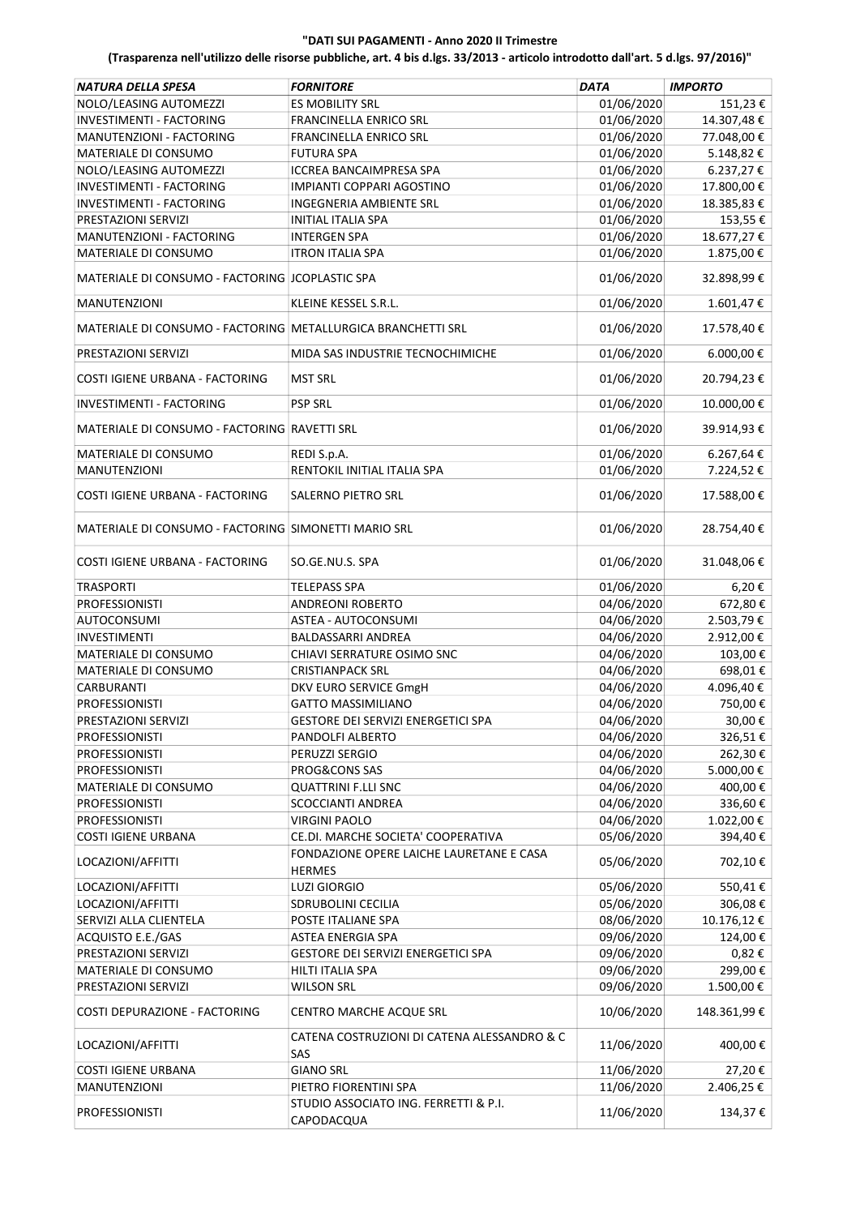| <b>NATURA DELLA SPESA</b>                                    | <b>FORNITORE</b>                                          | <b>DATA</b> | <b>IMPORTO</b> |
|--------------------------------------------------------------|-----------------------------------------------------------|-------------|----------------|
| NOLO/LEASING AUTOMEZZI                                       | <b>ES MOBILITY SRL</b>                                    | 01/06/2020  | 151,23€        |
| <b>INVESTIMENTI - FACTORING</b>                              | <b>FRANCINELLA ENRICO SRL</b>                             | 01/06/2020  | 14.307,48€     |
| MANUTENZIONI - FACTORING                                     | FRANCINELLA ENRICO SRL                                    | 01/06/2020  | 77.048,00 €    |
| MATERIALE DI CONSUMO                                         | <b>FUTURA SPA</b>                                         | 01/06/2020  | 5.148,82€      |
| NOLO/LEASING AUTOMEZZI                                       | <b>ICCREA BANCAIMPRESA SPA</b>                            | 01/06/2020  | $6.237,27$ €   |
| <b>INVESTIMENTI - FACTORING</b>                              | IMPIANTI COPPARI AGOSTINO                                 | 01/06/2020  | 17.800,00€     |
| INVESTIMENTI - FACTORING                                     | <b>INGEGNERIA AMBIENTE SRL</b>                            | 01/06/2020  | 18.385,83€     |
| PRESTAZIONI SERVIZI                                          | <b>INITIAL ITALIA SPA</b>                                 | 01/06/2020  | 153,55€        |
| MANUTENZIONI - FACTORING                                     | <b>INTERGEN SPA</b>                                       | 01/06/2020  | 18.677,27€     |
| MATERIALE DI CONSUMO                                         | <b>ITRON ITALIA SPA</b>                                   | 01/06/2020  | 1.875,00€      |
| MATERIALE DI CONSUMO - FACTORING JCOPLASTIC SPA              |                                                           | 01/06/2020  | 32.898,99€     |
| <b>MANUTENZIONI</b>                                          | KLEINE KESSEL S.R.L.                                      | 01/06/2020  | 1.601,47€      |
| MATERIALE DI CONSUMO - FACTORING METALLURGICA BRANCHETTI SRL |                                                           | 01/06/2020  | 17.578,40€     |
| PRESTAZIONI SERVIZI                                          | MIDA SAS INDUSTRIE TECNOCHIMICHE                          | 01/06/2020  | 6.000,00 €     |
| COSTI IGIENE URBANA - FACTORING                              | <b>MST SRL</b>                                            | 01/06/2020  | 20.794,23€     |
| INVESTIMENTI - FACTORING                                     | <b>PSP SRL</b>                                            | 01/06/2020  | 10.000,00€     |
| MATERIALE DI CONSUMO - FACTORING RAVETTI SRL                 |                                                           | 01/06/2020  | 39.914,93€     |
| MATERIALE DI CONSUMO                                         | REDI S.p.A.                                               | 01/06/2020  | 6.267,64 €     |
| <b>MANUTENZIONI</b>                                          | RENTOKIL INITIAL ITALIA SPA                               | 01/06/2020  | 7.224,52€      |
| COSTI IGIENE URBANA - FACTORING                              | SALERNO PIETRO SRL                                        | 01/06/2020  | 17.588,00 €    |
| MATERIALE DI CONSUMO - FACTORING SIMONETTI MARIO SRL         |                                                           | 01/06/2020  | 28.754,40€     |
| COSTI IGIENE URBANA - FACTORING                              | SO.GE.NU.S. SPA                                           | 01/06/2020  | 31.048,06€     |
| <b>TRASPORTI</b>                                             | <b>TELEPASS SPA</b>                                       | 01/06/2020  | 6,20€          |
| <b>PROFESSIONISTI</b>                                        | <b>ANDREONI ROBERTO</b>                                   | 04/06/2020  | 672,80€        |
| <b>AUTOCONSUMI</b>                                           | ASTEA - AUTOCONSUMI                                       | 04/06/2020  | 2.503,79€      |
| <b>INVESTIMENTI</b>                                          | <b>BALDASSARRI ANDREA</b>                                 | 04/06/2020  | 2.912,00€      |
| MATERIALE DI CONSUMO                                         | CHIAVI SERRATURE OSIMO SNC                                | 04/06/2020  | 103,00€        |
| MATERIALE DI CONSUMO                                         | <b>CRISTIANPACK SRL</b>                                   | 04/06/2020  | 698,01€        |
| <b>CARBURANTI</b>                                            | DKV EURO SERVICE GmgH                                     | 04/06/2020  | 4.096,40€      |
| <b>PROFESSIONISTI</b>                                        | <b>GATTO MASSIMILIANO</b>                                 | 04/06/2020  | 750,00€        |
| PRESTAZIONI SERVIZI                                          | GESTORE DEI SERVIZI ENERGETICI SPA                        | 04/06/2020  | 30,00€         |
| <b>PROFESSIONISTI</b>                                        | PANDOLFI ALBERTO                                          | 04/06/2020  | 326,51€        |
| <b>PROFESSIONISTI</b>                                        | PERUZZI SERGIO                                            | 04/06/2020  | 262,30€        |
| <b>PROFESSIONISTI</b>                                        | PROG&CONS SAS                                             | 04/06/2020  | 5.000,00€      |
| MATERIALE DI CONSUMO                                         | <b>QUATTRINI F.LLI SNC</b>                                | 04/06/2020  | 400,00€        |
| <b>PROFESSIONISTI</b>                                        | <b>SCOCCIANTI ANDREA</b>                                  | 04/06/2020  | 336,60€        |
| <b>PROFESSIONISTI</b>                                        | <b>VIRGINI PAOLO</b>                                      | 04/06/2020  | 1.022,00€      |
| <b>COSTI IGIENE URBANA</b>                                   | CE.DI. MARCHE SOCIETA' COOPERATIVA                        | 05/06/2020  | 394,40€        |
| LOCAZIONI/AFFITTI                                            | FONDAZIONE OPERE LAICHE LAURETANE E CASA<br><b>HERMES</b> | 05/06/2020  | 702,10€        |
| LOCAZIONI/AFFITTI                                            | <b>LUZI GIORGIO</b>                                       | 05/06/2020  | 550,41€        |
| LOCAZIONI/AFFITTI                                            | <b>SDRUBOLINI CECILIA</b>                                 | 05/06/2020  | 306,08€        |
| SERVIZI ALLA CLIENTELA                                       | POSTE ITALIANE SPA                                        | 08/06/2020  | 10.176,12€     |
| ACQUISTO E.E./GAS                                            | ASTEA ENERGIA SPA                                         | 09/06/2020  | 124,00€        |
| PRESTAZIONI SERVIZI                                          | GESTORE DEI SERVIZI ENERGETICI SPA                        | 09/06/2020  | 0,82€          |
| MATERIALE DI CONSUMO                                         | HILTI ITALIA SPA                                          | 09/06/2020  | 299,00€        |
| PRESTAZIONI SERVIZI                                          | <b>WILSON SRL</b>                                         | 09/06/2020  | 1.500,00€      |
| COSTI DEPURAZIONE - FACTORING                                | CENTRO MARCHE ACQUE SRL                                   | 10/06/2020  | 148.361,99€    |
| LOCAZIONI/AFFITTI                                            | CATENA COSTRUZIONI DI CATENA ALESSANDRO & C<br>SAS        | 11/06/2020  | 400,00€        |
| <b>COSTI IGIENE URBANA</b>                                   | <b>GIANO SRL</b>                                          | 11/06/2020  | 27,20€         |
| MANUTENZIONI                                                 | PIETRO FIORENTINI SPA                                     | 11/06/2020  | 2.406,25€      |
| <b>PROFESSIONISTI</b>                                        | STUDIO ASSOCIATO ING. FERRETTI & P.I.<br>CAPODACQUA       | 11/06/2020  | 134,37€        |
|                                                              |                                                           |             |                |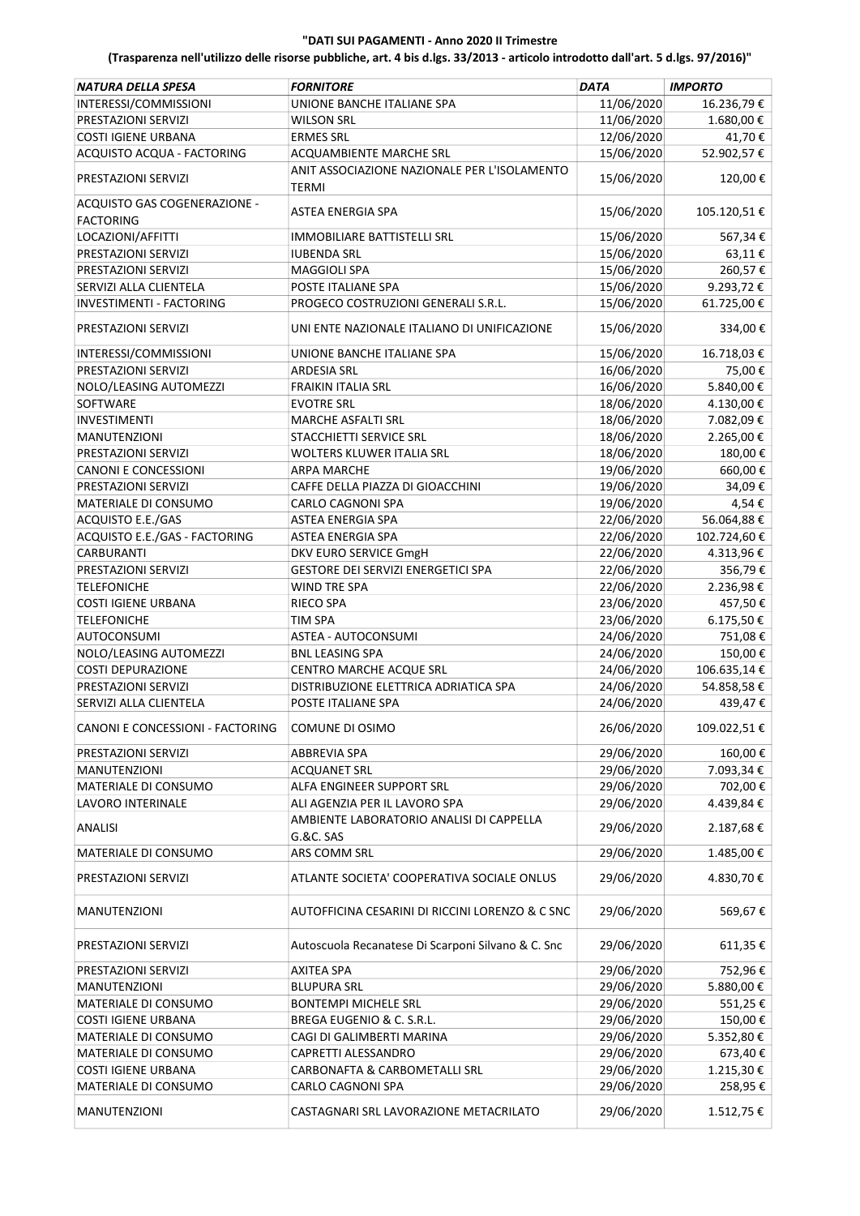| <b>NATURA DELLA SPESA</b>        | <b>FORNITORE</b>                                   | <b>DATA</b> | <b>IMPORTO</b> |
|----------------------------------|----------------------------------------------------|-------------|----------------|
| INTERESSI/COMMISSIONI            | UNIONE BANCHE ITALIANE SPA                         | 11/06/2020  | 16.236,79€     |
| PRESTAZIONI SERVIZI              | <b>WILSON SRL</b>                                  | 11/06/2020  | 1.680,00€      |
| <b>COSTI IGIENE URBANA</b>       | <b>ERMES SRL</b>                                   | 12/06/2020  | 41,70€         |
| ACQUISTO ACQUA - FACTORING       | ACQUAMBIENTE MARCHE SRL                            | 15/06/2020  | 52.902,57€     |
| PRESTAZIONI SERVIZI              | ANIT ASSOCIAZIONE NAZIONALE PER L'ISOLAMENTO       | 15/06/2020  | 120,00€        |
| ACQUISTO GAS COGENERAZIONE -     | TERMI                                              |             |                |
| <b>FACTORING</b>                 | ASTEA ENERGIA SPA                                  | 15/06/2020  | 105.120,51€    |
| LOCAZIONI/AFFITTI                | <b>IMMOBILIARE BATTISTELLI SRL</b>                 | 15/06/2020  | 567,34€        |
| PRESTAZIONI SERVIZI              | <b>IUBENDA SRL</b>                                 | 15/06/2020  | 63,11€         |
| PRESTAZIONI SERVIZI              | <b>MAGGIOLI SPA</b>                                | 15/06/2020  | 260,57€        |
| SERVIZI ALLA CLIENTELA           | POSTE ITALIANE SPA                                 | 15/06/2020  | 9.293,72€      |
| <b>INVESTIMENTI - FACTORING</b>  | PROGECO COSTRUZIONI GENERALI S.R.L.                | 15/06/2020  | 61.725,00€     |
| PRESTAZIONI SERVIZI              | UNI ENTE NAZIONALE ITALIANO DI UNIFICAZIONE        | 15/06/2020  | 334,00€        |
| INTERESSI/COMMISSIONI            | UNIONE BANCHE ITALIANE SPA                         | 15/06/2020  | 16.718,03€     |
| PRESTAZIONI SERVIZI              | <b>ARDESIA SRL</b>                                 | 16/06/2020  | 75,00€         |
| NOLO/LEASING AUTOMEZZI           | <b>FRAIKIN ITALIA SRL</b>                          | 16/06/2020  | 5.840,00€      |
| SOFTWARE                         | <b>EVOTRE SRL</b>                                  | 18/06/2020  | 4.130,00€      |
| <b>INVESTIMENTI</b>              | MARCHE ASFALTI SRL                                 | 18/06/2020  | 7.082,09€      |
| <b>MANUTENZIONI</b>              | STACCHIETTI SERVICE SRL                            | 18/06/2020  | 2.265,00€      |
| PRESTAZIONI SERVIZI              | WOLTERS KLUWER ITALIA SRL                          | 18/06/2020  | 180,00€        |
| <b>CANONI E CONCESSIONI</b>      | <b>ARPA MARCHE</b>                                 | 19/06/2020  | 660,00€        |
| PRESTAZIONI SERVIZI              | CAFFE DELLA PIAZZA DI GIOACCHINI                   | 19/06/2020  | 34,09€         |
| MATERIALE DI CONSUMO             | CARLO CAGNONI SPA                                  | 19/06/2020  | 4,54€          |
| ACQUISTO E.E./GAS                | ASTEA ENERGIA SPA                                  | 22/06/2020  | 56.064,88€     |
| ACQUISTO E.E./GAS - FACTORING    | ASTEA ENERGIA SPA                                  | 22/06/2020  | 102.724,60€    |
| CARBURANTI                       | DKV EURO SERVICE GmgH                              | 22/06/2020  | 4.313,96€      |
| PRESTAZIONI SERVIZI              | GESTORE DEI SERVIZI ENERGETICI SPA                 | 22/06/2020  | 356,79€        |
| <b>TELEFONICHE</b>               | <b>WIND TRE SPA</b>                                | 22/06/2020  | 2.236,98€      |
| <b>COSTI IGIENE URBANA</b>       | <b>RIECO SPA</b>                                   | 23/06/2020  | 457,50€        |
| <b>TELEFONICHE</b>               | TIM SPA                                            | 23/06/2020  | 6.175,50€      |
| <b>AUTOCONSUMI</b>               | ASTEA - AUTOCONSUMI                                | 24/06/2020  | 751,08€        |
| NOLO/LEASING AUTOMEZZI           | <b>BNL LEASING SPA</b>                             | 24/06/2020  | 150,00€        |
| <b>COSTI DEPURAZIONE</b>         | CENTRO MARCHE ACQUE SRL                            | 24/06/2020  | 106.635,14€    |
| PRESTAZIONI SERVIZI              | DISTRIBUZIONE ELETTRICA ADRIATICA SPA              | 24/06/2020  | 54.858,58€     |
| SERVIZI ALLA CLIENTELA           | POSTE ITALIANE SPA                                 | 24/06/2020  | 439,47€        |
| CANONI E CONCESSIONI - FACTORING | COMUNE DI OSIMO                                    | 26/06/2020  | 109.022,51€    |
| PRESTAZIONI SERVIZI              | ABBREVIA SPA                                       | 29/06/2020  | 160,00€        |
| MANUTENZIONI                     | <b>ACQUANET SRL</b>                                | 29/06/2020  | 7.093,34 €     |
| MATERIALE DI CONSUMO             | ALFA ENGINEER SUPPORT SRL                          | 29/06/2020  | 702,00€        |
| LAVORO INTERINALE                | ALI AGENZIA PER IL LAVORO SPA                      | 29/06/2020  | 4.439,84€      |
|                                  | AMBIENTE LABORATORIO ANALISI DI CAPPELLA           |             |                |
| <b>ANALISI</b>                   | <b>G.&amp;C. SAS</b>                               | 29/06/2020  | 2.187,68€      |
| MATERIALE DI CONSUMO             | ARS COMM SRL                                       | 29/06/2020  | 1.485,00€      |
| PRESTAZIONI SERVIZI              | ATLANTE SOCIETA' COOPERATIVA SOCIALE ONLUS         | 29/06/2020  | 4.830,70€      |
| MANUTENZIONI                     | AUTOFFICINA CESARINI DI RICCINI LORENZO & C SNC    | 29/06/2020  | 569,67€        |
| PRESTAZIONI SERVIZI              | Autoscuola Recanatese Di Scarponi Silvano & C. Snc | 29/06/2020  | 611,35€        |
| PRESTAZIONI SERVIZI              | <b>AXITEA SPA</b>                                  | 29/06/2020  | 752,96€        |
| MANUTENZIONI                     | <b>BLUPURA SRL</b>                                 | 29/06/2020  | 5.880,00 €     |
| MATERIALE DI CONSUMO             | <b>BONTEMPI MICHELE SRL</b>                        | 29/06/2020  | 551,25€        |
| <b>COSTI IGIENE URBANA</b>       | BREGA EUGENIO & C. S.R.L.                          | 29/06/2020  | 150,00 €       |
| MATERIALE DI CONSUMO             | CAGI DI GALIMBERTI MARINA                          | 29/06/2020  | 5.352,80 €     |
| MATERIALE DI CONSUMO             | CAPRETTI ALESSANDRO                                | 29/06/2020  | 673,40€        |
| <b>COSTI IGIENE URBANA</b>       | CARBONAFTA & CARBOMETALLI SRL                      | 29/06/2020  | 1.215,30€      |
| MATERIALE DI CONSUMO             | CARLO CAGNONI SPA                                  | 29/06/2020  | 258,95 €       |
| MANUTENZIONI                     | CASTAGNARI SRL LAVORAZIONE METACRILATO             | 29/06/2020  | 1.512,75 €     |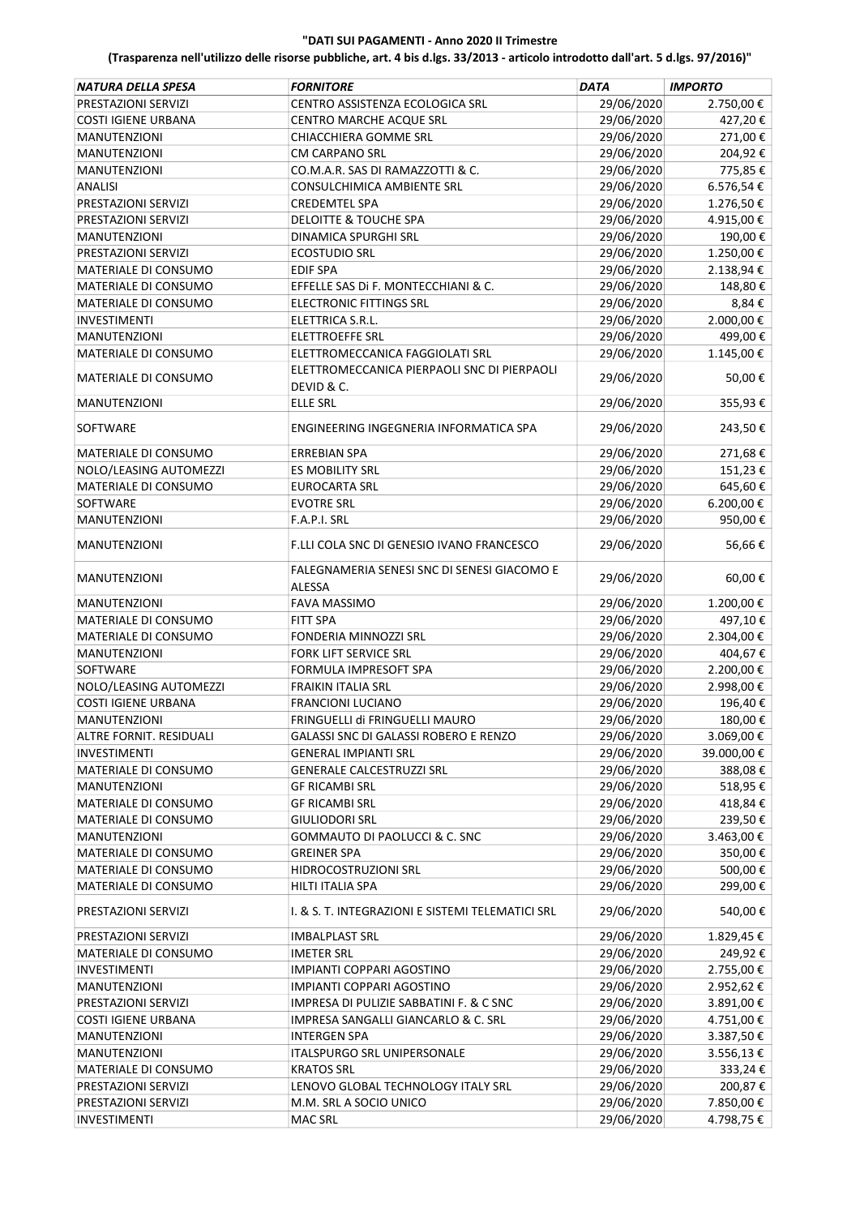| NATURA DELLA SPESA          | <b>FORNITORE</b>                                          | <b>DATA</b> | <b>IMPORTO</b> |
|-----------------------------|-----------------------------------------------------------|-------------|----------------|
| PRESTAZIONI SERVIZI         | CENTRO ASSISTENZA ECOLOGICA SRL                           | 29/06/2020  | 2.750,00 €     |
| <b>COSTI IGIENE URBANA</b>  | CENTRO MARCHE ACQUE SRL                                   | 29/06/2020  | 427,20€        |
| <b>MANUTENZIONI</b>         | CHIACCHIERA GOMME SRL                                     | 29/06/2020  | 271,00€        |
| <b>MANUTENZIONI</b>         | <b>CM CARPANO SRL</b>                                     | 29/06/2020  | 204,92€        |
| <b>MANUTENZIONI</b>         | CO.M.A.R. SAS DI RAMAZZOTTI & C.                          | 29/06/2020  | 775,85€        |
| <b>ANALISI</b>              | CONSULCHIMICA AMBIENTE SRL                                | 29/06/2020  | 6.576,54€      |
| PRESTAZIONI SERVIZI         | <b>CREDEMTEL SPA</b>                                      | 29/06/2020  | 1.276,50€      |
| PRESTAZIONI SERVIZI         | <b>DELOITTE &amp; TOUCHE SPA</b>                          | 29/06/2020  | 4.915,00€      |
| <b>MANUTENZIONI</b>         | <b>DINAMICA SPURGHI SRL</b>                               | 29/06/2020  | 190,00€        |
|                             | <b>ECOSTUDIO SRL</b>                                      |             |                |
| PRESTAZIONI SERVIZI         |                                                           | 29/06/2020  | 1.250,00€      |
| MATERIALE DI CONSUMO        | <b>EDIF SPA</b>                                           | 29/06/2020  | 2.138,94€      |
| MATERIALE DI CONSUMO        | EFFELLE SAS Di F. MONTECCHIANI & C.                       | 29/06/2020  | 148,80€        |
| MATERIALE DI CONSUMO        | <b>ELECTRONIC FITTINGS SRL</b>                            | 29/06/2020  | 8,84€          |
| <b>INVESTIMENTI</b>         | ELETTRICA S.R.L.                                          | 29/06/2020  | 2.000,00 €     |
| <b>MANUTENZIONI</b>         | <b>ELETTROEFFE SRL</b>                                    | 29/06/2020  | 499,00€        |
| MATERIALE DI CONSUMO        | ELETTROMECCANICA FAGGIOLATI SRL                           | 29/06/2020  | 1.145,00 €     |
| MATERIALE DI CONSUMO        | ELETTROMECCANICA PIERPAOLI SNC DI PIERPAOLI<br>DEVID & C. | 29/06/2020  | 50,00€         |
| <b>MANUTENZIONI</b>         | <b>ELLE SRL</b>                                           | 29/06/2020  | 355,93€        |
| SOFTWARE                    | ENGINEERING INGEGNERIA INFORMATICA SPA                    | 29/06/2020  | 243,50€        |
| MATERIALE DI CONSUMO        | <b>ERREBIAN SPA</b>                                       | 29/06/2020  | 271,68€        |
| NOLO/LEASING AUTOMEZZI      | <b>ES MOBILITY SRL</b>                                    | 29/06/2020  | 151,23€        |
| <b>MATERIALE DI CONSUMO</b> | <b>EUROCARTA SRL</b>                                      | 29/06/2020  | 645,60€        |
| SOFTWARE                    | <b>EVOTRE SRL</b>                                         | 29/06/2020  | 6.200,00€      |
| <b>MANUTENZIONI</b>         | F.A.P.I. SRL                                              | 29/06/2020  | 950,00€        |
| <b>MANUTENZIONI</b>         | F.LLI COLA SNC DI GENESIO IVANO FRANCESCO                 | 29/06/2020  | 56,66€         |
| <b>MANUTENZIONI</b>         | FALEGNAMERIA SENESI SNC DI SENESI GIACOMO E               | 29/06/2020  | 60,00€         |
|                             | ALESSA                                                    |             |                |
| <b>MANUTENZIONI</b>         | <b>FAVA MASSIMO</b>                                       | 29/06/2020  | 1.200,00€      |
| MATERIALE DI CONSUMO        | <b>FITT SPA</b>                                           | 29/06/2020  | 497,10€        |
| MATERIALE DI CONSUMO        | FONDERIA MINNOZZI SRL                                     | 29/06/2020  | 2.304,00€      |
| <b>MANUTENZIONI</b>         | FORK LIFT SERVICE SRL                                     | 29/06/2020  | 404,67€        |
| <b>SOFTWARE</b>             | FORMULA IMPRESOFT SPA                                     | 29/06/2020  | 2.200,00€      |
| NOLO/LEASING AUTOMEZZI      | <b>FRAIKIN ITALIA SRL</b>                                 | 29/06/2020  | 2.998,00€      |
| <b>COSTI IGIENE URBANA</b>  | <b>FRANCIONI LUCIANO</b>                                  | 29/06/2020  | 196,40€        |
| MANUTENZIONI                | FRINGUELLI di FRINGUELLI MAURO                            | 29/06/2020  | 180,00€        |
| ALTRE FORNIT. RESIDUALI     | GALASSI SNC DI GALASSI ROBERO E RENZO                     | 29/06/2020  | 3.069,00€      |
| <b>INVESTIMENTI</b>         | <b>GENERAL IMPIANTI SRL</b>                               | 29/06/2020  | 39.000,00€     |
| MATERIALE DI CONSUMO        | <b>GENERALE CALCESTRUZZI SRL</b>                          | 29/06/2020  | 388,08€        |
| <b>MANUTENZIONI</b>         | <b>GF RICAMBI SRL</b>                                     | 29/06/2020  | 518,95€        |
| MATERIALE DI CONSUMO        | <b>GF RICAMBI SRL</b>                                     | 29/06/2020  | 418,84 €       |
| MATERIALE DI CONSUMO        | <b>GIULIODORI SRL</b>                                     | 29/06/2020  | 239,50€        |
| <b>MANUTENZIONI</b>         | GOMMAUTO DI PAOLUCCI & C. SNC                             | 29/06/2020  | 3.463,00 €     |
| MATERIALE DI CONSUMO        | <b>GREINER SPA</b>                                        | 29/06/2020  | 350,00€        |
| MATERIALE DI CONSUMO        | HIDROCOSTRUZIONI SRL                                      | 29/06/2020  | 500,00€        |
| MATERIALE DI CONSUMO        | HILTI ITALIA SPA                                          | 29/06/2020  | 299,00€        |
| PRESTAZIONI SERVIZI         | I. & S. T. INTEGRAZIONI E SISTEMI TELEMATICI SRL          | 29/06/2020  | 540,00€        |
| PRESTAZIONI SERVIZI         | <b>IMBALPLAST SRL</b>                                     | 29/06/2020  | 1.829,45€      |
| MATERIALE DI CONSUMO        | <b>IMETER SRL</b>                                         | 29/06/2020  | 249,92€        |
| <b>INVESTIMENTI</b>         | IMPIANTI COPPARI AGOSTINO                                 | 29/06/2020  | 2.755,00€      |
|                             |                                                           |             |                |
| <b>MANUTENZIONI</b>         | IMPIANTI COPPARI AGOSTINO                                 | 29/06/2020  | 2.952,62€      |
| PRESTAZIONI SERVIZI         | IMPRESA DI PULIZIE SABBATINI F. & C SNC                   | 29/06/2020  | 3.891,00€      |
| COSTI IGIENE URBANA         | IMPRESA SANGALLI GIANCARLO & C. SRL                       | 29/06/2020  | 4.751,00 €     |
| <b>MANUTENZIONI</b>         | <b>INTERGEN SPA</b>                                       | 29/06/2020  | 3.387,50€      |
| <b>MANUTENZIONI</b>         | ITALSPURGO SRL UNIPERSONALE                               | 29/06/2020  | 3.556,13€      |
| MATERIALE DI CONSUMO        | <b>KRATOS SRL</b>                                         | 29/06/2020  | 333,24€        |
| PRESTAZIONI SERVIZI         | LENOVO GLOBAL TECHNOLOGY ITALY SRL                        | 29/06/2020  | 200,87 €       |
| PRESTAZIONI SERVIZI         | M.M. SRL A SOCIO UNICO                                    | 29/06/2020  | 7.850,00€      |
| INVESTIMENTI                | <b>MAC SRL</b>                                            | 29/06/2020  | 4.798,75€      |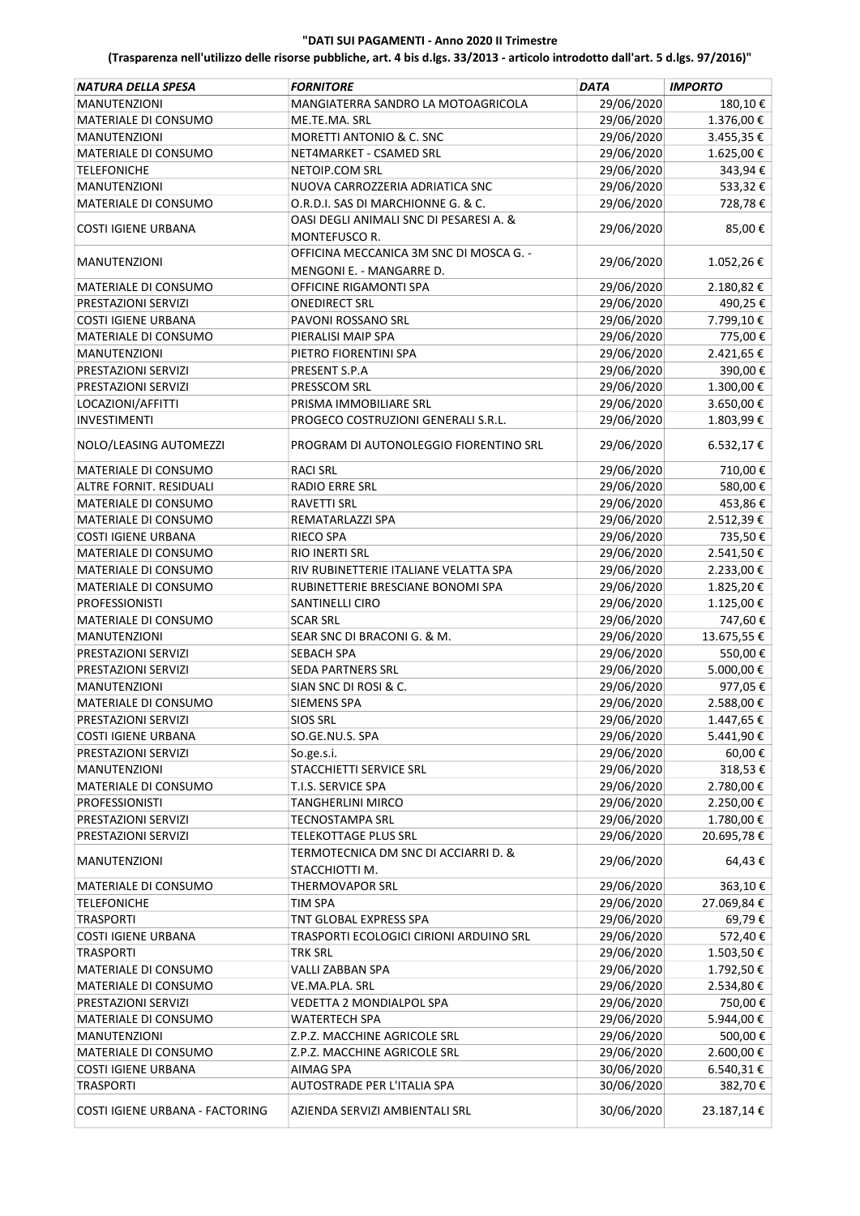| NATURA DELLA SPESA              | <b>FORNITORE</b>                                                    | <b>DATA</b> | <b>IMPORTO</b> |
|---------------------------------|---------------------------------------------------------------------|-------------|----------------|
| <b>MANUTENZIONI</b>             | MANGIATERRA SANDRO LA MOTOAGRICOLA                                  | 29/06/2020  | 180,10€        |
| MATERIALE DI CONSUMO            | ME.TE.MA. SRL                                                       | 29/06/2020  | 1.376,00€      |
| MANUTENZIONI                    | MORETTI ANTONIO & C. SNC                                            | 29/06/2020  | 3.455,35 €     |
| MATERIALE DI CONSUMO            | NET4MARKET - CSAMED SRL                                             | 29/06/2020  | 1.625,00 €     |
| <b>TELEFONICHE</b>              | NETOIP.COM SRL                                                      | 29/06/2020  | 343,94€        |
| <b>MANUTENZIONI</b>             | NUOVA CARROZZERIA ADRIATICA SNC                                     | 29/06/2020  | 533,32€        |
| MATERIALE DI CONSUMO            | O.R.D.I. SAS DI MARCHIONNE G. & C.                                  | 29/06/2020  | 728,78€        |
|                                 | OASI DEGLI ANIMALI SNC DI PESARESI A. &                             |             |                |
| <b>COSTI IGIENE URBANA</b>      | <b>MONTEFUSCO R.</b>                                                | 29/06/2020  | 85,00€         |
| <b>MANUTENZIONI</b>             | OFFICINA MECCANICA 3M SNC DI MOSCA G. -<br>MENGONI E. - MANGARRE D. | 29/06/2020  | 1.052,26€      |
| MATERIALE DI CONSUMO            | OFFICINE RIGAMONTI SPA                                              | 29/06/2020  | 2.180,82€      |
| PRESTAZIONI SERVIZI             | <b>ONEDIRECT SRL</b>                                                | 29/06/2020  | 490,25€        |
| <b>COSTI IGIENE URBANA</b>      | PAVONI ROSSANO SRL                                                  | 29/06/2020  | 7.799,10€      |
| MATERIALE DI CONSUMO            | PIERALISI MAIP SPA                                                  | 29/06/2020  | 775,00€        |
| <b>MANUTENZIONI</b>             | PIETRO FIORENTINI SPA                                               | 29/06/2020  | 2.421,65 €     |
| PRESTAZIONI SERVIZI             | PRESENT S.P.A                                                       | 29/06/2020  | 390,00€        |
| PRESTAZIONI SERVIZI             |                                                                     |             | 1.300,00€      |
|                                 | PRESSCOM SRL                                                        | 29/06/2020  |                |
| LOCAZIONI/AFFITTI               | PRISMA IMMOBILIARE SRL                                              | 29/06/2020  | 3.650,00 €     |
| <b>INVESTIMENTI</b>             | PROGECO COSTRUZIONI GENERALI S.R.L.                                 | 29/06/2020  | 1.803,99€      |
| NOLO/LEASING AUTOMEZZI          | PROGRAM DI AUTONOLEGGIO FIORENTINO SRL                              | 29/06/2020  | 6.532,17€      |
| MATERIALE DI CONSUMO            | <b>RACI SRL</b>                                                     | 29/06/2020  | 710,00€        |
| ALTRE FORNIT. RESIDUALI         | <b>RADIO ERRE SRL</b>                                               | 29/06/2020  | 580,00€        |
| MATERIALE DI CONSUMO            | <b>RAVETTI SRL</b>                                                  | 29/06/2020  | 453,86€        |
| MATERIALE DI CONSUMO            | REMATARLAZZI SPA                                                    | 29/06/2020  | 2.512,39€      |
| <b>COSTI IGIENE URBANA</b>      | <b>RIECO SPA</b>                                                    | 29/06/2020  | 735,50€        |
| MATERIALE DI CONSUMO            | RIO INERTI SRL                                                      | 29/06/2020  | 2.541,50€      |
| MATERIALE DI CONSUMO            | RIV RUBINETTERIE ITALIANE VELATTA SPA                               |             |                |
|                                 |                                                                     | 29/06/2020  | 2.233,00€      |
| MATERIALE DI CONSUMO            | RUBINETTERIE BRESCIANE BONOMI SPA                                   | 29/06/2020  | 1.825,20€      |
| <b>PROFESSIONISTI</b>           | SANTINELLI CIRO                                                     | 29/06/2020  | 1.125,00 €     |
| MATERIALE DI CONSUMO            | <b>SCAR SRL</b>                                                     | 29/06/2020  | 747,60 €       |
| <b>MANUTENZIONI</b>             | SEAR SNC DI BRACONI G. & M.                                         | 29/06/2020  | 13.675,55 €    |
| PRESTAZIONI SERVIZI             | SEBACH SPA                                                          | 29/06/2020  | 550,00€        |
| PRESTAZIONI SERVIZI             | SEDA PARTNERS SRL                                                   | 29/06/2020  | 5.000,00 €     |
| <b>MANUTENZIONI</b>             | SIAN SNC DI ROSI & C.                                               | 29/06/2020  | 977,05€        |
| MATERIALE DI CONSUMO            | <b>SIEMENS SPA</b>                                                  | 29/06/2020  | 2.588,00€      |
| PRESTAZIONI SERVIZI             | <b>SIOS SRL</b>                                                     | 29/06/2020  | 1.447,65 €     |
| <b>COSTI IGIENE URBANA</b>      | SO.GE.NU.S. SPA                                                     | 29/06/2020  | 5.441,90€      |
| PRESTAZIONI SERVIZI             | So.ge.s.i.                                                          | 29/06/2020  | 60,00€         |
| <b>MANUTENZIONI</b>             | STACCHIETTI SERVICE SRL                                             | 29/06/2020  | 318,53€        |
| MATERIALE DI CONSUMO            | T.I.S. SERVICE SPA                                                  | 29/06/2020  | 2.780,00€      |
| <b>PROFESSIONISTI</b>           | <b>TANGHERLINI MIRCO</b>                                            | 29/06/2020  | 2.250,00 €     |
| PRESTAZIONI SERVIZI             | <b>TECNOSTAMPA SRL</b>                                              | 29/06/2020  | 1.780,00 €     |
| PRESTAZIONI SERVIZI             | TELEKOTTAGE PLUS SRL                                                | 29/06/2020  | 20.695,78€     |
| <b>MANUTENZIONI</b>             | TERMOTECNICA DM SNC DI ACCIARRI D. &                                | 29/06/2020  | 64,43€         |
| MATERIALE DI CONSUMO            | STACCHIOTTI M.<br><b>THERMOVAPOR SRL</b>                            | 29/06/2020  |                |
|                                 |                                                                     |             | 363,10€        |
| <b>TELEFONICHE</b>              | <b>TIM SPA</b>                                                      | 29/06/2020  | 27.069,84€     |
| <b>TRASPORTI</b>                | TNT GLOBAL EXPRESS SPA                                              | 29/06/2020  | 69,79€         |
| <b>COSTI IGIENE URBANA</b>      | TRASPORTI ECOLOGICI CIRIONI ARDUINO SRL                             | 29/06/2020  | 572,40€        |
| <b>TRASPORTI</b>                | <b>TRK SRL</b>                                                      | 29/06/2020  | 1.503,50€      |
| MATERIALE DI CONSUMO            | VALLI ZABBAN SPA                                                    | 29/06/2020  | 1.792,50€      |
| MATERIALE DI CONSUMO            | VE.MA.PLA. SRL                                                      | 29/06/2020  | 2.534,80€      |
| PRESTAZIONI SERVIZI             | VEDETTA 2 MONDIALPOL SPA                                            | 29/06/2020  | 750,00€        |
| MATERIALE DI CONSUMO            | <b>WATERTECH SPA</b>                                                | 29/06/2020  | 5.944,00 €     |
| <b>MANUTENZIONI</b>             | Z.P.Z. MACCHINE AGRICOLE SRL                                        | 29/06/2020  | 500,00€        |
| MATERIALE DI CONSUMO            | Z.P.Z. MACCHINE AGRICOLE SRL                                        | 29/06/2020  | 2.600,00 €     |
| <b>COSTI IGIENE URBANA</b>      | AIMAG SPA                                                           | 30/06/2020  | 6.540,31€      |
| <b>TRASPORTI</b>                | AUTOSTRADE PER L'ITALIA SPA                                         | 30/06/2020  | 382,70€        |
| COSTI IGIENE URBANA - FACTORING | AZIENDA SERVIZI AMBIENTALI SRL                                      | 30/06/2020  | 23.187,14€     |